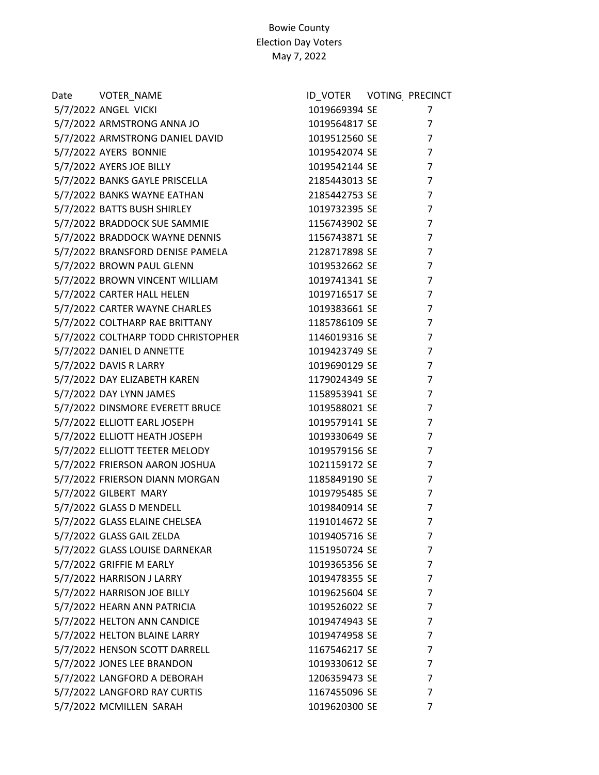| Date VOTER_NAME                    | ID_VOTER VOTING PRECINCT |                |
|------------------------------------|--------------------------|----------------|
| 5/7/2022 ANGEL VICKI               | 1019669394 SE            | 7              |
| 5/7/2022 ARMSTRONG ANNA JO         | 1019564817 SE            | $\overline{7}$ |
| 5/7/2022 ARMSTRONG DANIEL DAVID    | 1019512560 SE            | $\overline{7}$ |
| 5/7/2022 AYERS BONNIE              | 1019542074 SE            | $\overline{7}$ |
| 5/7/2022 AYERS JOE BILLY           | 1019542144 SE            | $\overline{7}$ |
| 5/7/2022 BANKS GAYLE PRISCELLA     | 2185443013 SE            | $\overline{7}$ |
| 5/7/2022 BANKS WAYNE EATHAN        | 2185442753 SE            | $\overline{7}$ |
| 5/7/2022 BATTS BUSH SHIRLEY        | 1019732395 SE            | $\overline{7}$ |
| 5/7/2022 BRADDOCK SUE SAMMIE       | 1156743902 SE            | $\overline{7}$ |
| 5/7/2022 BRADDOCK WAYNE DENNIS     | 1156743871 SE            | $\overline{7}$ |
| 5/7/2022 BRANSFORD DENISE PAMELA   | 2128717898 SE            | $\overline{7}$ |
| 5/7/2022 BROWN PAUL GLENN          | 1019532662 SE            | $\overline{7}$ |
| 5/7/2022 BROWN VINCENT WILLIAM     | 1019741341 SE            | $\overline{7}$ |
| 5/7/2022 CARTER HALL HELEN         | 1019716517 SE            | $\overline{7}$ |
| 5/7/2022 CARTER WAYNE CHARLES      | 1019383661 SE            | $\overline{7}$ |
| 5/7/2022 COLTHARP RAE BRITTANY     | 1185786109 SE            | $\overline{7}$ |
| 5/7/2022 COLTHARP TODD CHRISTOPHER | 1146019316 SE            | $\overline{7}$ |
| 5/7/2022 DANIEL D ANNETTE          | 1019423749 SE            | $\overline{7}$ |
| 5/7/2022 DAVIS R LARRY             | 1019690129 SE            | $\overline{7}$ |
| 5/7/2022 DAY ELIZABETH KAREN       | 1179024349 SE            | $\overline{7}$ |
| 5/7/2022 DAY LYNN JAMES            | 1158953941 SE            | $\overline{7}$ |
| 5/7/2022 DINSMORE EVERETT BRUCE    | 1019588021 SE            | $\overline{7}$ |
| 5/7/2022 ELLIOTT EARL JOSEPH       | 1019579141 SE            | $\overline{7}$ |
| 5/7/2022 ELLIOTT HEATH JOSEPH      | 1019330649 SE            | $\overline{7}$ |
| 5/7/2022 ELLIOTT TEETER MELODY     | 1019579156 SE            | $\overline{7}$ |
| 5/7/2022 FRIERSON AARON JOSHUA     | 1021159172 SE            | $\overline{7}$ |
| 5/7/2022 FRIERSON DIANN MORGAN     | 1185849190 SE            | 7              |
| 5/7/2022 GILBERT MARY              | 1019795485 SE            | 7              |
| 5/7/2022 GLASS D MENDELL           | 1019840914 SE            | $\overline{7}$ |
| 5/7/2022 GLASS ELAINE CHELSEA      | 1191014672 SE            | $\overline{7}$ |
| 5/7/2022 GLASS GAIL ZELDA          | 1019405716 SE            | 7              |
| 5/7/2022 GLASS LOUISE DARNEKAR     | 1151950724 SE            | 7              |
| 5/7/2022 GRIFFIE M EARLY           | 1019365356 SE            | 7              |
| 5/7/2022 HARRISON J LARRY          | 1019478355 SE            | $\overline{7}$ |
| 5/7/2022 HARRISON JOE BILLY        | 1019625604 SE            | 7              |
| 5/7/2022 HEARN ANN PATRICIA        | 1019526022 SE            | 7              |
| 5/7/2022 HELTON ANN CANDICE        | 1019474943 SE            | $\overline{7}$ |
| 5/7/2022 HELTON BLAINE LARRY       | 1019474958 SE            | $\overline{7}$ |
| 5/7/2022 HENSON SCOTT DARRELL      | 1167546217 SE            | $\overline{7}$ |
| 5/7/2022 JONES LEE BRANDON         | 1019330612 SE            | $\overline{7}$ |
| 5/7/2022 LANGFORD A DEBORAH        | 1206359473 SE            | 7              |
| 5/7/2022 LANGFORD RAY CURTIS       | 1167455096 SE            | 7              |
| 5/7/2022 MCMILLEN SARAH            | 1019620300 SE            | $\overline{7}$ |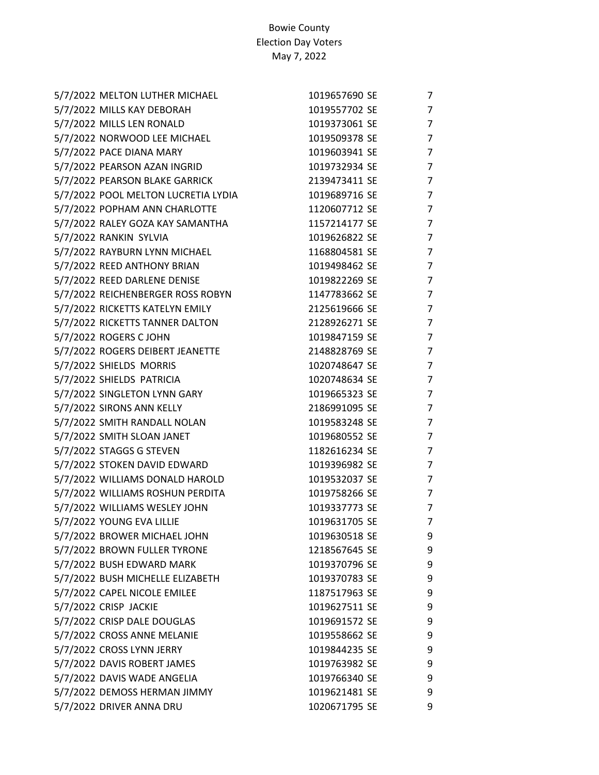| 5/7/2022 MELTON LUTHER MICHAEL      | 1019657690 SE | 7 |
|-------------------------------------|---------------|---|
| 5/7/2022 MILLS KAY DEBORAH          | 1019557702 SE | 7 |
| 5/7/2022 MILLS LEN RONALD           | 1019373061 SE | 7 |
| 5/7/2022 NORWOOD LEE MICHAEL        | 1019509378 SE | 7 |
| 5/7/2022 PACE DIANA MARY            | 1019603941 SE | 7 |
| 5/7/2022 PEARSON AZAN INGRID        | 1019732934 SE | 7 |
| 5/7/2022 PEARSON BLAKE GARRICK      | 2139473411 SE | 7 |
| 5/7/2022 POOL MELTON LUCRETIA LYDIA | 1019689716 SE | 7 |
| 5/7/2022 POPHAM ANN CHARLOTTE       | 1120607712 SE | 7 |
| 5/7/2022 RALEY GOZA KAY SAMANTHA    | 1157214177 SE | 7 |
| 5/7/2022 RANKIN SYLVIA              | 1019626822 SE | 7 |
| 5/7/2022 RAYBURN LYNN MICHAEL       | 1168804581 SE | 7 |
| 5/7/2022 REED ANTHONY BRIAN         | 1019498462 SE | 7 |
| 5/7/2022 REED DARLENE DENISE        | 1019822269 SE | 7 |
| 5/7/2022 REICHENBERGER ROSS ROBYN   | 1147783662 SE | 7 |
| 5/7/2022 RICKETTS KATELYN EMILY     | 2125619666 SE | 7 |
| 5/7/2022 RICKETTS TANNER DALTON     | 2128926271 SE | 7 |
| 5/7/2022 ROGERS C JOHN              | 1019847159 SE | 7 |
| 5/7/2022 ROGERS DEIBERT JEANETTE    | 2148828769 SE | 7 |
| 5/7/2022 SHIELDS MORRIS             | 1020748647 SE | 7 |
| 5/7/2022 SHIELDS PATRICIA           | 1020748634 SE | 7 |
| 5/7/2022 SINGLETON LYNN GARY        | 1019665323 SE | 7 |
| 5/7/2022 SIRONS ANN KELLY           | 2186991095 SE | 7 |
| 5/7/2022 SMITH RANDALL NOLAN        | 1019583248 SE | 7 |
| 5/7/2022 SMITH SLOAN JANET          | 1019680552 SE | 7 |
| 5/7/2022 STAGGS G STEVEN            | 1182616234 SE | 7 |
| 5/7/2022 STOKEN DAVID EDWARD        | 1019396982 SE | 7 |
| 5/7/2022 WILLIAMS DONALD HAROLD     | 1019532037 SE | 7 |
| 5/7/2022 WILLIAMS ROSHUN PERDITA    | 1019758266 SE | 7 |
| 5/7/2022 WILLIAMS WESLEY JOHN       | 1019337773 SE | 7 |
| 5/7/2022 YOUNG EVA LILLIE           | 1019631705 SE | 7 |
| 5/7/2022 BROWER MICHAEL JOHN        | 1019630518 SE | 9 |
| 5/7/2022 BROWN FULLER TYRONE        | 1218567645 SE | 9 |
| 5/7/2022 BUSH EDWARD MARK           | 1019370796 SE | 9 |
| 5/7/2022 BUSH MICHELLE ELIZABETH    | 1019370783 SE | 9 |
| 5/7/2022 CAPEL NICOLE EMILEE        | 1187517963 SE | 9 |
| 5/7/2022 CRISP JACKIE               | 1019627511 SE | 9 |
| 5/7/2022 CRISP DALE DOUGLAS         | 1019691572 SE | 9 |
| 5/7/2022 CROSS ANNE MELANIE         | 1019558662 SE | 9 |
| 5/7/2022 CROSS LYNN JERRY           | 1019844235 SE | 9 |
| 5/7/2022 DAVIS ROBERT JAMES         | 1019763982 SE | 9 |
| 5/7/2022 DAVIS WADE ANGELIA         | 1019766340 SE | 9 |
| 5/7/2022 DEMOSS HERMAN JIMMY        | 1019621481 SE | 9 |
| 5/7/2022 DRIVER ANNA DRU            | 1020671795 SE | 9 |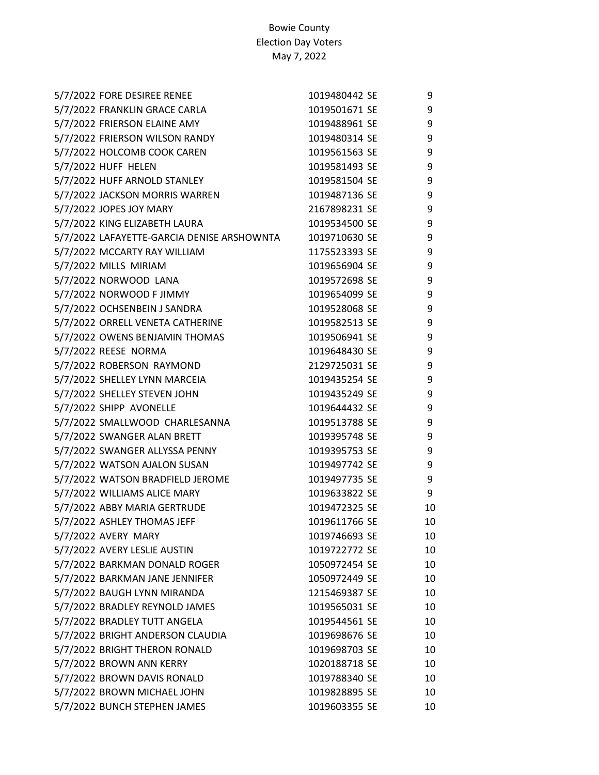| 5/7/2022 FORE DESIREE RENEE                | 1019480442 SE | 9  |
|--------------------------------------------|---------------|----|
| 5/7/2022 FRANKLIN GRACE CARLA              | 1019501671 SE | 9  |
| 5/7/2022 FRIERSON ELAINE AMY               | 1019488961 SE | 9  |
| 5/7/2022 FRIERSON WILSON RANDY             | 1019480314 SE | 9  |
| 5/7/2022 HOLCOMB COOK CAREN                | 1019561563 SE | 9  |
| 5/7/2022 HUFF HELEN                        | 1019581493 SE | 9  |
| 5/7/2022 HUFF ARNOLD STANLEY               | 1019581504 SE | 9  |
| 5/7/2022 JACKSON MORRIS WARREN             | 1019487136 SE | 9  |
| 5/7/2022 JOPES JOY MARY                    | 2167898231 SE | 9  |
| 5/7/2022 KING ELIZABETH LAURA              | 1019534500 SE | 9  |
| 5/7/2022 LAFAYETTE-GARCIA DENISE ARSHOWNTA | 1019710630 SE | 9  |
| 5/7/2022 MCCARTY RAY WILLIAM               | 1175523393 SE | 9  |
| 5/7/2022 MILLS MIRIAM                      | 1019656904 SE | 9  |
| 5/7/2022 NORWOOD LANA                      | 1019572698 SE | 9  |
| 5/7/2022 NORWOOD F JIMMY                   | 1019654099 SE | 9  |
| 5/7/2022 OCHSENBEIN J SANDRA               | 1019528068 SE | 9  |
| 5/7/2022 ORRELL VENETA CATHERINE           | 1019582513 SE | 9  |
| 5/7/2022 OWENS BENJAMIN THOMAS             | 1019506941 SE | 9  |
| 5/7/2022 REESE NORMA                       | 1019648430 SE | 9  |
| 5/7/2022 ROBERSON RAYMOND                  | 2129725031 SE | 9  |
| 5/7/2022 SHELLEY LYNN MARCEIA              | 1019435254 SE | 9  |
| 5/7/2022 SHELLEY STEVEN JOHN               | 1019435249 SE | 9  |
| 5/7/2022 SHIPP AVONELLE                    | 1019644432 SE | 9  |
| 5/7/2022 SMALLWOOD CHARLESANNA             | 1019513788 SE | 9  |
| 5/7/2022 SWANGER ALAN BRETT                | 1019395748 SE | 9  |
| 5/7/2022 SWANGER ALLYSSA PENNY             | 1019395753 SE | 9  |
| 5/7/2022 WATSON AJALON SUSAN               | 1019497742 SE | 9  |
| 5/7/2022 WATSON BRADFIELD JEROME           | 1019497735 SE | 9  |
| 5/7/2022 WILLIAMS ALICE MARY               | 1019633822 SE | 9  |
| 5/7/2022 ABBY MARIA GERTRUDE               | 1019472325 SE | 10 |
| 5/7/2022 ASHLEY THOMAS JEFF                | 1019611766 SE | 10 |
| 5/7/2022 AVERY MARY                        | 1019746693 SE | 10 |
| 5/7/2022 AVERY LESLIE AUSTIN               | 1019722772 SE | 10 |
| 5/7/2022 BARKMAN DONALD ROGER              | 1050972454 SE | 10 |
| 5/7/2022 BARKMAN JANE JENNIFER             | 1050972449 SE | 10 |
| 5/7/2022 BAUGH LYNN MIRANDA                | 1215469387 SE | 10 |
| 5/7/2022 BRADLEY REYNOLD JAMES             | 1019565031 SE | 10 |
| 5/7/2022 BRADLEY TUTT ANGELA               | 1019544561 SE | 10 |
| 5/7/2022 BRIGHT ANDERSON CLAUDIA           | 1019698676 SE | 10 |
| 5/7/2022 BRIGHT THERON RONALD              | 1019698703 SE | 10 |
| 5/7/2022 BROWN ANN KERRY                   | 1020188718 SE | 10 |
| 5/7/2022 BROWN DAVIS RONALD                | 1019788340 SE | 10 |
| 5/7/2022 BROWN MICHAEL JOHN                | 1019828895 SE | 10 |
| 5/7/2022 BUNCH STEPHEN JAMES               | 1019603355 SE | 10 |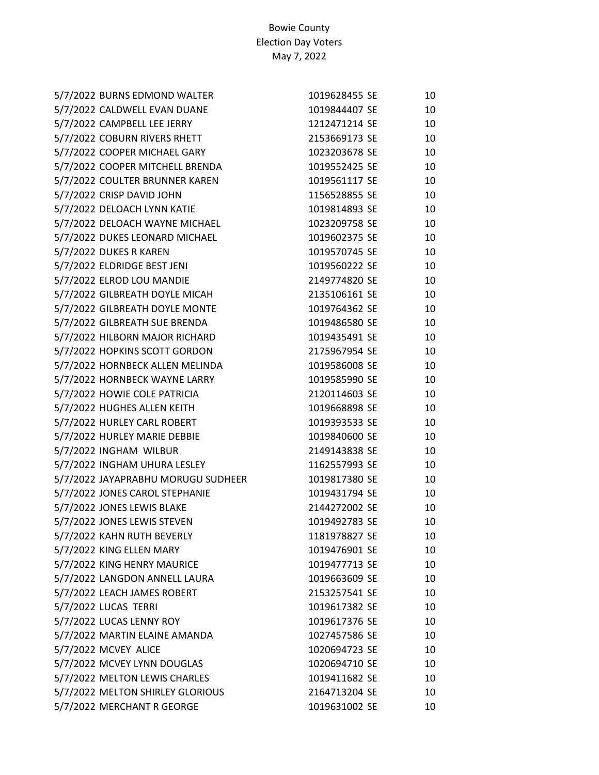| 5/7/2022 BURNS EDMOND WALTER       | 1019628455 SE | 10 |
|------------------------------------|---------------|----|
| 5/7/2022 CALDWELL EVAN DUANE       | 1019844407 SE | 10 |
| 5/7/2022 CAMPBELL LEE JERRY        | 1212471214 SE | 10 |
| 5/7/2022 COBURN RIVERS RHETT       | 2153669173 SE | 10 |
| 5/7/2022 COOPER MICHAEL GARY       | 1023203678 SE | 10 |
| 5/7/2022 COOPER MITCHELL BRENDA    | 1019552425 SE | 10 |
| 5/7/2022 COULTER BRUNNER KAREN     | 1019561117 SE | 10 |
| 5/7/2022 CRISP DAVID JOHN          | 1156528855 SE | 10 |
| 5/7/2022 DELOACH LYNN KATIE        | 1019814893 SE | 10 |
| 5/7/2022 DELOACH WAYNE MICHAEL     | 1023209758 SE | 10 |
| 5/7/2022 DUKES LEONARD MICHAEL     | 1019602375 SE | 10 |
| 5/7/2022 DUKES R KAREN             | 1019570745 SE | 10 |
| 5/7/2022 ELDRIDGE BEST JENI        | 1019560222 SE | 10 |
| 5/7/2022 ELROD LOU MANDIE          | 2149774820 SE | 10 |
| 5/7/2022 GILBREATH DOYLE MICAH     | 2135106161 SE | 10 |
| 5/7/2022 GILBREATH DOYLE MONTE     | 1019764362 SE | 10 |
| 5/7/2022 GILBREATH SUE BRENDA      | 1019486580 SE | 10 |
| 5/7/2022 HILBORN MAJOR RICHARD     | 1019435491 SE | 10 |
| 5/7/2022 HOPKINS SCOTT GORDON      | 2175967954 SE | 10 |
| 5/7/2022 HORNBECK ALLEN MELINDA    | 1019586008 SE | 10 |
| 5/7/2022 HORNBECK WAYNE LARRY      | 1019585990 SE | 10 |
| 5/7/2022 HOWIE COLE PATRICIA       | 2120114603 SE | 10 |
| 5/7/2022 HUGHES ALLEN KEITH        | 1019668898 SE | 10 |
| 5/7/2022 HURLEY CARL ROBERT        | 1019393533 SE | 10 |
| 5/7/2022 HURLEY MARIE DEBBIE       | 1019840600 SE | 10 |
| 5/7/2022 INGHAM WILBUR             | 2149143838 SE | 10 |
| 5/7/2022 INGHAM UHURA LESLEY       | 1162557993 SE | 10 |
| 5/7/2022 JAYAPRABHU MORUGU SUDHEER | 1019817380 SE | 10 |
| 5/7/2022 JONES CAROL STEPHANIE     | 1019431794 SE | 10 |
| 5/7/2022 JONES LEWIS BLAKE         | 2144272002 SE | 10 |
| 5/7/2022 JONES LEWIS STEVEN        | 1019492783 SE | 10 |
| 5/7/2022 KAHN RUTH BEVERLY         | 1181978827 SE | 10 |
| 5/7/2022 KING ELLEN MARY           | 1019476901 SE | 10 |
| 5/7/2022 KING HENRY MAURICE        | 1019477713 SE | 10 |
| 5/7/2022 LANGDON ANNELL LAURA      | 1019663609 SE | 10 |
| 5/7/2022 LEACH JAMES ROBERT        | 2153257541 SE | 10 |
| 5/7/2022 LUCAS TERRI               | 1019617382 SE | 10 |
| 5/7/2022 LUCAS LENNY ROY           | 1019617376 SE | 10 |
| 5/7/2022 MARTIN ELAINE AMANDA      | 1027457586 SE | 10 |
| 5/7/2022 MCVEY ALICE               | 1020694723 SE | 10 |
| 5/7/2022 MCVEY LYNN DOUGLAS        | 1020694710 SE | 10 |
| 5/7/2022 MELTON LEWIS CHARLES      | 1019411682 SE | 10 |
| 5/7/2022 MELTON SHIRLEY GLORIOUS   | 2164713204 SE | 10 |
| 5/7/2022 MERCHANT R GEORGE         | 1019631002 SE | 10 |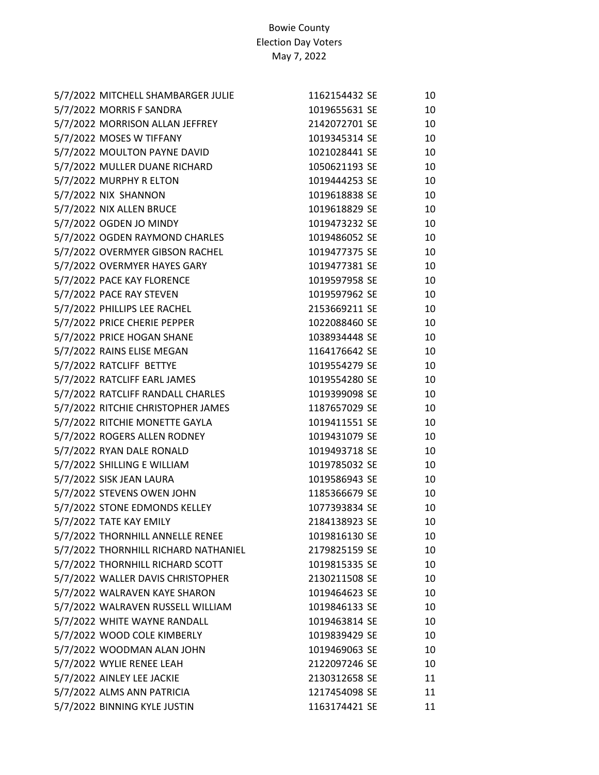| 1162154432 SE | 10 |
|---------------|----|
| 1019655631 SE | 10 |
| 2142072701 SE | 10 |
| 1019345314 SE | 10 |
| 1021028441 SE | 10 |
| 1050621193 SE | 10 |
| 1019444253 SE | 10 |
| 1019618838 SE | 10 |
| 1019618829 SE | 10 |
| 1019473232 SE | 10 |
| 1019486052 SE | 10 |
| 1019477375 SE | 10 |
| 1019477381 SE | 10 |
| 1019597958 SE | 10 |
| 1019597962 SE | 10 |
| 2153669211 SE | 10 |
| 1022088460 SE | 10 |
| 1038934448 SE | 10 |
| 1164176642 SE | 10 |
| 1019554279 SE | 10 |
| 1019554280 SE | 10 |
| 1019399098 SE | 10 |
| 1187657029 SE | 10 |
| 1019411551 SE | 10 |
| 1019431079 SE | 10 |
| 1019493718 SE | 10 |
| 1019785032 SE | 10 |
| 1019586943 SE | 10 |
| 1185366679 SE | 10 |
| 1077393834 SE | 10 |
| 2184138923 SE | 10 |
| 1019816130 SE | 10 |
| 2179825159 SE | 10 |
| 1019815335 SE | 10 |
| 2130211508 SE | 10 |
| 1019464623 SE | 10 |
| 1019846133 SE | 10 |
| 1019463814 SE | 10 |
| 1019839429 SE | 10 |
| 1019469063 SE | 10 |
| 2122097246 SE | 10 |
| 2130312658 SE | 11 |
| 1217454098 SE | 11 |
| 1163174421 SE | 11 |
|               |    |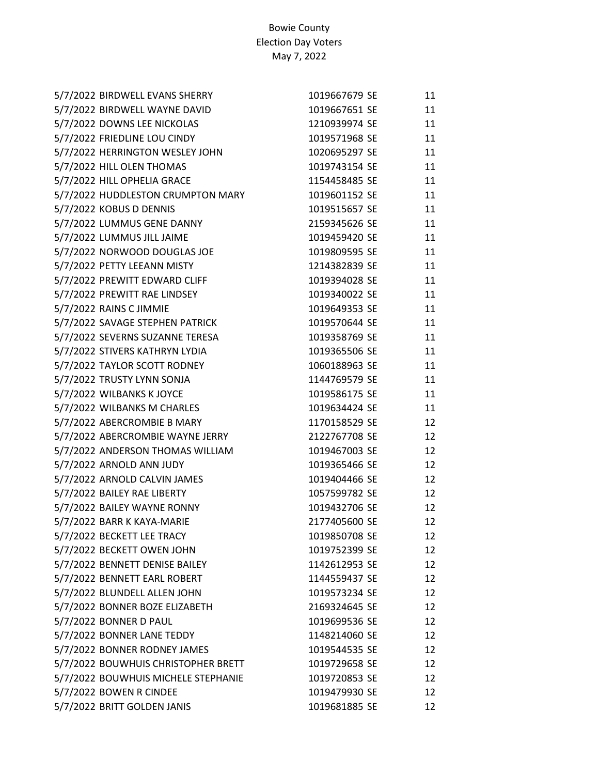| 5/7/2022 BIRDWELL EVANS SHERRY      | 1019667679 SE | 11 |
|-------------------------------------|---------------|----|
| 5/7/2022 BIRDWELL WAYNE DAVID       | 1019667651 SE | 11 |
| 5/7/2022 DOWNS LEE NICKOLAS         | 1210939974 SE | 11 |
| 5/7/2022 FRIEDLINE LOU CINDY        | 1019571968 SE | 11 |
| 5/7/2022 HERRINGTON WESLEY JOHN     | 1020695297 SE | 11 |
| 5/7/2022 HILL OLEN THOMAS           | 1019743154 SE | 11 |
| 5/7/2022 HILL OPHELIA GRACE         | 1154458485 SE | 11 |
| 5/7/2022 HUDDLESTON CRUMPTON MARY   | 1019601152 SE | 11 |
| 5/7/2022 KOBUS D DENNIS             | 1019515657 SE | 11 |
| 5/7/2022 LUMMUS GENE DANNY          | 2159345626 SE | 11 |
| 5/7/2022 LUMMUS JILL JAIME          | 1019459420 SE | 11 |
| 5/7/2022 NORWOOD DOUGLAS JOE        | 1019809595 SE | 11 |
| 5/7/2022 PETTY LEEANN MISTY         | 1214382839 SE | 11 |
| 5/7/2022 PREWITT EDWARD CLIFF       | 1019394028 SE | 11 |
| 5/7/2022 PREWITT RAE LINDSEY        | 1019340022 SE | 11 |
| 5/7/2022 RAINS C JIMMIE             | 1019649353 SE | 11 |
| 5/7/2022 SAVAGE STEPHEN PATRICK     | 1019570644 SE | 11 |
| 5/7/2022 SEVERNS SUZANNE TERESA     | 1019358769 SE | 11 |
| 5/7/2022 STIVERS KATHRYN LYDIA      | 1019365506 SE | 11 |
| 5/7/2022 TAYLOR SCOTT RODNEY        | 1060188963 SE | 11 |
| 5/7/2022 TRUSTY LYNN SONJA          | 1144769579 SE | 11 |
| 5/7/2022 WILBANKS K JOYCE           | 1019586175 SE | 11 |
| 5/7/2022 WILBANKS M CHARLES         | 1019634424 SE | 11 |
| 5/7/2022 ABERCROMBIE B MARY         | 1170158529 SE | 12 |
| 5/7/2022 ABERCROMBIE WAYNE JERRY    | 2122767708 SE | 12 |
| 5/7/2022 ANDERSON THOMAS WILLIAM    | 1019467003 SE | 12 |
| 5/7/2022 ARNOLD ANN JUDY            | 1019365466 SE | 12 |
| 5/7/2022 ARNOLD CALVIN JAMES        | 1019404466 SE | 12 |
| 5/7/2022 BAILEY RAE LIBERTY         | 1057599782 SE | 12 |
| 5/7/2022 BAILEY WAYNE RONNY         | 1019432706 SE | 12 |
| 5/7/2022 BARR K KAYA-MARIE          | 2177405600 SE | 12 |
| 5/7/2022 BECKETT LEE TRACY          | 1019850708 SE | 12 |
| 5/7/2022 BECKETT OWEN JOHN          | 1019752399 SE | 12 |
| 5/7/2022 BENNETT DENISE BAILEY      | 1142612953 SE | 12 |
| 5/7/2022 BENNETT EARL ROBERT        | 1144559437 SE | 12 |
| 5/7/2022 BLUNDELL ALLEN JOHN        | 1019573234 SE | 12 |
| 5/7/2022 BONNER BOZE ELIZABETH      | 2169324645 SE | 12 |
| 5/7/2022 BONNER D PAUL              | 1019699536 SE | 12 |
| 5/7/2022 BONNER LANE TEDDY          | 1148214060 SE | 12 |
| 5/7/2022 BONNER RODNEY JAMES        | 1019544535 SE | 12 |
| 5/7/2022 BOUWHUIS CHRISTOPHER BRETT | 1019729658 SE | 12 |
| 5/7/2022 BOUWHUIS MICHELE STEPHANIE | 1019720853 SE | 12 |
| 5/7/2022 BOWEN R CINDEE             | 1019479930 SE | 12 |
| 5/7/2022 BRITT GOLDEN JANIS         | 1019681885 SE | 12 |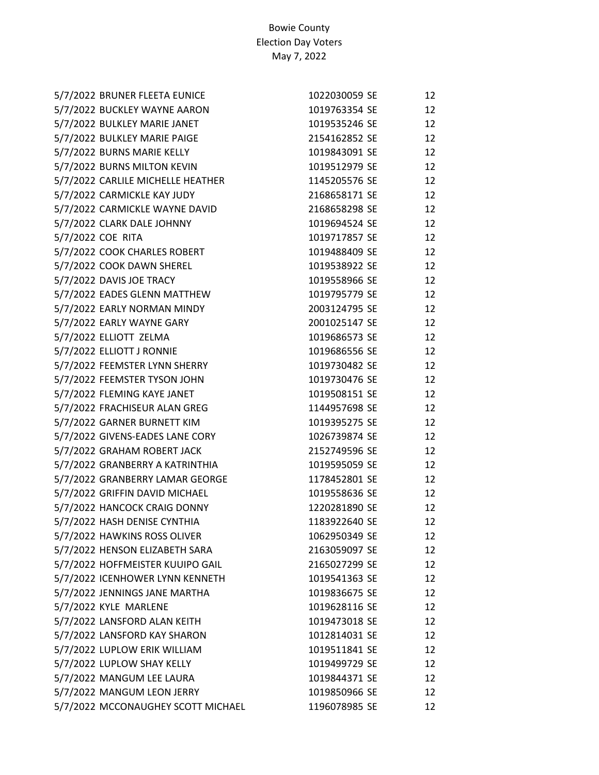| 5/7/2022 BRUNER FLEETA EUNICE      | 1022030059 SE | 12 |
|------------------------------------|---------------|----|
| 5/7/2022 BUCKLEY WAYNE AARON       | 1019763354 SE | 12 |
| 5/7/2022 BULKLEY MARIE JANET       | 1019535246 SE | 12 |
| 5/7/2022 BULKLEY MARIE PAIGE       | 2154162852 SE | 12 |
| 5/7/2022 BURNS MARIE KELLY         | 1019843091 SE | 12 |
| 5/7/2022 BURNS MILTON KEVIN        | 1019512979 SE | 12 |
| 5/7/2022 CARLILE MICHELLE HEATHER  | 1145205576 SE | 12 |
| 5/7/2022 CARMICKLE KAY JUDY        | 2168658171 SE | 12 |
| 5/7/2022 CARMICKLE WAYNE DAVID     | 2168658298 SE | 12 |
| 5/7/2022 CLARK DALE JOHNNY         | 1019694524 SE | 12 |
| 5/7/2022 COE RITA                  | 1019717857 SE | 12 |
| 5/7/2022 COOK CHARLES ROBERT       | 1019488409 SE | 12 |
| 5/7/2022 COOK DAWN SHEREL          | 1019538922 SE | 12 |
| 5/7/2022 DAVIS JOE TRACY           | 1019558966 SE | 12 |
| 5/7/2022 EADES GLENN MATTHEW       | 1019795779 SE | 12 |
| 5/7/2022 EARLY NORMAN MINDY        | 2003124795 SE | 12 |
| 5/7/2022 EARLY WAYNE GARY          | 2001025147 SE | 12 |
| 5/7/2022 ELLIOTT ZELMA             | 1019686573 SE | 12 |
| 5/7/2022 ELLIOTT J RONNIE          | 1019686556 SE | 12 |
| 5/7/2022 FEEMSTER LYNN SHERRY      | 1019730482 SE | 12 |
| 5/7/2022 FEEMSTER TYSON JOHN       | 1019730476 SE | 12 |
| 5/7/2022 FLEMING KAYE JANET        | 1019508151 SE | 12 |
| 5/7/2022 FRACHISEUR ALAN GREG      | 1144957698 SE | 12 |
| 5/7/2022 GARNER BURNETT KIM        | 1019395275 SE | 12 |
| 5/7/2022 GIVENS-EADES LANE CORY    | 1026739874 SE | 12 |
| 5/7/2022 GRAHAM ROBERT JACK        | 2152749596 SE | 12 |
| 5/7/2022 GRANBERRY A KATRINTHIA    | 1019595059 SE | 12 |
| 5/7/2022 GRANBERRY LAMAR GEORGE    | 1178452801 SE | 12 |
| 5/7/2022 GRIFFIN DAVID MICHAEL     | 1019558636 SE | 12 |
| 5/7/2022 HANCOCK CRAIG DONNY       | 1220281890 SE | 12 |
| 5/7/2022 HASH DENISE CYNTHIA       | 1183922640 SE | 12 |
| 5/7/2022 HAWKINS ROSS OLIVER       | 1062950349 SE | 12 |
| 5/7/2022 HENSON ELIZABETH SARA     | 2163059097 SE | 12 |
| 5/7/2022 HOFFMEISTER KUUIPO GAIL   | 2165027299 SE | 12 |
| 5/7/2022 ICENHOWER LYNN KENNETH    | 1019541363 SE | 12 |
| 5/7/2022 JENNINGS JANE MARTHA      | 1019836675 SE | 12 |
| 5/7/2022 KYLE MARLENE              | 1019628116 SE | 12 |
| 5/7/2022 LANSFORD ALAN KEITH       | 1019473018 SE | 12 |
| 5/7/2022 LANSFORD KAY SHARON       | 1012814031 SE | 12 |
| 5/7/2022 LUPLOW ERIK WILLIAM       | 1019511841 SE | 12 |
| 5/7/2022 LUPLOW SHAY KELLY         | 1019499729 SE | 12 |
| 5/7/2022 MANGUM LEE LAURA          | 1019844371 SE | 12 |
| 5/7/2022 MANGUM LEON JERRY         | 1019850966 SE | 12 |
| 5/7/2022 MCCONAUGHEY SCOTT MICHAEL | 1196078985 SE | 12 |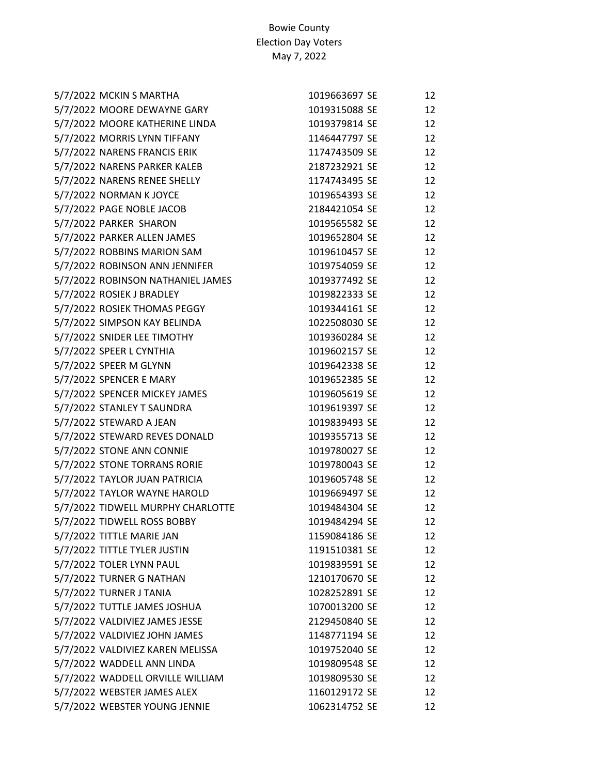| 5/7/2022 MCKIN S MARTHA           | 1019663697 SE | 12 |
|-----------------------------------|---------------|----|
| 5/7/2022 MOORE DEWAYNE GARY       | 1019315088 SE | 12 |
| 5/7/2022 MOORE KATHERINE LINDA    | 1019379814 SE | 12 |
| 5/7/2022 MORRIS LYNN TIFFANY      | 1146447797 SE | 12 |
| 5/7/2022 NARENS FRANCIS ERIK      | 1174743509 SE | 12 |
| 5/7/2022 NARENS PARKER KALEB      | 2187232921 SE | 12 |
| 5/7/2022 NARENS RENEE SHELLY      | 1174743495 SE | 12 |
| 5/7/2022 NORMAN K JOYCE           | 1019654393 SE | 12 |
| 5/7/2022 PAGE NOBLE JACOB         | 2184421054 SE | 12 |
| 5/7/2022 PARKER SHARON            | 1019565582 SE | 12 |
| 5/7/2022 PARKER ALLEN JAMES       | 1019652804 SE | 12 |
| 5/7/2022 ROBBINS MARION SAM       | 1019610457 SE | 12 |
| 5/7/2022 ROBINSON ANN JENNIFER    | 1019754059 SE | 12 |
| 5/7/2022 ROBINSON NATHANIEL JAMES | 1019377492 SE | 12 |
| 5/7/2022 ROSIEK J BRADLEY         | 1019822333 SE | 12 |
| 5/7/2022 ROSIEK THOMAS PEGGY      | 1019344161 SE | 12 |
| 5/7/2022 SIMPSON KAY BELINDA      | 1022508030 SE | 12 |
| 5/7/2022 SNIDER LEE TIMOTHY       | 1019360284 SE | 12 |
| 5/7/2022 SPEER L CYNTHIA          | 1019602157 SE | 12 |
| 5/7/2022 SPEER M GLYNN            | 1019642338 SE | 12 |
| 5/7/2022 SPENCER E MARY           | 1019652385 SE | 12 |
| 5/7/2022 SPENCER MICKEY JAMES     | 1019605619 SE | 12 |
| 5/7/2022 STANLEY T SAUNDRA        | 1019619397 SE | 12 |
| 5/7/2022 STEWARD A JEAN           | 1019839493 SE | 12 |
| 5/7/2022 STEWARD REVES DONALD     | 1019355713 SE | 12 |
| 5/7/2022 STONE ANN CONNIE         | 1019780027 SE | 12 |
| 5/7/2022 STONE TORRANS RORIE      | 1019780043 SE | 12 |
| 5/7/2022 TAYLOR JUAN PATRICIA     | 1019605748 SE | 12 |
| 5/7/2022 TAYLOR WAYNE HAROLD      | 1019669497 SE | 12 |
| 5/7/2022 TIDWELL MURPHY CHARLOTTE | 1019484304 SE | 12 |
| 5/7/2022 TIDWELL ROSS BOBBY       | 1019484294 SE | 12 |
| 5/7/2022 TITTLE MARIE JAN         | 1159084186 SE | 12 |
| 5/7/2022 TITTLE TYLER JUSTIN      | 1191510381 SE | 12 |
| 5/7/2022 TOLER LYNN PAUL          | 1019839591 SE | 12 |
| 5/7/2022 TURNER G NATHAN          | 1210170670 SE | 12 |
| 5/7/2022 TURNER J TANIA           | 1028252891 SE | 12 |
| 5/7/2022 TUTTLE JAMES JOSHUA      | 1070013200 SE | 12 |
| 5/7/2022 VALDIVIEZ JAMES JESSE    | 2129450840 SE | 12 |
| 5/7/2022 VALDIVIEZ JOHN JAMES     | 1148771194 SE | 12 |
| 5/7/2022 VALDIVIEZ KAREN MELISSA  | 1019752040 SE | 12 |
| 5/7/2022 WADDELL ANN LINDA        | 1019809548 SE | 12 |
| 5/7/2022 WADDELL ORVILLE WILLIAM  | 1019809530 SE | 12 |
| 5/7/2022 WEBSTER JAMES ALEX       | 1160129172 SE | 12 |
| 5/7/2022 WEBSTER YOUNG JENNIE     | 1062314752 SE | 12 |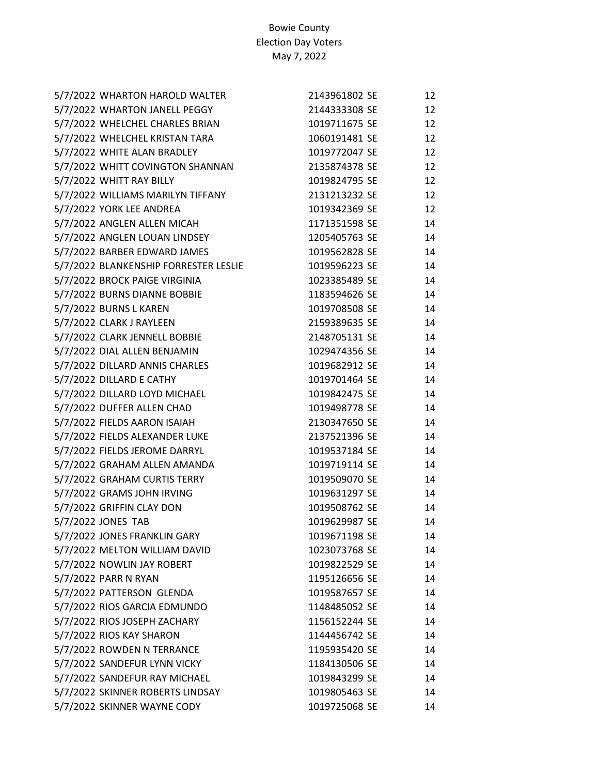| 5/7/2022 WHARTON HAROLD WALTER        | 2143961802 SE | 12 |
|---------------------------------------|---------------|----|
| 5/7/2022 WHARTON JANELL PEGGY         | 2144333308 SE | 12 |
| 5/7/2022 WHELCHEL CHARLES BRIAN       | 1019711675 SE | 12 |
| 5/7/2022 WHELCHEL KRISTAN TARA        | 1060191481 SE | 12 |
| 5/7/2022 WHITE ALAN BRADLEY           | 1019772047 SE | 12 |
| 5/7/2022 WHITT COVINGTON SHANNAN      | 2135874378 SE | 12 |
| 5/7/2022 WHITT RAY BILLY              | 1019824795 SE | 12 |
| 5/7/2022 WILLIAMS MARILYN TIFFANY     | 2131213232 SE | 12 |
| 5/7/2022 YORK LEE ANDREA              | 1019342369 SE | 12 |
| 5/7/2022 ANGLEN ALLEN MICAH           | 1171351598 SE | 14 |
| 5/7/2022 ANGLEN LOUAN LINDSEY         | 1205405763 SE | 14 |
| 5/7/2022 BARBER EDWARD JAMES          | 1019562828 SE | 14 |
| 5/7/2022 BLANKENSHIP FORRESTER LESLIE | 1019596223 SE | 14 |
| 5/7/2022 BROCK PAIGE VIRGINIA         | 1023385489 SE | 14 |
| 5/7/2022 BURNS DIANNE BOBBIE          | 1183594626 SE | 14 |
| 5/7/2022 BURNS L KAREN                | 1019708508 SE | 14 |
| 5/7/2022 CLARK J RAYLEEN              | 2159389635 SE | 14 |
| 5/7/2022 CLARK JENNELL BOBBIE         | 2148705131 SE | 14 |
| 5/7/2022 DIAL ALLEN BENJAMIN          | 1029474356 SE | 14 |
| 5/7/2022 DILLARD ANNIS CHARLES        | 1019682912 SE | 14 |
| 5/7/2022 DILLARD E CATHY              | 1019701464 SE | 14 |
| 5/7/2022 DILLARD LOYD MICHAEL         | 1019842475 SE | 14 |
| 5/7/2022 DUFFER ALLEN CHAD            | 1019498778 SE | 14 |
| 5/7/2022 FIELDS AARON ISAIAH          | 2130347650 SE | 14 |
| 5/7/2022 FIELDS ALEXANDER LUKE        | 2137521396 SE | 14 |
| 5/7/2022 FIELDS JEROME DARRYL         | 1019537184 SE | 14 |
| 5/7/2022 GRAHAM ALLEN AMANDA          | 1019719114 SE | 14 |
| 5/7/2022 GRAHAM CURTIS TERRY          | 1019509070 SE | 14 |
| 5/7/2022 GRAMS JOHN IRVING            | 1019631297 SE | 14 |
| 5/7/2022 GRIFFIN CLAY DON             | 1019508762 SE | 14 |
| 5/7/2022 JONES TAB                    | 1019629987 SE | 14 |
| 5/7/2022 JONES FRANKLIN GARY          | 1019671198 SE | 14 |
| 5/7/2022 MELTON WILLIAM DAVID         | 1023073768 SE | 14 |
| 5/7/2022 NOWLIN JAY ROBERT            | 1019822529 SE | 14 |
| 5/7/2022 PARR N RYAN                  | 1195126656 SE | 14 |
| 5/7/2022 PATTERSON GLENDA             | 1019587657 SE | 14 |
| 5/7/2022 RIOS GARCIA EDMUNDO          | 1148485052 SE | 14 |
| 5/7/2022 RIOS JOSEPH ZACHARY          | 1156152244 SE | 14 |
| 5/7/2022 RIOS KAY SHARON              | 1144456742 SE | 14 |
| 5/7/2022 ROWDEN N TERRANCE            | 1195935420 SE | 14 |
| 5/7/2022 SANDEFUR LYNN VICKY          | 1184130506 SE | 14 |
| 5/7/2022 SANDEFUR RAY MICHAEL         | 1019843299 SE | 14 |
| 5/7/2022 SKINNER ROBERTS LINDSAY      | 1019805463 SE | 14 |
| 5/7/2022 SKINNER WAYNE CODY           | 1019725068 SE | 14 |
|                                       |               |    |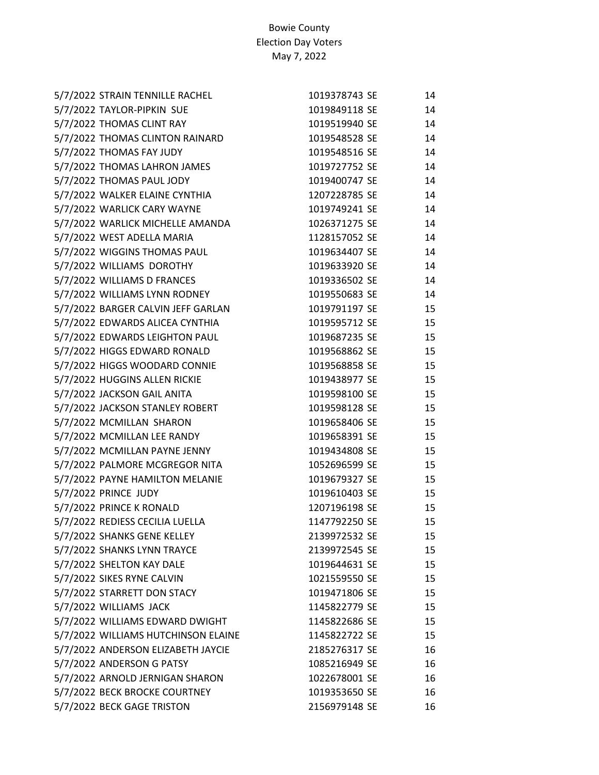| 5/7/2022 STRAIN TENNILLE RACHEL     | 1019378743 SE | 14 |
|-------------------------------------|---------------|----|
| 5/7/2022 TAYLOR-PIPKIN SUE          | 1019849118 SE | 14 |
| 5/7/2022 THOMAS CLINT RAY           | 1019519940 SE | 14 |
| 5/7/2022 THOMAS CLINTON RAINARD     | 1019548528 SE | 14 |
| 5/7/2022 THOMAS FAY JUDY            | 1019548516 SE | 14 |
| 5/7/2022 THOMAS LAHRON JAMES        | 1019727752 SE | 14 |
| 5/7/2022 THOMAS PAUL JODY           | 1019400747 SE | 14 |
| 5/7/2022 WALKER ELAINE CYNTHIA      | 1207228785 SE | 14 |
| 5/7/2022 WARLICK CARY WAYNE         | 1019749241 SE | 14 |
| 5/7/2022 WARLICK MICHELLE AMANDA    | 1026371275 SE | 14 |
| 5/7/2022 WEST ADELLA MARIA          | 1128157052 SE | 14 |
| 5/7/2022 WIGGINS THOMAS PAUL        | 1019634407 SE | 14 |
| 5/7/2022 WILLIAMS DOROTHY           | 1019633920 SE | 14 |
| 5/7/2022 WILLIAMS D FRANCES         | 1019336502 SE | 14 |
| 5/7/2022 WILLIAMS LYNN RODNEY       | 1019550683 SE | 14 |
| 5/7/2022 BARGER CALVIN JEFF GARLAN  | 1019791197 SE | 15 |
| 5/7/2022 EDWARDS ALICEA CYNTHIA     | 1019595712 SE | 15 |
| 5/7/2022 EDWARDS LEIGHTON PAUL      | 1019687235 SE | 15 |
| 5/7/2022 HIGGS EDWARD RONALD        | 1019568862 SE | 15 |
| 5/7/2022 HIGGS WOODARD CONNIE       | 1019568858 SE | 15 |
| 5/7/2022 HUGGINS ALLEN RICKIE       | 1019438977 SE | 15 |
| 5/7/2022 JACKSON GAIL ANITA         | 1019598100 SE | 15 |
| 5/7/2022 JACKSON STANLEY ROBERT     | 1019598128 SE | 15 |
| 5/7/2022 MCMILLAN SHARON            | 1019658406 SE | 15 |
| 5/7/2022 MCMILLAN LEE RANDY         | 1019658391 SE | 15 |
| 5/7/2022 MCMILLAN PAYNE JENNY       | 1019434808 SE | 15 |
| 5/7/2022 PALMORE MCGREGOR NITA      | 1052696599 SE | 15 |
| 5/7/2022 PAYNE HAMILTON MELANIE     | 1019679327 SE | 15 |
| 5/7/2022 PRINCE JUDY                | 1019610403 SE | 15 |
| 5/7/2022 PRINCE K RONALD            | 1207196198 SE | 15 |
| 5/7/2022 REDIESS CECILIA LUELLA     | 1147792250 SE | 15 |
| 5/7/2022 SHANKS GENE KELLEY         | 2139972532 SE | 15 |
| 5/7/2022 SHANKS LYNN TRAYCE         | 2139972545 SE | 15 |
| 5/7/2022 SHELTON KAY DALE           | 1019644631 SE | 15 |
| 5/7/2022 SIKES RYNE CALVIN          | 1021559550 SE | 15 |
| 5/7/2022 STARRETT DON STACY         | 1019471806 SE | 15 |
| 5/7/2022 WILLIAMS JACK              | 1145822779 SE | 15 |
| 5/7/2022 WILLIAMS EDWARD DWIGHT     | 1145822686 SE | 15 |
| 5/7/2022 WILLIAMS HUTCHINSON ELAINE | 1145822722 SE | 15 |
| 5/7/2022 ANDERSON ELIZABETH JAYCIE  | 2185276317 SE | 16 |
| 5/7/2022 ANDERSON G PATSY           | 1085216949 SE | 16 |
| 5/7/2022 ARNOLD JERNIGAN SHARON     | 1022678001 SE | 16 |
| 5/7/2022 BECK BROCKE COURTNEY       | 1019353650 SE | 16 |
| 5/7/2022 BECK GAGE TRISTON          | 2156979148 SE | 16 |
|                                     |               |    |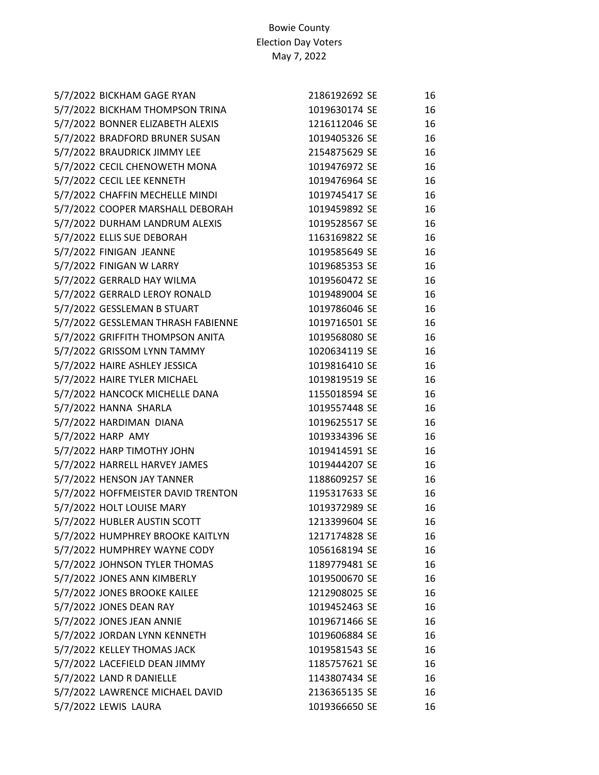| 5/7/2022 BICKHAM GAGE RYAN         | 2186192692 SE | 16 |
|------------------------------------|---------------|----|
| 5/7/2022 BICKHAM THOMPSON TRINA    | 1019630174 SE | 16 |
| 5/7/2022 BONNER ELIZABETH ALEXIS   | 1216112046 SE | 16 |
| 5/7/2022 BRADFORD BRUNER SUSAN     | 1019405326 SE | 16 |
| 5/7/2022 BRAUDRICK JIMMY LEE       | 2154875629 SE | 16 |
| 5/7/2022 CECIL CHENOWETH MONA      | 1019476972 SE | 16 |
| 5/7/2022 CECIL LEE KENNETH         | 1019476964 SE | 16 |
| 5/7/2022 CHAFFIN MECHELLE MINDI    | 1019745417 SE | 16 |
| 5/7/2022 COOPER MARSHALL DEBORAH   | 1019459892 SE | 16 |
| 5/7/2022 DURHAM LANDRUM ALEXIS     | 1019528567 SE | 16 |
| 5/7/2022 ELLIS SUE DEBORAH         | 1163169822 SE | 16 |
| 5/7/2022 FINIGAN JEANNE            | 1019585649 SE | 16 |
| 5/7/2022 FINIGAN W LARRY           | 1019685353 SE | 16 |
| 5/7/2022 GERRALD HAY WILMA         | 1019560472 SE | 16 |
| 5/7/2022 GERRALD LEROY RONALD      | 1019489004 SE | 16 |
| 5/7/2022 GESSLEMAN B STUART        | 1019786046 SE | 16 |
| 5/7/2022 GESSLEMAN THRASH FABIENNE | 1019716501 SE | 16 |
| 5/7/2022 GRIFFITH THOMPSON ANITA   | 1019568080 SE | 16 |
| 5/7/2022 GRISSOM LYNN TAMMY        | 1020634119 SE | 16 |
| 5/7/2022 HAIRE ASHLEY JESSICA      | 1019816410 SE | 16 |
| 5/7/2022 HAIRE TYLER MICHAEL       | 1019819519 SE | 16 |
| 5/7/2022 HANCOCK MICHELLE DANA     | 1155018594 SE | 16 |
| 5/7/2022 HANNA SHARLA              | 1019557448 SE | 16 |
| 5/7/2022 HARDIMAN DIANA            | 1019625517 SE | 16 |
| 5/7/2022 HARP AMY                  | 1019334396 SE | 16 |
| 5/7/2022 HARP TIMOTHY JOHN         | 1019414591 SE | 16 |
| 5/7/2022 HARRELL HARVEY JAMES      | 1019444207 SE | 16 |
| 5/7/2022 HENSON JAY TANNER         | 1188609257 SE | 16 |
| 5/7/2022 HOFFMEISTER DAVID TRENTON | 1195317633 SE | 16 |
| 5/7/2022 HOLT LOUISE MARY          | 1019372989 SE | 16 |
| 5/7/2022 HUBLER AUSTIN SCOTT       | 1213399604 SE | 16 |
| 5/7/2022 HUMPHREY BROOKE KAITLYN   | 1217174828 SE | 16 |
| 5/7/2022 HUMPHREY WAYNE CODY       | 1056168194 SE | 16 |
| 5/7/2022 JOHNSON TYLER THOMAS      | 1189779481 SE | 16 |
| 5/7/2022 JONES ANN KIMBERLY        | 1019500670 SE | 16 |
| 5/7/2022 JONES BROOKE KAILEE       | 1212908025 SE | 16 |
| 5/7/2022 JONES DEAN RAY            | 1019452463 SE | 16 |
| 5/7/2022 JONES JEAN ANNIE          | 1019671466 SE | 16 |
| 5/7/2022 JORDAN LYNN KENNETH       | 1019606884 SE | 16 |
| 5/7/2022 KELLEY THOMAS JACK        | 1019581543 SE | 16 |
| 5/7/2022 LACEFIELD DEAN JIMMY      | 1185757621 SE | 16 |
| 5/7/2022 LAND R DANIELLE           | 1143807434 SE | 16 |
| 5/7/2022 LAWRENCE MICHAEL DAVID    | 2136365135 SE | 16 |
| 5/7/2022 LEWIS LAURA               | 1019366650 SE | 16 |
|                                    |               |    |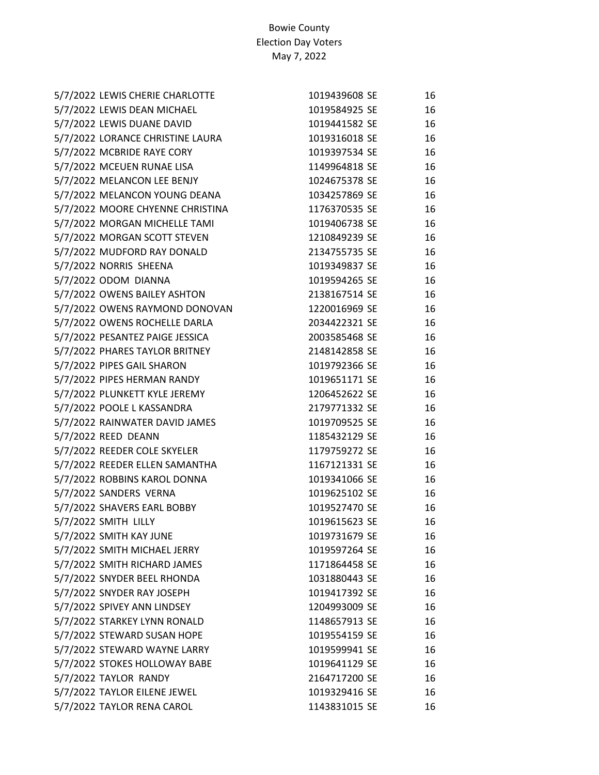| 5/7/2022 LEWIS CHERIE CHARLOTTE  | 1019439608 SE | 16 |
|----------------------------------|---------------|----|
| 5/7/2022 LEWIS DEAN MICHAEL      | 1019584925 SE | 16 |
| 5/7/2022 LEWIS DUANE DAVID       | 1019441582 SE | 16 |
| 5/7/2022 LORANCE CHRISTINE LAURA | 1019316018 SE | 16 |
| 5/7/2022 MCBRIDE RAYE CORY       | 1019397534 SE | 16 |
| 5/7/2022 MCEUEN RUNAE LISA       | 1149964818 SE | 16 |
| 5/7/2022 MELANCON LEE BENJY      | 1024675378 SE | 16 |
| 5/7/2022 MELANCON YOUNG DEANA    | 1034257869 SE | 16 |
| 5/7/2022 MOORE CHYENNE CHRISTINA | 1176370535 SE | 16 |
| 5/7/2022 MORGAN MICHELLE TAMI    | 1019406738 SE | 16 |
| 5/7/2022 MORGAN SCOTT STEVEN     | 1210849239 SE | 16 |
| 5/7/2022 MUDFORD RAY DONALD      | 2134755735 SE | 16 |
| 5/7/2022 NORRIS SHEENA           | 1019349837 SE | 16 |
| 5/7/2022 ODOM DIANNA             | 1019594265 SE | 16 |
| 5/7/2022 OWENS BAILEY ASHTON     | 2138167514 SE | 16 |
| 5/7/2022 OWENS RAYMOND DONOVAN   | 1220016969 SE | 16 |
| 5/7/2022 OWENS ROCHELLE DARLA    | 2034422321 SE | 16 |
| 5/7/2022 PESANTEZ PAIGE JESSICA  | 2003585468 SE | 16 |
| 5/7/2022 PHARES TAYLOR BRITNEY   | 2148142858 SE | 16 |
| 5/7/2022 PIPES GAIL SHARON       | 1019792366 SE | 16 |
| 5/7/2022 PIPES HERMAN RANDY      | 1019651171 SE | 16 |
| 5/7/2022 PLUNKETT KYLE JEREMY    | 1206452622 SE | 16 |
| 5/7/2022 POOLE L KASSANDRA       | 2179771332 SE | 16 |
| 5/7/2022 RAINWATER DAVID JAMES   | 1019709525 SE | 16 |
| 5/7/2022 REED DEANN              | 1185432129 SE | 16 |
| 5/7/2022 REEDER COLE SKYELER     | 1179759272 SE | 16 |
| 5/7/2022 REEDER ELLEN SAMANTHA   | 1167121331 SE | 16 |
| 5/7/2022 ROBBINS KAROL DONNA     | 1019341066 SE | 16 |
| 5/7/2022 SANDERS VERNA           | 1019625102 SE | 16 |
| 5/7/2022 SHAVERS EARL BOBBY      | 1019527470 SE | 16 |
| 5/7/2022 SMITH LILLY             | 1019615623 SE | 16 |
| 5/7/2022 SMITH KAY JUNE          | 1019731679 SE | 16 |
| 5/7/2022 SMITH MICHAEL JERRY     | 1019597264 SE | 16 |
| 5/7/2022 SMITH RICHARD JAMES     | 1171864458 SE | 16 |
| 5/7/2022 SNYDER BEEL RHONDA      | 1031880443 SE | 16 |
| 5/7/2022 SNYDER RAY JOSEPH       | 1019417392 SE | 16 |
| 5/7/2022 SPIVEY ANN LINDSEY      | 1204993009 SE | 16 |
| 5/7/2022 STARKEY LYNN RONALD     | 1148657913 SE | 16 |
| 5/7/2022 STEWARD SUSAN HOPE      | 1019554159 SE | 16 |
| 5/7/2022 STEWARD WAYNE LARRY     | 1019599941 SE | 16 |
| 5/7/2022 STOKES HOLLOWAY BABE    | 1019641129 SE | 16 |
| 5/7/2022 TAYLOR RANDY            | 2164717200 SE | 16 |
| 5/7/2022 TAYLOR EILENE JEWEL     | 1019329416 SE | 16 |
| 5/7/2022 TAYLOR RENA CAROL       | 1143831015 SE | 16 |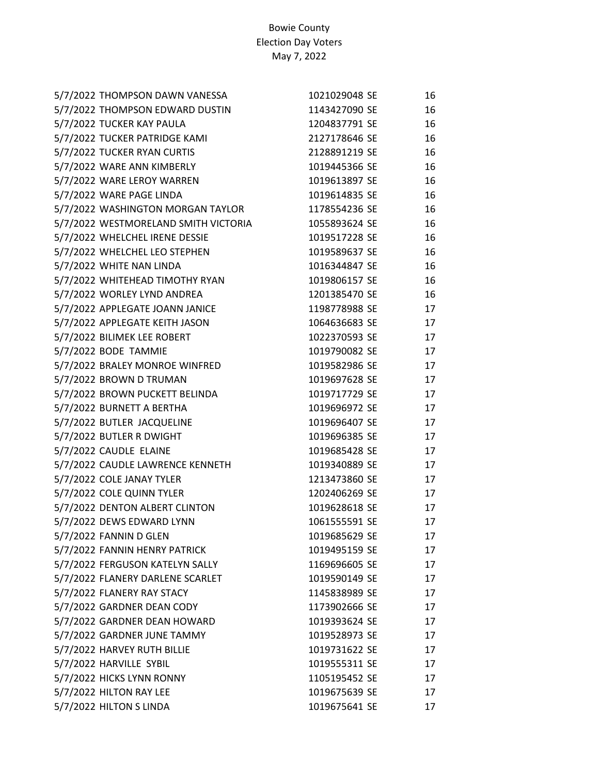| 5/7/2022 THOMPSON DAWN VANESSA       | 1021029048 SE | 16 |
|--------------------------------------|---------------|----|
| 5/7/2022 THOMPSON EDWARD DUSTIN      | 1143427090 SE | 16 |
| 5/7/2022 TUCKER KAY PAULA            | 1204837791 SE | 16 |
| 5/7/2022 TUCKER PATRIDGE KAMI        | 2127178646 SE | 16 |
| 5/7/2022 TUCKER RYAN CURTIS          | 2128891219 SE | 16 |
| 5/7/2022 WARE ANN KIMBERLY           | 1019445366 SE | 16 |
| 5/7/2022 WARE LEROY WARREN           | 1019613897 SE | 16 |
| 5/7/2022 WARE PAGE LINDA             | 1019614835 SE | 16 |
| 5/7/2022 WASHINGTON MORGAN TAYLOR    | 1178554236 SE | 16 |
| 5/7/2022 WESTMORELAND SMITH VICTORIA | 1055893624 SE | 16 |
| 5/7/2022 WHELCHEL IRENE DESSIE       | 1019517228 SE | 16 |
| 5/7/2022 WHELCHEL LEO STEPHEN        | 1019589637 SE | 16 |
| 5/7/2022 WHITE NAN LINDA             | 1016344847 SE | 16 |
| 5/7/2022 WHITEHEAD TIMOTHY RYAN      | 1019806157 SE | 16 |
| 5/7/2022 WORLEY LYND ANDREA          | 1201385470 SE | 16 |
| 5/7/2022 APPLEGATE JOANN JANICE      | 1198778988 SE | 17 |
| 5/7/2022 APPLEGATE KEITH JASON       | 1064636683 SE | 17 |
| 5/7/2022 BILIMEK LEE ROBERT          | 1022370593 SE | 17 |
| 5/7/2022 BODE TAMMIE                 | 1019790082 SE | 17 |
| 5/7/2022 BRALEY MONROE WINFRED       | 1019582986 SE | 17 |
| 5/7/2022 BROWN D TRUMAN              | 1019697628 SE | 17 |
| 5/7/2022 BROWN PUCKETT BELINDA       | 1019717729 SE | 17 |
| 5/7/2022 BURNETT A BERTHA            | 1019696972 SE | 17 |
| 5/7/2022 BUTLER JACQUELINE           | 1019696407 SE | 17 |
| 5/7/2022 BUTLER R DWIGHT             | 1019696385 SE | 17 |
| 5/7/2022 CAUDLE ELAINE               | 1019685428 SE | 17 |
| 5/7/2022 CAUDLE LAWRENCE KENNETH     | 1019340889 SE | 17 |
| 5/7/2022 COLE JANAY TYLER            | 1213473860 SE | 17 |
| 5/7/2022 COLE QUINN TYLER            | 1202406269 SE | 17 |
| 5/7/2022 DENTON ALBERT CLINTON       | 1019628618 SE | 17 |
| 5/7/2022 DEWS EDWARD LYNN            | 1061555591 SE | 17 |
| 5/7/2022 FANNIN D GLEN               | 1019685629 SE | 17 |
| 5/7/2022 FANNIN HENRY PATRICK        | 1019495159 SE | 17 |
| 5/7/2022 FERGUSON KATELYN SALLY      | 1169696605 SE | 17 |
| 5/7/2022 FLANERY DARLENE SCARLET     | 1019590149 SE | 17 |
| 5/7/2022 FLANERY RAY STACY           | 1145838989 SE | 17 |
| 5/7/2022 GARDNER DEAN CODY           | 1173902666 SE | 17 |
| 5/7/2022 GARDNER DEAN HOWARD         | 1019393624 SE | 17 |
| 5/7/2022 GARDNER JUNE TAMMY          | 1019528973 SE | 17 |
| 5/7/2022 HARVEY RUTH BILLIE          | 1019731622 SE | 17 |
| 5/7/2022 HARVILLE SYBIL              | 1019555311 SE | 17 |
| 5/7/2022 HICKS LYNN RONNY            | 1105195452 SE | 17 |
| 5/7/2022 HILTON RAY LEE              | 1019675639 SE | 17 |
| 5/7/2022 HILTON S LINDA              | 1019675641 SE | 17 |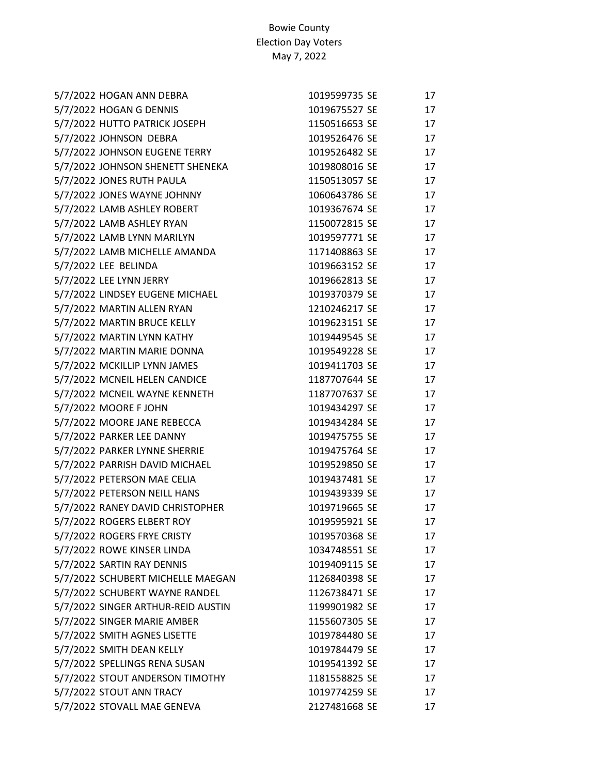| 5/7/2022 HOGAN ANN DEBRA           | 1019599735 SE | 17 |
|------------------------------------|---------------|----|
| 5/7/2022 HOGAN G DENNIS            | 1019675527 SE | 17 |
| 5/7/2022 HUTTO PATRICK JOSEPH      | 1150516653 SE | 17 |
| 5/7/2022 JOHNSON DEBRA             | 1019526476 SE | 17 |
| 5/7/2022 JOHNSON EUGENE TERRY      | 1019526482 SE | 17 |
| 5/7/2022 JOHNSON SHENETT SHENEKA   | 1019808016 SE | 17 |
| 5/7/2022 JONES RUTH PAULA          | 1150513057 SE | 17 |
| 5/7/2022 JONES WAYNE JOHNNY        | 1060643786 SE | 17 |
| 5/7/2022 LAMB ASHLEY ROBERT        | 1019367674 SE | 17 |
| 5/7/2022 LAMB ASHLEY RYAN          | 1150072815 SE | 17 |
| 5/7/2022 LAMB LYNN MARILYN         | 1019597771 SE | 17 |
| 5/7/2022 LAMB MICHELLE AMANDA      | 1171408863 SE | 17 |
| 5/7/2022 LEE BELINDA               | 1019663152 SE | 17 |
| 5/7/2022 LEE LYNN JERRY            | 1019662813 SE | 17 |
| 5/7/2022 LINDSEY EUGENE MICHAEL    | 1019370379 SE | 17 |
| 5/7/2022 MARTIN ALLEN RYAN         | 1210246217 SE | 17 |
| 5/7/2022 MARTIN BRUCE KELLY        | 1019623151 SE | 17 |
| 5/7/2022 MARTIN LYNN KATHY         | 1019449545 SE | 17 |
| 5/7/2022 MARTIN MARIE DONNA        | 1019549228 SE | 17 |
| 5/7/2022 MCKILLIP LYNN JAMES       | 1019411703 SE | 17 |
| 5/7/2022 MCNEIL HELEN CANDICE      | 1187707644 SE | 17 |
| 5/7/2022 MCNEIL WAYNE KENNETH      | 1187707637 SE | 17 |
| 5/7/2022 MOORE F JOHN              | 1019434297 SE | 17 |
| 5/7/2022 MOORE JANE REBECCA        | 1019434284 SE | 17 |
| 5/7/2022 PARKER LEE DANNY          | 1019475755 SE | 17 |
| 5/7/2022 PARKER LYNNE SHERRIE      | 1019475764 SE | 17 |
| 5/7/2022 PARRISH DAVID MICHAEL     | 1019529850 SE | 17 |
| 5/7/2022 PETERSON MAE CELIA        | 1019437481 SE | 17 |
| 5/7/2022 PETERSON NEILL HANS       | 1019439339 SE | 17 |
| 5/7/2022 RANEY DAVID CHRISTOPHER   | 1019719665 SE | 17 |
| 5/7/2022 ROGERS ELBERT ROY         | 1019595921 SE | 17 |
| 5/7/2022 ROGERS FRYE CRISTY        | 1019570368 SE | 17 |
| 5/7/2022 ROWE KINSER LINDA         | 1034748551 SE | 17 |
| 5/7/2022 SARTIN RAY DENNIS         | 1019409115 SE | 17 |
| 5/7/2022 SCHUBERT MICHELLE MAEGAN  | 1126840398 SE | 17 |
| 5/7/2022 SCHUBERT WAYNE RANDEL     | 1126738471 SE | 17 |
| 5/7/2022 SINGER ARTHUR-REID AUSTIN | 1199901982 SE | 17 |
| 5/7/2022 SINGER MARIE AMBER        | 1155607305 SE | 17 |
| 5/7/2022 SMITH AGNES LISETTE       | 1019784480 SE | 17 |
| 5/7/2022 SMITH DEAN KELLY          | 1019784479 SE | 17 |
| 5/7/2022 SPELLINGS RENA SUSAN      | 1019541392 SE | 17 |
| 5/7/2022 STOUT ANDERSON TIMOTHY    | 1181558825 SE | 17 |
| 5/7/2022 STOUT ANN TRACY           | 1019774259 SE | 17 |
| 5/7/2022 STOVALL MAE GENEVA        | 2127481668 SE | 17 |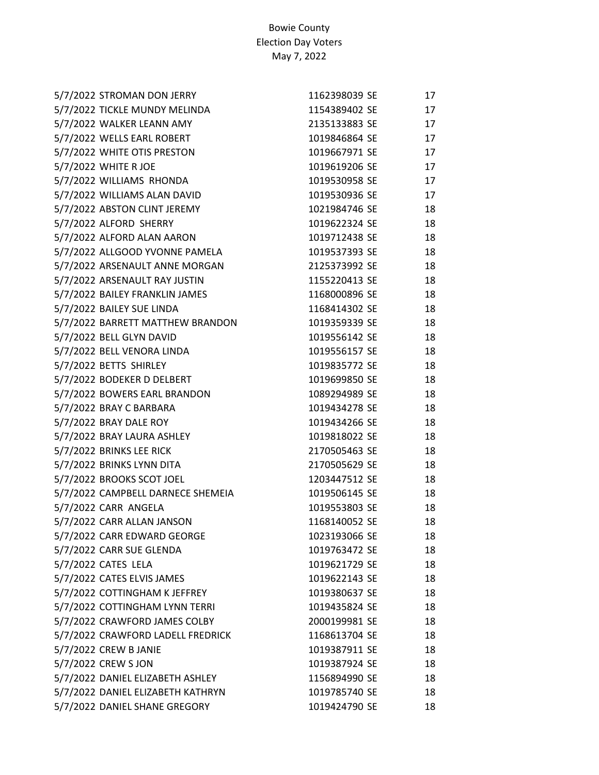| 5/7/2022 STROMAN DON JERRY        | 1162398039 SE | 17 |
|-----------------------------------|---------------|----|
| 5/7/2022 TICKLE MUNDY MELINDA     | 1154389402 SE | 17 |
| 5/7/2022 WALKER LEANN AMY         | 2135133883 SE | 17 |
| 5/7/2022 WELLS EARL ROBERT        | 1019846864 SE | 17 |
| 5/7/2022 WHITE OTIS PRESTON       | 1019667971 SE | 17 |
| 5/7/2022 WHITE R JOE              | 1019619206 SE | 17 |
| 5/7/2022 WILLIAMS RHONDA          | 1019530958 SE | 17 |
| 5/7/2022 WILLIAMS ALAN DAVID      | 1019530936 SE | 17 |
| 5/7/2022 ABSTON CLINT JEREMY      | 1021984746 SE | 18 |
| 5/7/2022 ALFORD SHERRY            | 1019622324 SE | 18 |
| 5/7/2022 ALFORD ALAN AARON        | 1019712438 SE | 18 |
| 5/7/2022 ALLGOOD YVONNE PAMELA    | 1019537393 SE | 18 |
| 5/7/2022 ARSENAULT ANNE MORGAN    | 2125373992 SE | 18 |
| 5/7/2022 ARSENAULT RAY JUSTIN     | 1155220413 SE | 18 |
| 5/7/2022 BAILEY FRANKLIN JAMES    | 1168000896 SE | 18 |
| 5/7/2022 BAILEY SUE LINDA         | 1168414302 SE | 18 |
| 5/7/2022 BARRETT MATTHEW BRANDON  | 1019359339 SE | 18 |
| 5/7/2022 BELL GLYN DAVID          | 1019556142 SE | 18 |
| 5/7/2022 BELL VENORA LINDA        | 1019556157 SE | 18 |
| 5/7/2022 BETTS SHIRLEY            | 1019835772 SE | 18 |
| 5/7/2022 BODEKER D DELBERT        | 1019699850 SE | 18 |
| 5/7/2022 BOWERS EARL BRANDON      | 1089294989 SE | 18 |
| 5/7/2022 BRAY C BARBARA           | 1019434278 SE | 18 |
| 5/7/2022 BRAY DALE ROY            | 1019434266 SE | 18 |
| 5/7/2022 BRAY LAURA ASHLEY        | 1019818022 SE | 18 |
| 5/7/2022 BRINKS LEE RICK          | 2170505463 SE | 18 |
| 5/7/2022 BRINKS LYNN DITA         | 2170505629 SE | 18 |
| 5/7/2022 BROOKS SCOT JOEL         | 1203447512 SE | 18 |
| 5/7/2022 CAMPBELL DARNECE SHEMEIA | 1019506145 SE | 18 |
| 5/7/2022 CARR ANGELA              | 1019553803 SE | 18 |
| 5/7/2022 CARR ALLAN JANSON        | 1168140052 SE | 18 |
| 5/7/2022 CARR EDWARD GEORGE       | 1023193066 SE | 18 |
| 5/7/2022 CARR SUE GLENDA          | 1019763472 SE | 18 |
| 5/7/2022 CATES LELA               | 1019621729 SE | 18 |
| 5/7/2022 CATES ELVIS JAMES        | 1019622143 SE | 18 |
| 5/7/2022 COTTINGHAM K JEFFREY     | 1019380637 SE | 18 |
| 5/7/2022 COTTINGHAM LYNN TERRI    | 1019435824 SE | 18 |
| 5/7/2022 CRAWFORD JAMES COLBY     | 2000199981 SE | 18 |
| 5/7/2022 CRAWFORD LADELL FREDRICK | 1168613704 SE | 18 |
| 5/7/2022 CREW B JANIE             | 1019387911 SE | 18 |
| 5/7/2022 CREW S JON               | 1019387924 SE | 18 |
| 5/7/2022 DANIEL ELIZABETH ASHLEY  | 1156894990 SE | 18 |
| 5/7/2022 DANIEL ELIZABETH KATHRYN | 1019785740 SE | 18 |
| 5/7/2022 DANIEL SHANE GREGORY     | 1019424790 SE | 18 |
|                                   |               |    |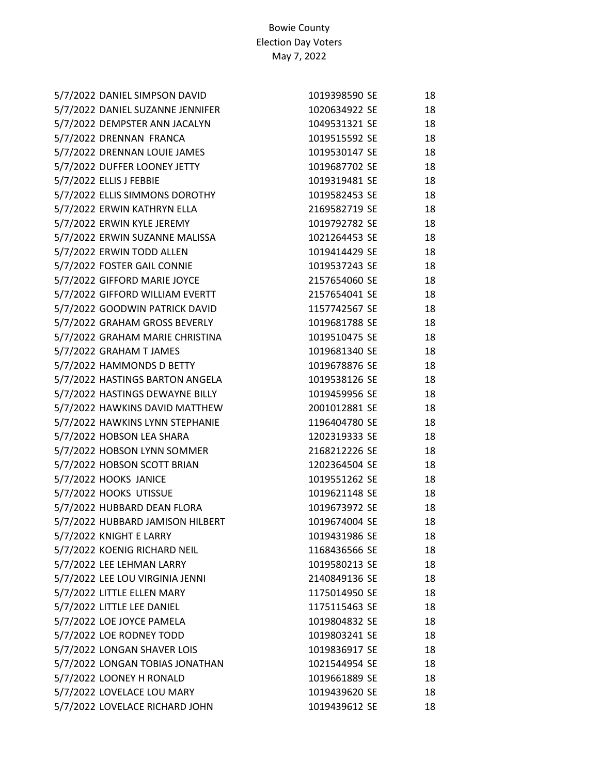| 5/7/2022 DANIEL SIMPSON DAVID    | 1019398590 SE | 18 |
|----------------------------------|---------------|----|
| 5/7/2022 DANIEL SUZANNE JENNIFER | 1020634922 SE | 18 |
| 5/7/2022 DEMPSTER ANN JACALYN    | 1049531321 SE | 18 |
| 5/7/2022 DRENNAN FRANCA          | 1019515592 SE | 18 |
| 5/7/2022 DRENNAN LOUIE JAMES     | 1019530147 SE | 18 |
| 5/7/2022 DUFFER LOONEY JETTY     | 1019687702 SE | 18 |
| 5/7/2022 ELLIS J FEBBIE          | 1019319481 SE | 18 |
| 5/7/2022 ELLIS SIMMONS DOROTHY   | 1019582453 SE | 18 |
| 5/7/2022 ERWIN KATHRYN ELLA      | 2169582719 SE | 18 |
| 5/7/2022 ERWIN KYLE JEREMY       | 1019792782 SE | 18 |
| 5/7/2022 ERWIN SUZANNE MALISSA   | 1021264453 SE | 18 |
| 5/7/2022 ERWIN TODD ALLEN        | 1019414429 SE | 18 |
| 5/7/2022 FOSTER GAIL CONNIE      | 1019537243 SE | 18 |
| 5/7/2022 GIFFORD MARIE JOYCE     | 2157654060 SE | 18 |
| 5/7/2022 GIFFORD WILLIAM EVERTT  | 2157654041 SE | 18 |
| 5/7/2022 GOODWIN PATRICK DAVID   | 1157742567 SE | 18 |
| 5/7/2022 GRAHAM GROSS BEVERLY    | 1019681788 SE | 18 |
| 5/7/2022 GRAHAM MARIE CHRISTINA  | 1019510475 SE | 18 |
| 5/7/2022 GRAHAM T JAMES          | 1019681340 SE | 18 |
| 5/7/2022 HAMMONDS D BETTY        | 1019678876 SE | 18 |
| 5/7/2022 HASTINGS BARTON ANGELA  | 1019538126 SE | 18 |
| 5/7/2022 HASTINGS DEWAYNE BILLY  | 1019459956 SE | 18 |
| 5/7/2022 HAWKINS DAVID MATTHEW   | 2001012881 SE | 18 |
| 5/7/2022 HAWKINS LYNN STEPHANIE  | 1196404780 SE | 18 |
| 5/7/2022 HOBSON LEA SHARA        | 1202319333 SE | 18 |
| 5/7/2022 HOBSON LYNN SOMMER      | 2168212226 SE | 18 |
| 5/7/2022 HOBSON SCOTT BRIAN      | 1202364504 SE | 18 |
| 5/7/2022 HOOKS JANICE            | 1019551262 SE | 18 |
| 5/7/2022 HOOKS UTISSUE           | 1019621148 SE | 18 |
| 5/7/2022 HUBBARD DEAN FLORA      | 1019673972 SE | 18 |
| 5/7/2022 HUBBARD JAMISON HILBERT | 1019674004 SE | 18 |
| 5/7/2022 KNIGHT E LARRY          | 1019431986 SE | 18 |
| 5/7/2022 KOENIG RICHARD NEIL     | 1168436566 SE | 18 |
| 5/7/2022 LEE LEHMAN LARRY        | 1019580213 SE | 18 |
| 5/7/2022 LEE LOU VIRGINIA JENNI  | 2140849136 SE | 18 |
| 5/7/2022 LITTLE ELLEN MARY       | 1175014950 SE | 18 |
| 5/7/2022 LITTLE LEE DANIEL       | 1175115463 SE | 18 |
| 5/7/2022 LOE JOYCE PAMELA        | 1019804832 SE | 18 |
| 5/7/2022 LOE RODNEY TODD         | 1019803241 SE | 18 |
| 5/7/2022 LONGAN SHAVER LOIS      | 1019836917 SE | 18 |
| 5/7/2022 LONGAN TOBIAS JONATHAN  | 1021544954 SE | 18 |
| 5/7/2022 LOONEY H RONALD         | 1019661889 SE | 18 |
| 5/7/2022 LOVELACE LOU MARY       | 1019439620 SE | 18 |
| 5/7/2022 LOVELACE RICHARD JOHN   | 1019439612 SE | 18 |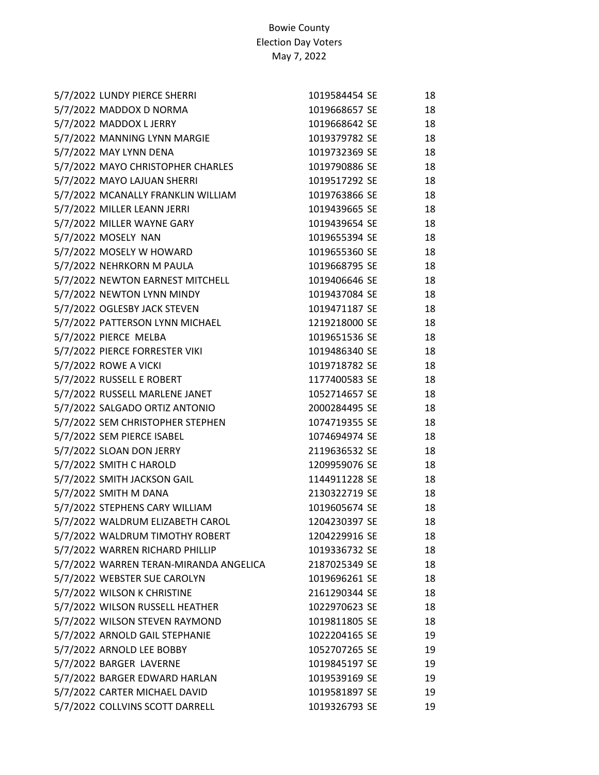| 5/7/2022 LUNDY PIERCE SHERRI           | 1019584454 SE | 18 |
|----------------------------------------|---------------|----|
| 5/7/2022 MADDOX D NORMA                | 1019668657 SE | 18 |
| 5/7/2022 MADDOX L JERRY                | 1019668642 SE | 18 |
| 5/7/2022 MANNING LYNN MARGIE           | 1019379782 SE | 18 |
| 5/7/2022 MAY LYNN DENA                 | 1019732369 SE | 18 |
| 5/7/2022 MAYO CHRISTOPHER CHARLES      | 1019790886 SE | 18 |
| 5/7/2022 MAYO LAJUAN SHERRI            | 1019517292 SE | 18 |
| 5/7/2022 MCANALLY FRANKLIN WILLIAM     | 1019763866 SE | 18 |
| 5/7/2022 MILLER LEANN JERRI            | 1019439665 SE | 18 |
| 5/7/2022 MILLER WAYNE GARY             | 1019439654 SE | 18 |
| 5/7/2022 MOSELY NAN                    | 1019655394 SE | 18 |
| 5/7/2022 MOSELY W HOWARD               | 1019655360 SE | 18 |
| 5/7/2022 NEHRKORN M PAULA              | 1019668795 SE | 18 |
| 5/7/2022 NEWTON EARNEST MITCHELL       | 1019406646 SE | 18 |
| 5/7/2022 NEWTON LYNN MINDY             | 1019437084 SE | 18 |
| 5/7/2022 OGLESBY JACK STEVEN           | 1019471187 SE | 18 |
| 5/7/2022 PATTERSON LYNN MICHAEL        | 1219218000 SE | 18 |
| 5/7/2022 PIERCE MELBA                  | 1019651536 SE | 18 |
| 5/7/2022 PIERCE FORRESTER VIKI         | 1019486340 SE | 18 |
| 5/7/2022 ROWE A VICKI                  | 1019718782 SE | 18 |
| 5/7/2022 RUSSELL E ROBERT              | 1177400583 SE | 18 |
| 5/7/2022 RUSSELL MARLENE JANET         | 1052714657 SE | 18 |
| 5/7/2022 SALGADO ORTIZ ANTONIO         | 2000284495 SE | 18 |
| 5/7/2022 SEM CHRISTOPHER STEPHEN       | 1074719355 SE | 18 |
| 5/7/2022 SEM PIERCE ISABEL             | 1074694974 SE | 18 |
| 5/7/2022 SLOAN DON JERRY               | 2119636532 SE | 18 |
| 5/7/2022 SMITH C HAROLD                | 1209959076 SE | 18 |
| 5/7/2022 SMITH JACKSON GAIL            | 1144911228 SE | 18 |
| 5/7/2022 SMITH M DANA                  | 2130322719 SE | 18 |
| 5/7/2022 STEPHENS CARY WILLIAM         | 1019605674 SE | 18 |
| 5/7/2022 WALDRUM ELIZABETH CAROL       | 1204230397 SE | 18 |
| 5/7/2022 WALDRUM TIMOTHY ROBERT        | 1204229916 SE | 18 |
| 5/7/2022 WARREN RICHARD PHILLIP        | 1019336732 SE | 18 |
| 5/7/2022 WARREN TERAN-MIRANDA ANGELICA | 2187025349 SE | 18 |
| 5/7/2022 WEBSTER SUE CAROLYN           | 1019696261 SE | 18 |
| 5/7/2022 WILSON K CHRISTINE            | 2161290344 SE | 18 |
| 5/7/2022 WILSON RUSSELL HEATHER        | 1022970623 SE | 18 |
| 5/7/2022 WILSON STEVEN RAYMOND         | 1019811805 SE | 18 |
| 5/7/2022 ARNOLD GAIL STEPHANIE         | 1022204165 SE | 19 |
| 5/7/2022 ARNOLD LEE BOBBY              | 1052707265 SE | 19 |
| 5/7/2022 BARGER LAVERNE                | 1019845197 SE | 19 |
| 5/7/2022 BARGER EDWARD HARLAN          | 1019539169 SE | 19 |
| 5/7/2022 CARTER MICHAEL DAVID          | 1019581897 SE | 19 |
| 5/7/2022 COLLVINS SCOTT DARRELL        | 1019326793 SE | 19 |
|                                        |               |    |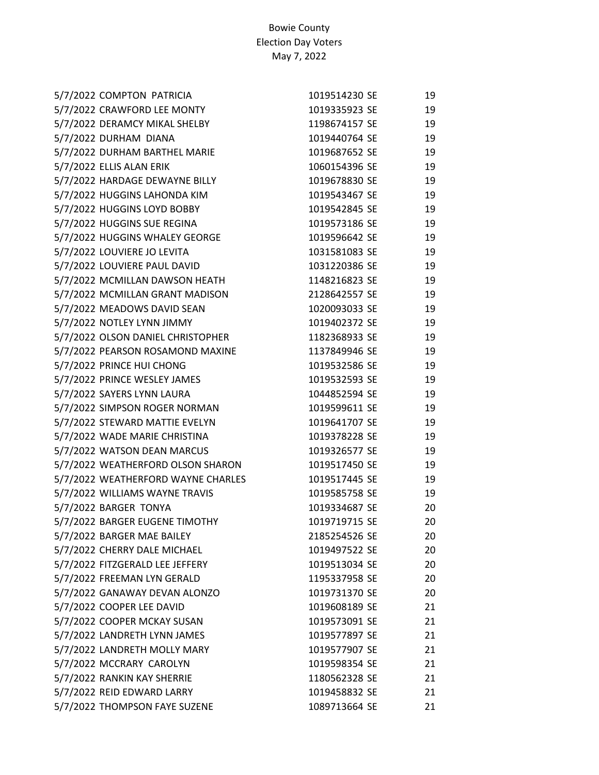| 5/7/2022 COMPTON PATRICIA          | 1019514230 SE | 19 |
|------------------------------------|---------------|----|
| 5/7/2022 CRAWFORD LEE MONTY        | 1019335923 SE | 19 |
| 5/7/2022 DERAMCY MIKAL SHELBY      | 1198674157 SE | 19 |
| 5/7/2022 DURHAM DIANA              | 1019440764 SE | 19 |
| 5/7/2022 DURHAM BARTHEL MARIE      | 1019687652 SE | 19 |
| 5/7/2022 ELLIS ALAN ERIK           | 1060154396 SE | 19 |
| 5/7/2022 HARDAGE DEWAYNE BILLY     | 1019678830 SE | 19 |
| 5/7/2022 HUGGINS LAHONDA KIM       | 1019543467 SE | 19 |
| 5/7/2022 HUGGINS LOYD BOBBY        | 1019542845 SE | 19 |
| 5/7/2022 HUGGINS SUE REGINA        | 1019573186 SE | 19 |
| 5/7/2022 HUGGINS WHALEY GEORGE     | 1019596642 SE | 19 |
| 5/7/2022 LOUVIERE JO LEVITA        | 1031581083 SE | 19 |
| 5/7/2022 LOUVIERE PAUL DAVID       | 1031220386 SE | 19 |
| 5/7/2022 MCMILLAN DAWSON HEATH     | 1148216823 SE | 19 |
| 5/7/2022 MCMILLAN GRANT MADISON    | 2128642557 SE | 19 |
| 5/7/2022 MEADOWS DAVID SEAN        | 1020093033 SE | 19 |
| 5/7/2022 NOTLEY LYNN JIMMY         | 1019402372 SE | 19 |
| 5/7/2022 OLSON DANIEL CHRISTOPHER  | 1182368933 SE | 19 |
| 5/7/2022 PEARSON ROSAMOND MAXINE   | 1137849946 SE | 19 |
| 5/7/2022 PRINCE HUI CHONG          | 1019532586 SE | 19 |
| 5/7/2022 PRINCE WESLEY JAMES       | 1019532593 SE | 19 |
| 5/7/2022 SAYERS LYNN LAURA         | 1044852594 SE | 19 |
| 5/7/2022 SIMPSON ROGER NORMAN      | 1019599611 SE | 19 |
| 5/7/2022 STEWARD MATTIE EVELYN     | 1019641707 SE | 19 |
| 5/7/2022 WADE MARIE CHRISTINA      | 1019378228 SE | 19 |
| 5/7/2022 WATSON DEAN MARCUS        | 1019326577 SE | 19 |
| 5/7/2022 WEATHERFORD OLSON SHARON  | 1019517450 SE | 19 |
| 5/7/2022 WEATHERFORD WAYNE CHARLES | 1019517445 SE | 19 |
| 5/7/2022 WILLIAMS WAYNE TRAVIS     | 1019585758 SE | 19 |
| 5/7/2022 BARGER TONYA              | 1019334687 SE | 20 |
| 5/7/2022 BARGER EUGENE TIMOTHY     | 1019719715 SE | 20 |
| 5/7/2022 BARGER MAE BAILEY         | 2185254526 SE | 20 |
| 5/7/2022 CHERRY DALE MICHAEL       | 1019497522 SE | 20 |
| 5/7/2022 FITZGERALD LEE JEFFERY    | 1019513034 SE | 20 |
| 5/7/2022 FREEMAN LYN GERALD        | 1195337958 SE | 20 |
| 5/7/2022 GANAWAY DEVAN ALONZO      | 1019731370 SE | 20 |
| 5/7/2022 COOPER LEE DAVID          | 1019608189 SE | 21 |
| 5/7/2022 COOPER MCKAY SUSAN        | 1019573091 SE | 21 |
| 5/7/2022 LANDRETH LYNN JAMES       | 1019577897 SE | 21 |
| 5/7/2022 LANDRETH MOLLY MARY       | 1019577907 SE | 21 |
| 5/7/2022 MCCRARY CAROLYN           | 1019598354 SE | 21 |
| 5/7/2022 RANKIN KAY SHERRIE        | 1180562328 SE | 21 |
| 5/7/2022 REID EDWARD LARRY         | 1019458832 SE | 21 |
| 5/7/2022 THOMPSON FAYE SUZENE      | 1089713664 SE | 21 |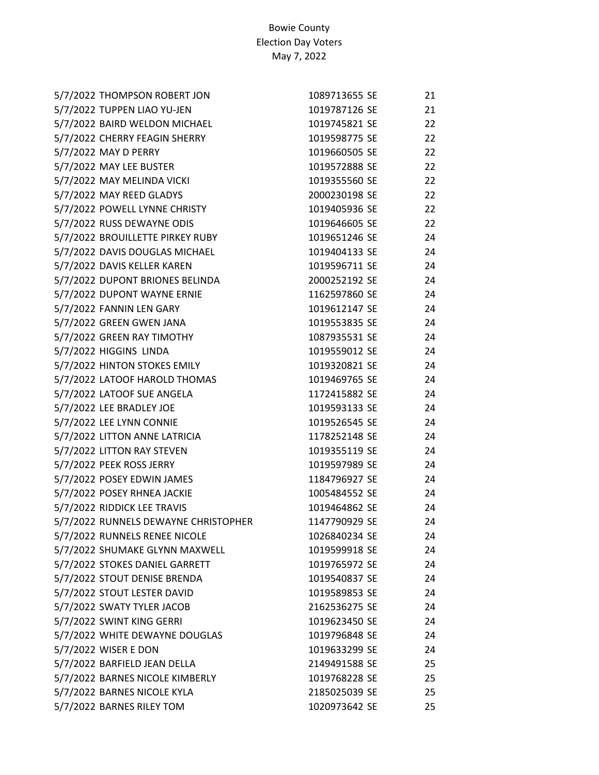| 5/7/2022 THOMPSON ROBERT JON         | 1089713655 SE | 21 |
|--------------------------------------|---------------|----|
| 5/7/2022 TUPPEN LIAO YU-JEN          | 1019787126 SE | 21 |
| 5/7/2022 BAIRD WELDON MICHAEL        | 1019745821 SE | 22 |
| 5/7/2022 CHERRY FEAGIN SHERRY        | 1019598775 SE | 22 |
| 5/7/2022 MAY D PERRY                 | 1019660505 SE | 22 |
| 5/7/2022 MAY LEE BUSTER              | 1019572888 SE | 22 |
| 5/7/2022 MAY MELINDA VICKI           | 1019355560 SE | 22 |
| 5/7/2022 MAY REED GLADYS             | 2000230198 SE | 22 |
| 5/7/2022 POWELL LYNNE CHRISTY        | 1019405936 SE | 22 |
| 5/7/2022 RUSS DEWAYNE ODIS           | 1019646605 SE | 22 |
| 5/7/2022 BROUILLETTE PIRKEY RUBY     | 1019651246 SE | 24 |
| 5/7/2022 DAVIS DOUGLAS MICHAEL       | 1019404133 SE | 24 |
| 5/7/2022 DAVIS KELLER KAREN          | 1019596711 SE | 24 |
| 5/7/2022 DUPONT BRIONES BELINDA      | 2000252192 SE | 24 |
| 5/7/2022 DUPONT WAYNE ERNIE          | 1162597860 SE | 24 |
| 5/7/2022 FANNIN LEN GARY             | 1019612147 SE | 24 |
| 5/7/2022 GREEN GWEN JANA             | 1019553835 SE | 24 |
| 5/7/2022 GREEN RAY TIMOTHY           | 1087935531 SE | 24 |
| 5/7/2022 HIGGINS LINDA               | 1019559012 SE | 24 |
| 5/7/2022 HINTON STOKES EMILY         | 1019320821 SE | 24 |
| 5/7/2022 LATOOF HAROLD THOMAS        | 1019469765 SE | 24 |
| 5/7/2022 LATOOF SUE ANGELA           | 1172415882 SE | 24 |
| 5/7/2022 LEE BRADLEY JOE             | 1019593133 SE | 24 |
| 5/7/2022 LEE LYNN CONNIE             | 1019526545 SE | 24 |
| 5/7/2022 LITTON ANNE LATRICIA        | 1178252148 SE | 24 |
| 5/7/2022 LITTON RAY STEVEN           | 1019355119 SE | 24 |
| 5/7/2022 PEEK ROSS JERRY             | 1019597989 SE | 24 |
| 5/7/2022 POSEY EDWIN JAMES           | 1184796927 SE | 24 |
| 5/7/2022 POSEY RHNEA JACKIE          | 1005484552 SE | 24 |
| 5/7/2022 RIDDICK LEE TRAVIS          | 1019464862 SE | 24 |
| 5/7/2022 RUNNELS DEWAYNE CHRISTOPHER | 1147790929 SE | 24 |
| 5/7/2022 RUNNELS RENEE NICOLE        | 1026840234 SE | 24 |
| 5/7/2022 SHUMAKE GLYNN MAXWELL       | 1019599918 SE | 24 |
| 5/7/2022 STOKES DANIEL GARRETT       | 1019765972 SE | 24 |
| 5/7/2022 STOUT DENISE BRENDA         | 1019540837 SE | 24 |
| 5/7/2022 STOUT LESTER DAVID          | 1019589853 SE | 24 |
| 5/7/2022 SWATY TYLER JACOB           | 2162536275 SE | 24 |
| 5/7/2022 SWINT KING GERRI            | 1019623450 SE | 24 |
| 5/7/2022 WHITE DEWAYNE DOUGLAS       | 1019796848 SE | 24 |
| 5/7/2022 WISER E DON                 | 1019633299 SE | 24 |
| 5/7/2022 BARFIELD JEAN DELLA         | 2149491588 SE | 25 |
| 5/7/2022 BARNES NICOLE KIMBERLY      | 1019768228 SE | 25 |
| 5/7/2022 BARNES NICOLE KYLA          | 2185025039 SE | 25 |
| 5/7/2022 BARNES RILEY TOM            | 1020973642 SE | 25 |
|                                      |               |    |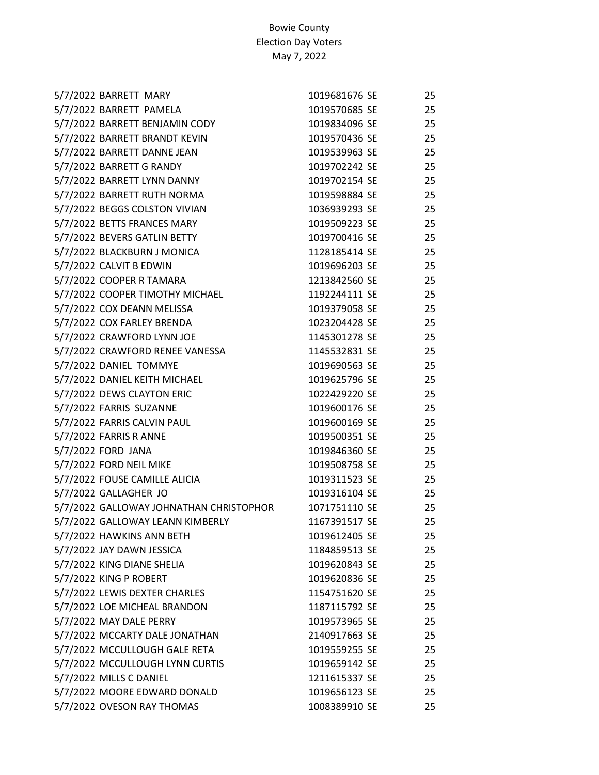| 5/7/2022 BARRETT MARY                   | 1019681676 SE | 25 |
|-----------------------------------------|---------------|----|
| 5/7/2022 BARRETT PAMELA                 | 1019570685 SE | 25 |
| 5/7/2022 BARRETT BENJAMIN CODY          | 1019834096 SE | 25 |
| 5/7/2022 BARRETT BRANDT KEVIN           | 1019570436 SE | 25 |
| 5/7/2022 BARRETT DANNE JEAN             | 1019539963 SE | 25 |
| 5/7/2022 BARRETT G RANDY                | 1019702242 SE | 25 |
| 5/7/2022 BARRETT LYNN DANNY             | 1019702154 SE | 25 |
| 5/7/2022 BARRETT RUTH NORMA             | 1019598884 SE | 25 |
| 5/7/2022 BEGGS COLSTON VIVIAN           | 1036939293 SE | 25 |
| 5/7/2022 BETTS FRANCES MARY             | 1019509223 SE | 25 |
| 5/7/2022 BEVERS GATLIN BETTY            | 1019700416 SE | 25 |
| 5/7/2022 BLACKBURN J MONICA             | 1128185414 SE | 25 |
| 5/7/2022 CALVIT B EDWIN                 | 1019696203 SE | 25 |
| 5/7/2022 COOPER R TAMARA                | 1213842560 SE | 25 |
| 5/7/2022 COOPER TIMOTHY MICHAEL         | 1192244111 SE | 25 |
| 5/7/2022 COX DEANN MELISSA              | 1019379058 SE | 25 |
| 5/7/2022 COX FARLEY BRENDA              | 1023204428 SE | 25 |
| 5/7/2022 CRAWFORD LYNN JOE              | 1145301278 SE | 25 |
| 5/7/2022 CRAWFORD RENEE VANESSA         | 1145532831 SE | 25 |
| 5/7/2022 DANIEL TOMMYE                  | 1019690563 SE | 25 |
| 5/7/2022 DANIEL KEITH MICHAEL           | 1019625796 SE | 25 |
| 5/7/2022 DEWS CLAYTON ERIC              | 1022429220 SE | 25 |
| 5/7/2022 FARRIS SUZANNE                 | 1019600176 SE | 25 |
| 5/7/2022 FARRIS CALVIN PAUL             | 1019600169 SE | 25 |
| 5/7/2022 FARRIS R ANNE                  | 1019500351 SE | 25 |
| 5/7/2022 FORD JANA                      | 1019846360 SE | 25 |
| 5/7/2022 FORD NEIL MIKE                 | 1019508758 SE | 25 |
| 5/7/2022 FOUSE CAMILLE ALICIA           | 1019311523 SE | 25 |
| 5/7/2022 GALLAGHER JO                   | 1019316104 SE | 25 |
| 5/7/2022 GALLOWAY JOHNATHAN CHRISTOPHOR | 1071751110 SE | 25 |
| 5/7/2022 GALLOWAY LEANN KIMBERLY        | 1167391517 SE | 25 |
| 5/7/2022 HAWKINS ANN BETH               | 1019612405 SE | 25 |
| 5/7/2022 JAY DAWN JESSICA               | 1184859513 SE | 25 |
| 5/7/2022 KING DIANE SHELIA              | 1019620843 SE | 25 |
| 5/7/2022 KING P ROBERT                  | 1019620836 SE | 25 |
| 5/7/2022 LEWIS DEXTER CHARLES           | 1154751620 SE | 25 |
| 5/7/2022 LOE MICHEAL BRANDON            | 1187115792 SE | 25 |
| 5/7/2022 MAY DALE PERRY                 | 1019573965 SE | 25 |
| 5/7/2022 MCCARTY DALE JONATHAN          | 2140917663 SE | 25 |
| 5/7/2022 MCCULLOUGH GALE RETA           | 1019559255 SE | 25 |
| 5/7/2022 MCCULLOUGH LYNN CURTIS         | 1019659142 SE | 25 |
| 5/7/2022 MILLS C DANIEL                 | 1211615337 SE | 25 |
| 5/7/2022 MOORE EDWARD DONALD            | 1019656123 SE | 25 |
| 5/7/2022 OVESON RAY THOMAS              | 1008389910 SE | 25 |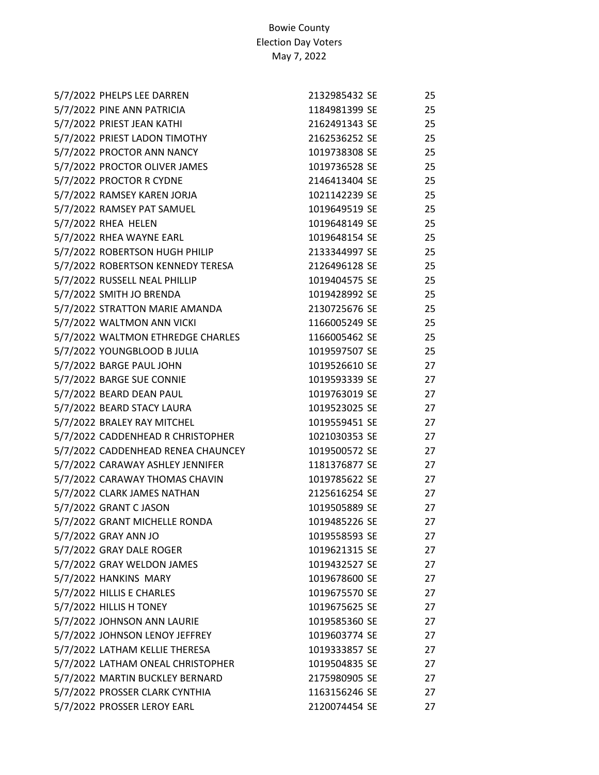| 5/7/2022 PHELPS LEE DARREN         | 2132985432 SE | 25 |
|------------------------------------|---------------|----|
| 5/7/2022 PINE ANN PATRICIA         | 1184981399 SE | 25 |
| 5/7/2022 PRIEST JEAN KATHI         | 2162491343 SE | 25 |
| 5/7/2022 PRIEST LADON TIMOTHY      | 2162536252 SE | 25 |
| 5/7/2022 PROCTOR ANN NANCY         | 1019738308 SE | 25 |
| 5/7/2022 PROCTOR OLIVER JAMES      | 1019736528 SE | 25 |
| 5/7/2022 PROCTOR R CYDNE           | 2146413404 SE | 25 |
| 5/7/2022 RAMSEY KAREN JORJA        | 1021142239 SE | 25 |
| 5/7/2022 RAMSEY PAT SAMUEL         | 1019649519 SE | 25 |
| 5/7/2022 RHEA HELEN                | 1019648149 SE | 25 |
| 5/7/2022 RHEA WAYNE EARL           | 1019648154 SE | 25 |
| 5/7/2022 ROBERTSON HUGH PHILIP     | 2133344997 SE | 25 |
| 5/7/2022 ROBERTSON KENNEDY TERESA  | 2126496128 SE | 25 |
| 5/7/2022 RUSSELL NEAL PHILLIP      | 1019404575 SE | 25 |
| 5/7/2022 SMITH JO BRENDA           | 1019428992 SE | 25 |
| 5/7/2022 STRATTON MARIE AMANDA     | 2130725676 SE | 25 |
| 5/7/2022 WALTMON ANN VICKI         | 1166005249 SE | 25 |
| 5/7/2022 WALTMON ETHREDGE CHARLES  | 1166005462 SE | 25 |
| 5/7/2022 YOUNGBLOOD B JULIA        | 1019597507 SE | 25 |
| 5/7/2022 BARGE PAUL JOHN           | 1019526610 SE | 27 |
| 5/7/2022 BARGE SUE CONNIE          | 1019593339 SE | 27 |
| 5/7/2022 BEARD DEAN PAUL           | 1019763019 SE | 27 |
| 5/7/2022 BEARD STACY LAURA         | 1019523025 SE | 27 |
| 5/7/2022 BRALEY RAY MITCHEL        | 1019559451 SE | 27 |
| 5/7/2022 CADDENHEAD R CHRISTOPHER  | 1021030353 SE | 27 |
| 5/7/2022 CADDENHEAD RENEA CHAUNCEY | 1019500572 SE | 27 |
| 5/7/2022 CARAWAY ASHLEY JENNIFER   | 1181376877 SE | 27 |
| 5/7/2022 CARAWAY THOMAS CHAVIN     | 1019785622 SE | 27 |
| 5/7/2022 CLARK JAMES NATHAN        | 2125616254 SE | 27 |
| 5/7/2022 GRANT C JASON             | 1019505889 SE | 27 |
| 5/7/2022 GRANT MICHELLE RONDA      | 1019485226 SE | 27 |
| 5/7/2022 GRAY ANN JO               | 1019558593 SE | 27 |
| 5/7/2022 GRAY DALE ROGER           | 1019621315 SE | 27 |
| 5/7/2022 GRAY WELDON JAMES         | 1019432527 SE | 27 |
| 5/7/2022 HANKINS MARY              | 1019678600 SE | 27 |
| 5/7/2022 HILLIS E CHARLES          | 1019675570 SE | 27 |
| 5/7/2022 HILLIS H TONEY            | 1019675625 SE | 27 |
| 5/7/2022 JOHNSON ANN LAURIE        | 1019585360 SE | 27 |
| 5/7/2022 JOHNSON LENOY JEFFREY     | 1019603774 SE | 27 |
| 5/7/2022 LATHAM KELLIE THERESA     | 1019333857 SE | 27 |
| 5/7/2022 LATHAM ONEAL CHRISTOPHER  | 1019504835 SE | 27 |
| 5/7/2022 MARTIN BUCKLEY BERNARD    | 2175980905 SE | 27 |
| 5/7/2022 PROSSER CLARK CYNTHIA     | 1163156246 SE | 27 |
| 5/7/2022 PROSSER LEROY EARL        | 2120074454 SE | 27 |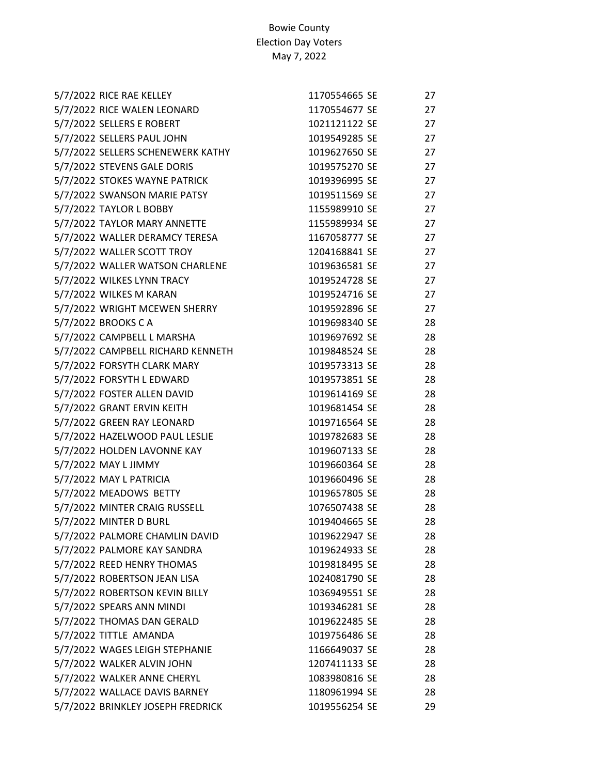| 5/7/2022 RICE RAE KELLEY          | 1170554665 SE | 27 |
|-----------------------------------|---------------|----|
| 5/7/2022 RICE WALEN LEONARD       | 1170554677 SE | 27 |
| 5/7/2022 SELLERS E ROBERT         | 1021121122 SE | 27 |
| 5/7/2022 SELLERS PAUL JOHN        | 1019549285 SE | 27 |
| 5/7/2022 SELLERS SCHENEWERK KATHY | 1019627650 SE | 27 |
| 5/7/2022 STEVENS GALE DORIS       | 1019575270 SE | 27 |
| 5/7/2022 STOKES WAYNE PATRICK     | 1019396995 SE | 27 |
| 5/7/2022 SWANSON MARIE PATSY      | 1019511569 SE | 27 |
| 5/7/2022 TAYLOR L BOBBY           | 1155989910 SE | 27 |
| 5/7/2022 TAYLOR MARY ANNETTE      | 1155989934 SE | 27 |
| 5/7/2022 WALLER DERAMCY TERESA    | 1167058777 SE | 27 |
| 5/7/2022 WALLER SCOTT TROY        | 1204168841 SE | 27 |
| 5/7/2022 WALLER WATSON CHARLENE   | 1019636581 SE | 27 |
| 5/7/2022 WILKES LYNN TRACY        | 1019524728 SE | 27 |
| 5/7/2022 WILKES M KARAN           | 1019524716 SE | 27 |
| 5/7/2022 WRIGHT MCEWEN SHERRY     | 1019592896 SE | 27 |
| 5/7/2022 BROOKS C A               | 1019698340 SE | 28 |
| 5/7/2022 CAMPBELL L MARSHA        | 1019697692 SE | 28 |
| 5/7/2022 CAMPBELL RICHARD KENNETH | 1019848524 SE | 28 |
| 5/7/2022 FORSYTH CLARK MARY       | 1019573313 SE | 28 |
| 5/7/2022 FORSYTH L EDWARD         | 1019573851 SE | 28 |
| 5/7/2022 FOSTER ALLEN DAVID       | 1019614169 SE | 28 |
| 5/7/2022 GRANT ERVIN KEITH        | 1019681454 SE | 28 |
| 5/7/2022 GREEN RAY LEONARD        | 1019716564 SE | 28 |
| 5/7/2022 HAZELWOOD PAUL LESLIE    | 1019782683 SE | 28 |
| 5/7/2022 HOLDEN LAVONNE KAY       | 1019607133 SE | 28 |
| 5/7/2022 MAY L JIMMY              | 1019660364 SE | 28 |
| 5/7/2022 MAY L PATRICIA           | 1019660496 SE | 28 |
| 5/7/2022 MEADOWS BETTY            | 1019657805 SE | 28 |
| 5/7/2022 MINTER CRAIG RUSSELL     | 1076507438 SE | 28 |
| 5/7/2022 MINTER D BURL            | 1019404665 SE | 28 |
| 5/7/2022 PALMORE CHAMLIN DAVID    | 1019622947 SE | 28 |
| 5/7/2022 PALMORE KAY SANDRA       | 1019624933 SE | 28 |
| 5/7/2022 REED HENRY THOMAS        | 1019818495 SE | 28 |
| 5/7/2022 ROBERTSON JEAN LISA      | 1024081790 SE | 28 |
| 5/7/2022 ROBERTSON KEVIN BILLY    | 1036949551 SE | 28 |
| 5/7/2022 SPEARS ANN MINDI         | 1019346281 SE | 28 |
| 5/7/2022 THOMAS DAN GERALD        | 1019622485 SE | 28 |
| 5/7/2022 TITTLE AMANDA            | 1019756486 SE | 28 |
| 5/7/2022 WAGES LEIGH STEPHANIE    | 1166649037 SE | 28 |
| 5/7/2022 WALKER ALVIN JOHN        | 1207411133 SE | 28 |
| 5/7/2022 WALKER ANNE CHERYL       | 1083980816 SE | 28 |
| 5/7/2022 WALLACE DAVIS BARNEY     | 1180961994 SE | 28 |
| 5/7/2022 BRINKLEY JOSEPH FREDRICK | 1019556254 SE | 29 |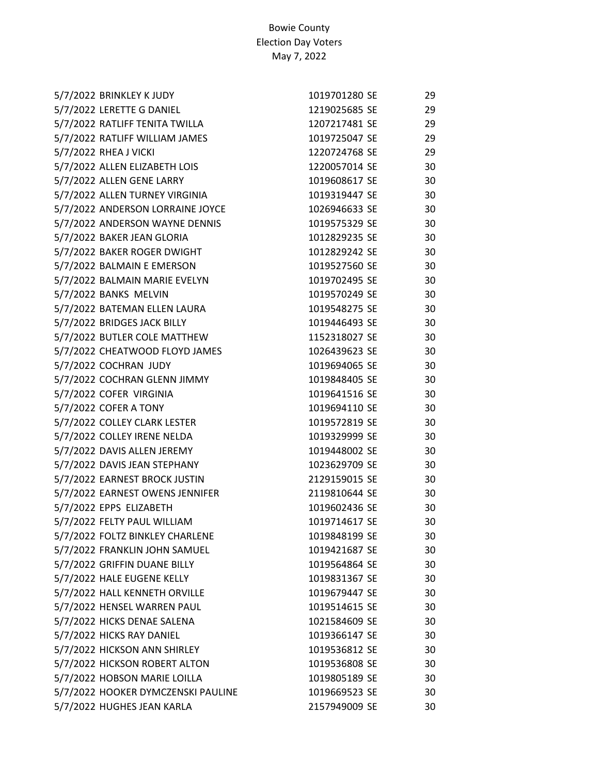| 5/7/2022 BRINKLEY K JUDY           | 1019701280 SE | 29 |
|------------------------------------|---------------|----|
| 5/7/2022 LERETTE G DANIEL          | 1219025685 SE | 29 |
| 5/7/2022 RATLIFF TENITA TWILLA     | 1207217481 SE | 29 |
| 5/7/2022 RATLIFF WILLIAM JAMES     | 1019725047 SE | 29 |
| 5/7/2022 RHEA J VICKI              | 1220724768 SE | 29 |
| 5/7/2022 ALLEN ELIZABETH LOIS      | 1220057014 SE | 30 |
| 5/7/2022 ALLEN GENE LARRY          | 1019608617 SE | 30 |
| 5/7/2022 ALLEN TURNEY VIRGINIA     | 1019319447 SE | 30 |
| 5/7/2022 ANDERSON LORRAINE JOYCE   | 1026946633 SE | 30 |
| 5/7/2022 ANDERSON WAYNE DENNIS     | 1019575329 SE | 30 |
| 5/7/2022 BAKER JEAN GLORIA         | 1012829235 SE | 30 |
| 5/7/2022 BAKER ROGER DWIGHT        | 1012829242 SE | 30 |
| 5/7/2022 BALMAIN E EMERSON         | 1019527560 SE | 30 |
| 5/7/2022 BALMAIN MARIE EVELYN      | 1019702495 SE | 30 |
| 5/7/2022 BANKS MELVIN              | 1019570249 SE | 30 |
| 5/7/2022 BATEMAN ELLEN LAURA       | 1019548275 SE | 30 |
| 5/7/2022 BRIDGES JACK BILLY        | 1019446493 SE | 30 |
| 5/7/2022 BUTLER COLE MATTHEW       | 1152318027 SE | 30 |
| 5/7/2022 CHEATWOOD FLOYD JAMES     | 1026439623 SE | 30 |
| 5/7/2022 COCHRAN JUDY              | 1019694065 SE | 30 |
| 5/7/2022 COCHRAN GLENN JIMMY       | 1019848405 SE | 30 |
| 5/7/2022 COFER VIRGINIA            | 1019641516 SE | 30 |
| 5/7/2022 COFER A TONY              | 1019694110 SE | 30 |
| 5/7/2022 COLLEY CLARK LESTER       | 1019572819 SE | 30 |
| 5/7/2022 COLLEY IRENE NELDA        | 1019329999 SE | 30 |
| 5/7/2022 DAVIS ALLEN JEREMY        | 1019448002 SE | 30 |
| 5/7/2022 DAVIS JEAN STEPHANY       | 1023629709 SE | 30 |
| 5/7/2022 EARNEST BROCK JUSTIN      | 2129159015 SE | 30 |
| 5/7/2022 EARNEST OWENS JENNIFER    | 2119810644 SE | 30 |
| 5/7/2022 EPPS ELIZABETH            | 1019602436 SE | 30 |
| 5/7/2022 FELTY PAUL WILLIAM        | 1019714617 SE | 30 |
| 5/7/2022 FOLTZ BINKLEY CHARLENE    | 1019848199 SE | 30 |
| 5/7/2022 FRANKLIN JOHN SAMUEL      | 1019421687 SE | 30 |
| 5/7/2022 GRIFFIN DUANE BILLY       | 1019564864 SE | 30 |
| 5/7/2022 HALE EUGENE KELLY         | 1019831367 SE | 30 |
| 5/7/2022 HALL KENNETH ORVILLE      | 1019679447 SE | 30 |
| 5/7/2022 HENSEL WARREN PAUL        | 1019514615 SE | 30 |
| 5/7/2022 HICKS DENAE SALENA        | 1021584609 SE | 30 |
| 5/7/2022 HICKS RAY DANIEL          | 1019366147 SE | 30 |
| 5/7/2022 HICKSON ANN SHIRLEY       | 1019536812 SE | 30 |
| 5/7/2022 HICKSON ROBERT ALTON      | 1019536808 SE | 30 |
| 5/7/2022 HOBSON MARIE LOILLA       | 1019805189 SE | 30 |
| 5/7/2022 HOOKER DYMCZENSKI PAULINE | 1019669523 SE | 30 |
| 5/7/2022 HUGHES JEAN KARLA         | 2157949009 SE | 30 |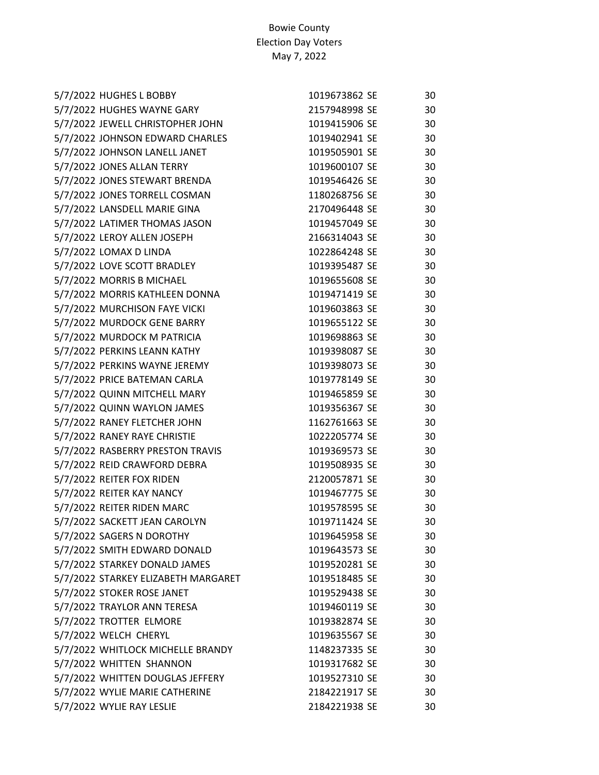| 5/7/2022 HUGHES L BOBBY             | 1019673862 SE | 30 |
|-------------------------------------|---------------|----|
| 5/7/2022 HUGHES WAYNE GARY          | 2157948998 SE | 30 |
| 5/7/2022 JEWELL CHRISTOPHER JOHN    | 1019415906 SE | 30 |
| 5/7/2022 JOHNSON EDWARD CHARLES     | 1019402941 SE | 30 |
| 5/7/2022 JOHNSON LANELL JANET       | 1019505901 SE | 30 |
| 5/7/2022 JONES ALLAN TERRY          | 1019600107 SE | 30 |
| 5/7/2022 JONES STEWART BRENDA       | 1019546426 SE | 30 |
| 5/7/2022 JONES TORRELL COSMAN       | 1180268756 SE | 30 |
| 5/7/2022 LANSDELL MARIE GINA        | 2170496448 SE | 30 |
| 5/7/2022 LATIMER THOMAS JASON       | 1019457049 SE | 30 |
| 5/7/2022 LEROY ALLEN JOSEPH         | 2166314043 SE | 30 |
| 5/7/2022 LOMAX D LINDA              | 1022864248 SE | 30 |
| 5/7/2022 LOVE SCOTT BRADLEY         | 1019395487 SE | 30 |
| 5/7/2022 MORRIS B MICHAEL           | 1019655608 SE | 30 |
| 5/7/2022 MORRIS KATHLEEN DONNA      | 1019471419 SE | 30 |
| 5/7/2022 MURCHISON FAYE VICKI       | 1019603863 SE | 30 |
| 5/7/2022 MURDOCK GENE BARRY         | 1019655122 SE | 30 |
| 5/7/2022 MURDOCK M PATRICIA         | 1019698863 SE | 30 |
| 5/7/2022 PERKINS LEANN KATHY        | 1019398087 SE | 30 |
| 5/7/2022 PERKINS WAYNE JEREMY       | 1019398073 SE | 30 |
| 5/7/2022 PRICE BATEMAN CARLA        | 1019778149 SE | 30 |
| 5/7/2022 QUINN MITCHELL MARY        | 1019465859 SE | 30 |
| 5/7/2022 QUINN WAYLON JAMES         | 1019356367 SE | 30 |
| 5/7/2022 RANEY FLETCHER JOHN        | 1162761663 SE | 30 |
| 5/7/2022 RANEY RAYE CHRISTIE        | 1022205774 SE | 30 |
| 5/7/2022 RASBERRY PRESTON TRAVIS    | 1019369573 SE | 30 |
| 5/7/2022 REID CRAWFORD DEBRA        | 1019508935 SE | 30 |
| 5/7/2022 REITER FOX RIDEN           | 2120057871 SE | 30 |
| 5/7/2022 REITER KAY NANCY           | 1019467775 SE | 30 |
| 5/7/2022 REITER RIDEN MARC          | 1019578595 SE | 30 |
| 5/7/2022 SACKETT JEAN CAROLYN       | 1019711424 SE | 30 |
| 5/7/2022 SAGERS N DOROTHY           | 1019645958 SE | 30 |
| 5/7/2022 SMITH EDWARD DONALD        | 1019643573 SE | 30 |
| 5/7/2022 STARKEY DONALD JAMES       | 1019520281 SE | 30 |
| 5/7/2022 STARKEY ELIZABETH MARGARET | 1019518485 SE | 30 |
| 5/7/2022 STOKER ROSE JANET          | 1019529438 SE | 30 |
| 5/7/2022 TRAYLOR ANN TERESA         | 1019460119 SE | 30 |
| 5/7/2022 TROTTER ELMORE             | 1019382874 SE | 30 |
| 5/7/2022 WELCH CHERYL               | 1019635567 SE | 30 |
| 5/7/2022 WHITLOCK MICHELLE BRANDY   | 1148237335 SE | 30 |
| 5/7/2022 WHITTEN SHANNON            | 1019317682 SE | 30 |
| 5/7/2022 WHITTEN DOUGLAS JEFFERY    | 1019527310 SE | 30 |
| 5/7/2022 WYLIE MARIE CATHERINE      | 2184221917 SE | 30 |
| 5/7/2022 WYLIE RAY LESLIE           | 2184221938 SE | 30 |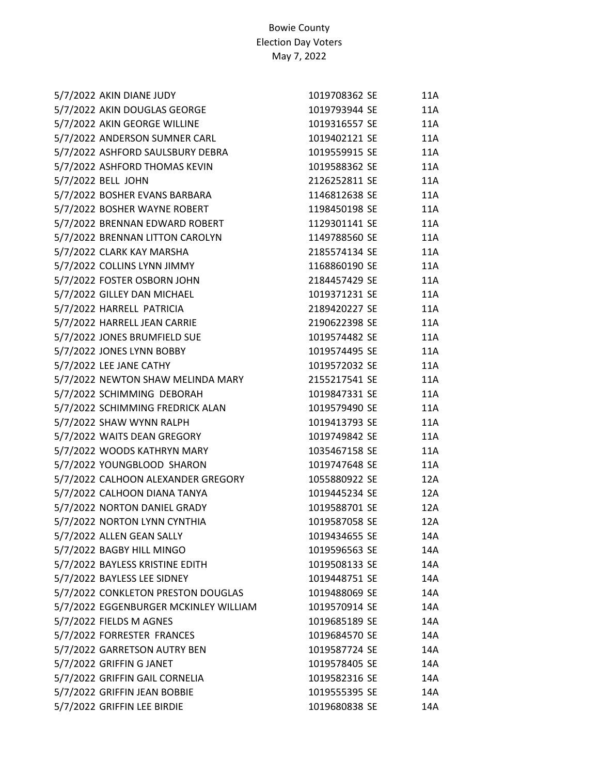| 5/7/2022 AKIN DIANE JUDY              | 1019708362 SE | 11A        |
|---------------------------------------|---------------|------------|
| 5/7/2022 AKIN DOUGLAS GEORGE          | 1019793944 SE | 11A        |
| 5/7/2022 AKIN GEORGE WILLINE          | 1019316557 SE | 11A        |
| 5/7/2022 ANDERSON SUMNER CARL         | 1019402121 SE | 11A        |
| 5/7/2022 ASHFORD SAULSBURY DEBRA      | 1019559915 SE | 11A        |
| 5/7/2022 ASHFORD THOMAS KEVIN         | 1019588362 SE | 11A        |
| 5/7/2022 BELL JOHN                    | 2126252811 SE | 11A        |
| 5/7/2022 BOSHER EVANS BARBARA         | 1146812638 SE | 11A        |
| 5/7/2022 BOSHER WAYNE ROBERT          | 1198450198 SE | 11A        |
| 5/7/2022 BRENNAN EDWARD ROBERT        | 1129301141 SE | <b>11A</b> |
| 5/7/2022 BRENNAN LITTON CAROLYN       | 1149788560 SE | 11A        |
| 5/7/2022 CLARK KAY MARSHA             | 2185574134 SE | 11A        |
| 5/7/2022 COLLINS LYNN JIMMY           | 1168860190 SE | 11A        |
| 5/7/2022 FOSTER OSBORN JOHN           | 2184457429 SE | 11A        |
| 5/7/2022 GILLEY DAN MICHAEL           | 1019371231 SE | 11A        |
| 5/7/2022 HARRELL PATRICIA             | 2189420227 SE | 11A        |
| 5/7/2022 HARRELL JEAN CARRIE          | 2190622398 SE | 11A        |
| 5/7/2022 JONES BRUMFIELD SUE          | 1019574482 SE | 11A        |
| 5/7/2022 JONES LYNN BOBBY             | 1019574495 SE | 11A        |
| 5/7/2022 LEE JANE CATHY               | 1019572032 SE | 11A        |
| 5/7/2022 NEWTON SHAW MELINDA MARY     | 2155217541 SE | 11A        |
| 5/7/2022 SCHIMMING DEBORAH            | 1019847331 SE | 11A        |
| 5/7/2022 SCHIMMING FREDRICK ALAN      | 1019579490 SE | 11A        |
| 5/7/2022 SHAW WYNN RALPH              | 1019413793 SE | 11A        |
| 5/7/2022 WAITS DEAN GREGORY           | 1019749842 SE | 11A        |
| 5/7/2022 WOODS KATHRYN MARY           | 1035467158 SE | 11A        |
| 5/7/2022 YOUNGBLOOD SHARON            | 1019747648 SE | 11A        |
| 5/7/2022 CALHOON ALEXANDER GREGORY    | 1055880922 SE | 12A        |
| 5/7/2022 CALHOON DIANA TANYA          | 1019445234 SE | 12A        |
| 5/7/2022 NORTON DANIEL GRADY          | 1019588701 SE | 12A        |
| 5/7/2022 NORTON LYNN CYNTHIA          | 1019587058 SE | 12A        |
| 5/7/2022 ALLEN GEAN SALLY             | 1019434655 SE | 14A        |
| 5/7/2022 BAGBY HILL MINGO             | 1019596563 SE | 14A        |
| 5/7/2022 BAYLESS KRISTINE EDITH       | 1019508133 SE | 14A        |
| 5/7/2022 BAYLESS LEE SIDNEY           | 1019448751 SE | 14A        |
| 5/7/2022 CONKLETON PRESTON DOUGLAS    | 1019488069 SE | 14A        |
| 5/7/2022 EGGENBURGER MCKINLEY WILLIAM | 1019570914 SE | 14A        |
| 5/7/2022 FIELDS M AGNES               | 1019685189 SE | 14A        |
| 5/7/2022 FORRESTER FRANCES            | 1019684570 SE | 14A        |
| 5/7/2022 GARRETSON AUTRY BEN          | 1019587724 SE | 14A        |
| 5/7/2022 GRIFFIN G JANET              | 1019578405 SE | 14A        |
| 5/7/2022 GRIFFIN GAIL CORNELIA        | 1019582316 SE | 14A        |
| 5/7/2022 GRIFFIN JEAN BOBBIE          | 1019555395 SE | 14A        |
| 5/7/2022 GRIFFIN LEE BIRDIE           | 1019680838 SE | 14A        |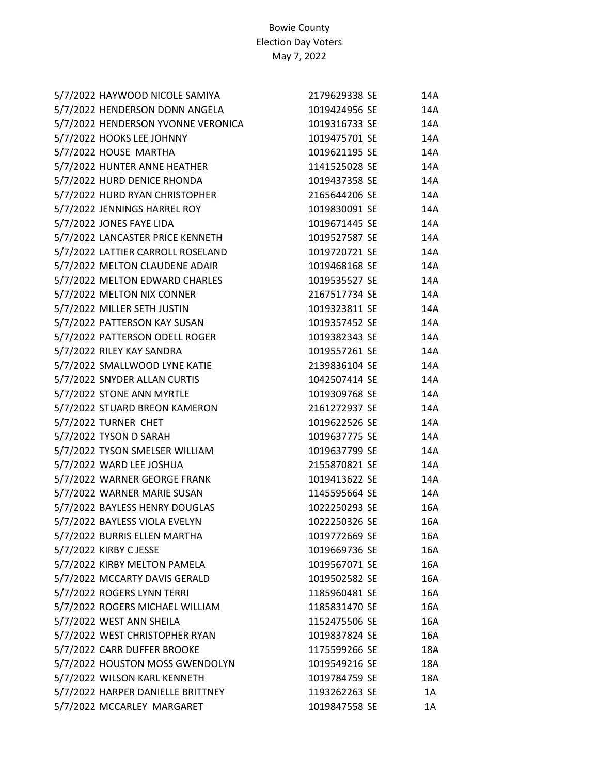| 5/7/2022 HAYWOOD NICOLE SAMIYA     | 2179629338 SE | 14A |
|------------------------------------|---------------|-----|
| 5/7/2022 HENDERSON DONN ANGELA     | 1019424956 SE | 14A |
| 5/7/2022 HENDERSON YVONNE VERONICA | 1019316733 SE | 14A |
| 5/7/2022 HOOKS LEE JOHNNY          | 1019475701 SE | 14A |
| 5/7/2022 HOUSE MARTHA              | 1019621195 SE | 14A |
| 5/7/2022 HUNTER ANNE HEATHER       | 1141525028 SE | 14A |
| 5/7/2022 HURD DENICE RHONDA        | 1019437358 SE | 14A |
| 5/7/2022 HURD RYAN CHRISTOPHER     | 2165644206 SE | 14A |
| 5/7/2022 JENNINGS HARREL ROY       | 1019830091 SE | 14A |
| 5/7/2022 JONES FAYE LIDA           | 1019671445 SE | 14A |
| 5/7/2022 LANCASTER PRICE KENNETH   | 1019527587 SE | 14A |
| 5/7/2022 LATTIER CARROLL ROSELAND  | 1019720721 SE | 14A |
| 5/7/2022 MELTON CLAUDENE ADAIR     | 1019468168 SE | 14A |
| 5/7/2022 MELTON EDWARD CHARLES     | 1019535527 SE | 14A |
| 5/7/2022 MELTON NIX CONNER         | 2167517734 SE | 14A |
| 5/7/2022 MILLER SETH JUSTIN        | 1019323811 SE | 14A |
| 5/7/2022 PATTERSON KAY SUSAN       | 1019357452 SE | 14A |
| 5/7/2022 PATTERSON ODELL ROGER     | 1019382343 SE | 14A |
| 5/7/2022 RILEY KAY SANDRA          | 1019557261 SE | 14A |
| 5/7/2022 SMALLWOOD LYNE KATIE      | 2139836104 SE | 14A |
| 5/7/2022 SNYDER ALLAN CURTIS       | 1042507414 SE | 14A |
| 5/7/2022 STONE ANN MYRTLE          | 1019309768 SE | 14A |
| 5/7/2022 STUARD BREON KAMERON      | 2161272937 SE | 14A |
| 5/7/2022 TURNER CHET               | 1019622526 SE | 14A |
| 5/7/2022 TYSON D SARAH             | 1019637775 SE | 14A |
| 5/7/2022 TYSON SMELSER WILLIAM     | 1019637799 SE | 14A |
| 5/7/2022 WARD LEE JOSHUA           | 2155870821 SE | 14A |
| 5/7/2022 WARNER GEORGE FRANK       | 1019413622 SE | 14A |
| 5/7/2022 WARNER MARIE SUSAN        | 1145595664 SE | 14A |
| 5/7/2022 BAYLESS HENRY DOUGLAS     | 1022250293 SE | 16A |
| 5/7/2022 BAYLESS VIOLA EVELYN      | 1022250326 SE | 16A |
| 5/7/2022 BURRIS ELLEN MARTHA       | 1019772669 SE | 16A |
| 5/7/2022 KIRBY CJESSE              | 1019669736 SE | 16A |
| 5/7/2022 KIRBY MELTON PAMELA       | 1019567071 SE | 16A |
| 5/7/2022 MCCARTY DAVIS GERALD      | 1019502582 SE | 16A |
| 5/7/2022 ROGERS LYNN TERRI         | 1185960481 SE | 16A |
| 5/7/2022 ROGERS MICHAEL WILLIAM    | 1185831470 SE | 16A |
| 5/7/2022 WEST ANN SHEILA           | 1152475506 SE | 16A |
| 5/7/2022 WEST CHRISTOPHER RYAN     | 1019837824 SE | 16A |
| 5/7/2022 CARR DUFFER BROOKE        | 1175599266 SE | 18A |
| 5/7/2022 HOUSTON MOSS GWENDOLYN    | 1019549216 SE | 18A |
| 5/7/2022 WILSON KARL KENNETH       | 1019784759 SE | 18A |
| 5/7/2022 HARPER DANIELLE BRITTNEY  | 1193262263 SE | 1A  |
| 5/7/2022 MCCARLEY MARGARET         | 1019847558 SE | 1A  |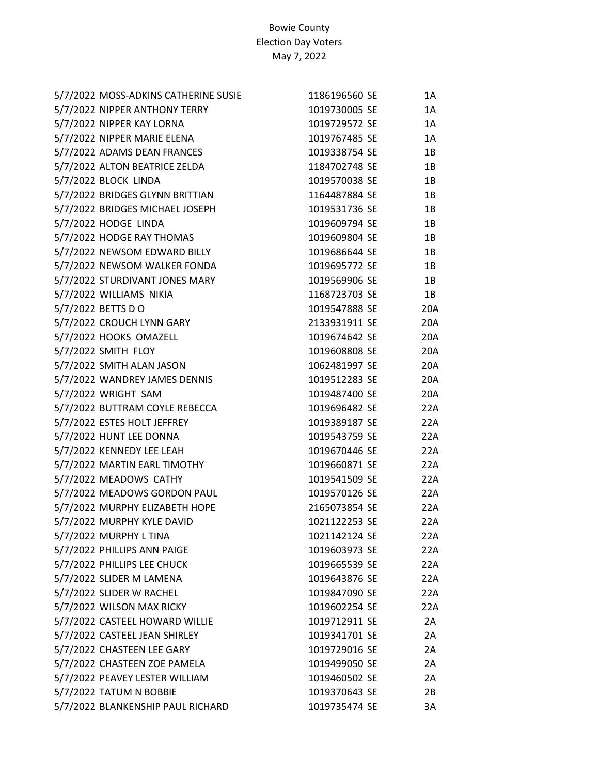| 5/7/2022 MOSS-ADKINS CATHERINE SUSIE | 1186196560 SE | 1A  |
|--------------------------------------|---------------|-----|
| 5/7/2022 NIPPER ANTHONY TERRY        | 1019730005 SE | 1A  |
| 5/7/2022 NIPPER KAY LORNA            | 1019729572 SE | 1A  |
| 5/7/2022 NIPPER MARIE ELENA          | 1019767485 SE | 1A  |
| 5/7/2022 ADAMS DEAN FRANCES          | 1019338754 SE | 1B  |
| 5/7/2022 ALTON BEATRICE ZELDA        | 1184702748 SE | 1B  |
| 5/7/2022 BLOCK LINDA                 | 1019570038 SE | 1B  |
| 5/7/2022 BRIDGES GLYNN BRITTIAN      | 1164487884 SE | 1B  |
| 5/7/2022 BRIDGES MICHAEL JOSEPH      | 1019531736 SE | 1B  |
| 5/7/2022 HODGE LINDA                 | 1019609794 SE | 1B  |
| 5/7/2022 HODGE RAY THOMAS            | 1019609804 SE | 1B  |
| 5/7/2022 NEWSOM EDWARD BILLY         | 1019686644 SE | 1B  |
| 5/7/2022 NEWSOM WALKER FONDA         | 1019695772 SE | 1B  |
| 5/7/2022 STURDIVANT JONES MARY       | 1019569906 SE | 1B  |
| 5/7/2022 WILLIAMS NIKIA              | 1168723703 SE | 1B  |
| 5/7/2022 BETTS D O                   | 1019547888 SE | 20A |
| 5/7/2022 CROUCH LYNN GARY            | 2133931911 SE | 20A |
| 5/7/2022 HOOKS OMAZELL               | 1019674642 SE | 20A |
| 5/7/2022 SMITH FLOY                  | 1019608808 SE | 20A |
| 5/7/2022 SMITH ALAN JASON            | 1062481997 SE | 20A |
| 5/7/2022 WANDREY JAMES DENNIS        | 1019512283 SE | 20A |
| 5/7/2022 WRIGHT SAM                  | 1019487400 SE | 20A |
| 5/7/2022 BUTTRAM COYLE REBECCA       | 1019696482 SE | 22A |
| 5/7/2022 ESTES HOLT JEFFREY          | 1019389187 SE | 22A |
| 5/7/2022 HUNT LEE DONNA              | 1019543759 SE | 22A |
| 5/7/2022 KENNEDY LEE LEAH            | 1019670446 SE | 22A |
| 5/7/2022 MARTIN EARL TIMOTHY         | 1019660871 SE | 22A |
| 5/7/2022 MEADOWS CATHY               | 1019541509 SE | 22A |
| 5/7/2022 MEADOWS GORDON PAUL         | 1019570126 SE | 22A |
| 5/7/2022 MURPHY ELIZABETH HOPE       | 2165073854 SE | 22A |
| 5/7/2022 MURPHY KYLE DAVID           | 1021122253 SE | 22A |
| 5/7/2022 MURPHY L TINA               | 1021142124 SE | 22A |
| 5/7/2022 PHILLIPS ANN PAIGE          | 1019603973 SE | 22A |
| 5/7/2022 PHILLIPS LEE CHUCK          | 1019665539 SE | 22A |
| 5/7/2022 SLIDER M LAMENA             | 1019643876 SE | 22A |
| 5/7/2022 SLIDER W RACHEL             | 1019847090 SE | 22A |
| 5/7/2022 WILSON MAX RICKY            | 1019602254 SE | 22A |
| 5/7/2022 CASTEEL HOWARD WILLIE       | 1019712911 SE | 2A  |
| 5/7/2022 CASTEEL JEAN SHIRLEY        | 1019341701 SE | 2A  |
| 5/7/2022 CHASTEEN LEE GARY           | 1019729016 SE | 2A  |
| 5/7/2022 CHASTEEN ZOE PAMELA         | 1019499050 SE | 2A  |
| 5/7/2022 PEAVEY LESTER WILLIAM       | 1019460502 SE | 2A  |
| 5/7/2022 TATUM N BOBBIE              | 1019370643 SE | 2B  |
| 5/7/2022 BLANKENSHIP PAUL RICHARD    | 1019735474 SE | 3A  |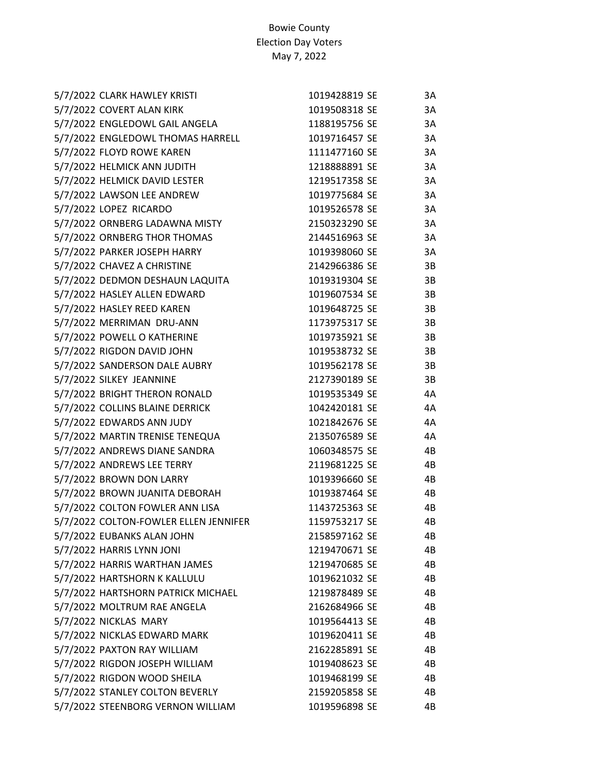| 5/7/2022 CLARK HAWLEY KRISTI          | 1019428819 SE | 3A |
|---------------------------------------|---------------|----|
| 5/7/2022 COVERT ALAN KIRK             | 1019508318 SE | 3A |
| 5/7/2022 ENGLEDOWL GAIL ANGELA        | 1188195756 SE | 3A |
| 5/7/2022 ENGLEDOWL THOMAS HARRELL     | 1019716457 SE | 3A |
| 5/7/2022 FLOYD ROWE KAREN             | 1111477160 SE | 3A |
| 5/7/2022 HELMICK ANN JUDITH           | 1218888891 SE | 3A |
| 5/7/2022 HELMICK DAVID LESTER         | 1219517358 SE | 3A |
| 5/7/2022 LAWSON LEE ANDREW            | 1019775684 SE | 3A |
| 5/7/2022 LOPEZ RICARDO                | 1019526578 SE | 3A |
| 5/7/2022 ORNBERG LADAWNA MISTY        | 2150323290 SE | 3A |
| 5/7/2022 ORNBERG THOR THOMAS          | 2144516963 SE | 3A |
| 5/7/2022 PARKER JOSEPH HARRY          | 1019398060 SE | 3A |
| 5/7/2022 CHAVEZ A CHRISTINE           | 2142966386 SE | 3B |
| 5/7/2022 DEDMON DESHAUN LAQUITA       | 1019319304 SE | 3B |
| 5/7/2022 HASLEY ALLEN EDWARD          | 1019607534 SE | 3B |
| 5/7/2022 HASLEY REED KAREN            | 1019648725 SE | 3B |
| 5/7/2022 MERRIMAN DRU-ANN             | 1173975317 SE | 3B |
| 5/7/2022 POWELL O KATHERINE           | 1019735921 SE | 3B |
| 5/7/2022 RIGDON DAVID JOHN            | 1019538732 SE | 3B |
| 5/7/2022 SANDERSON DALE AUBRY         | 1019562178 SE | 3B |
| 5/7/2022 SILKEY JEANNINE              | 2127390189 SE | 3B |
| 5/7/2022 BRIGHT THERON RONALD         | 1019535349 SE | 4А |
| 5/7/2022 COLLINS BLAINE DERRICK       | 1042420181 SE | 4А |
| 5/7/2022 EDWARDS ANN JUDY             | 1021842676 SE | 4А |
| 5/7/2022 MARTIN TRENISE TENEQUA       | 2135076589 SE | 4А |
| 5/7/2022 ANDREWS DIANE SANDRA         | 1060348575 SE | 4B |
| 5/7/2022 ANDREWS LEE TERRY            | 2119681225 SE | 4B |
| 5/7/2022 BROWN DON LARRY              | 1019396660 SE | 4B |
| 5/7/2022 BROWN JUANITA DEBORAH        | 1019387464 SE | 4B |
| 5/7/2022 COLTON FOWLER ANN LISA       | 1143725363 SE | 4B |
| 5/7/2022 COLTON-FOWLER ELLEN JENNIFER | 1159753217 SE | 4B |
| 5/7/2022 EUBANKS ALAN JOHN            | 2158597162 SE | 4B |
| 5/7/2022 HARRIS LYNN JONI             | 1219470671 SE | 4B |
| 5/7/2022 HARRIS WARTHAN JAMES         | 1219470685 SE | 4B |
| 5/7/2022 HARTSHORN K KALLULU          | 1019621032 SE | 4B |
| 5/7/2022 HARTSHORN PATRICK MICHAEL    | 1219878489 SE | 4B |
| 5/7/2022 MOLTRUM RAE ANGELA           | 2162684966 SE | 4B |
| 5/7/2022 NICKLAS MARY                 | 1019564413 SE | 4B |
| 5/7/2022 NICKLAS EDWARD MARK          | 1019620411 SE | 4B |
| 5/7/2022 PAXTON RAY WILLIAM           | 2162285891 SE | 4B |
| 5/7/2022 RIGDON JOSEPH WILLIAM        | 1019408623 SE | 4B |
| 5/7/2022 RIGDON WOOD SHEILA           | 1019468199 SE | 4B |
| 5/7/2022 STANLEY COLTON BEVERLY       | 2159205858 SE | 4B |
| 5/7/2022 STEENBORG VERNON WILLIAM     | 1019596898 SE | 4B |
|                                       |               |    |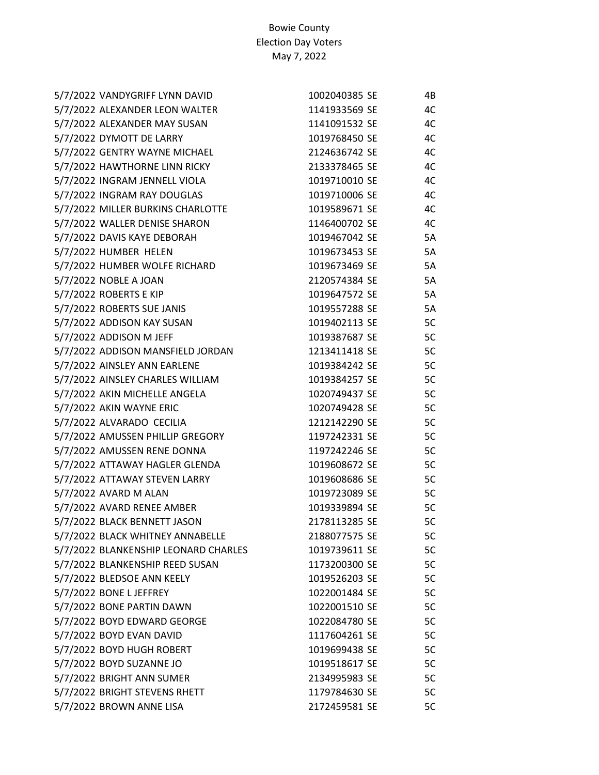| 5/7/2022 VANDYGRIFF LYNN DAVID       | 1002040385 SE | 4B        |
|--------------------------------------|---------------|-----------|
| 5/7/2022 ALEXANDER LEON WALTER       | 1141933569 SE | 4C        |
| 5/7/2022 ALEXANDER MAY SUSAN         | 1141091532 SE | 4C        |
| 5/7/2022 DYMOTT DE LARRY             | 1019768450 SE | 4C        |
| 5/7/2022 GENTRY WAYNE MICHAEL        | 2124636742 SE | 4C        |
| 5/7/2022 HAWTHORNE LINN RICKY        | 2133378465 SE | 4C        |
| 5/7/2022 INGRAM JENNELL VIOLA        | 1019710010 SE | 4C        |
| 5/7/2022 INGRAM RAY DOUGLAS          | 1019710006 SE | 4C        |
| 5/7/2022 MILLER BURKINS CHARLOTTE    | 1019589671 SE | 4C        |
| 5/7/2022 WALLER DENISE SHARON        | 1146400702 SE | 4C        |
| 5/7/2022 DAVIS KAYE DEBORAH          | 1019467042 SE | 5A        |
| 5/7/2022 HUMBER HELEN                | 1019673453 SE | 5A        |
| 5/7/2022 HUMBER WOLFE RICHARD        | 1019673469 SE | 5A        |
| 5/7/2022 NOBLE A JOAN                | 2120574384 SE | <b>5A</b> |
| 5/7/2022 ROBERTS E KIP               | 1019647572 SE | <b>5A</b> |
| 5/7/2022 ROBERTS SUE JANIS           | 1019557288 SE | 5A        |
| 5/7/2022 ADDISON KAY SUSAN           | 1019402113 SE | 5C        |
| 5/7/2022 ADDISON M JEFF              | 1019387687 SE | 5C        |
| 5/7/2022 ADDISON MANSFIELD JORDAN    | 1213411418 SE | 5C        |
| 5/7/2022 AINSLEY ANN EARLENE         | 1019384242 SE | 5C        |
| 5/7/2022 AINSLEY CHARLES WILLIAM     | 1019384257 SE | 5C        |
| 5/7/2022 AKIN MICHELLE ANGELA        | 1020749437 SE | 5C        |
| 5/7/2022 AKIN WAYNE ERIC             | 1020749428 SE | 5C        |
| 5/7/2022 ALVARADO CECILIA            | 1212142290 SE | 5C        |
| 5/7/2022 AMUSSEN PHILLIP GREGORY     | 1197242331 SE | 5C        |
| 5/7/2022 AMUSSEN RENE DONNA          | 1197242246 SE | 5C        |
| 5/7/2022 ATTAWAY HAGLER GLENDA       | 1019608672 SE | 5C        |
| 5/7/2022 ATTAWAY STEVEN LARRY        | 1019608686 SE | 5C        |
| 5/7/2022 AVARD M ALAN                | 1019723089 SE | 5C        |
| 5/7/2022 AVARD RENEE AMBER           | 1019339894 SE | 5C        |
| 5/7/2022 BLACK BENNETT JASON         | 2178113285 SE | 5C        |
| 5/7/2022 BLACK WHITNEY ANNABELLE     | 2188077575 SE | 5C        |
| 5/7/2022 BLANKENSHIP LEONARD CHARLES | 1019739611 SE | 5C        |
| 5/7/2022 BLANKENSHIP REED SUSAN      | 1173200300 SE | 5C        |
| 5/7/2022 BLEDSOE ANN KEELY           | 1019526203 SE | 5C        |
| 5/7/2022 BONE L JEFFREY              | 1022001484 SE | 5C        |
| 5/7/2022 BONE PARTIN DAWN            | 1022001510 SE | 5C        |
| 5/7/2022 BOYD EDWARD GEORGE          | 1022084780 SE | 5C        |
| 5/7/2022 BOYD EVAN DAVID             | 1117604261 SE | 5C        |
| 5/7/2022 BOYD HUGH ROBERT            | 1019699438 SE | 5C        |
| 5/7/2022 BOYD SUZANNE JO             | 1019518617 SE | 5C        |
| 5/7/2022 BRIGHT ANN SUMER            | 2134995983 SE | 5C        |
| 5/7/2022 BRIGHT STEVENS RHETT        | 1179784630 SE | 5C        |
| 5/7/2022 BROWN ANNE LISA             | 2172459581 SE | 5C        |
|                                      |               |           |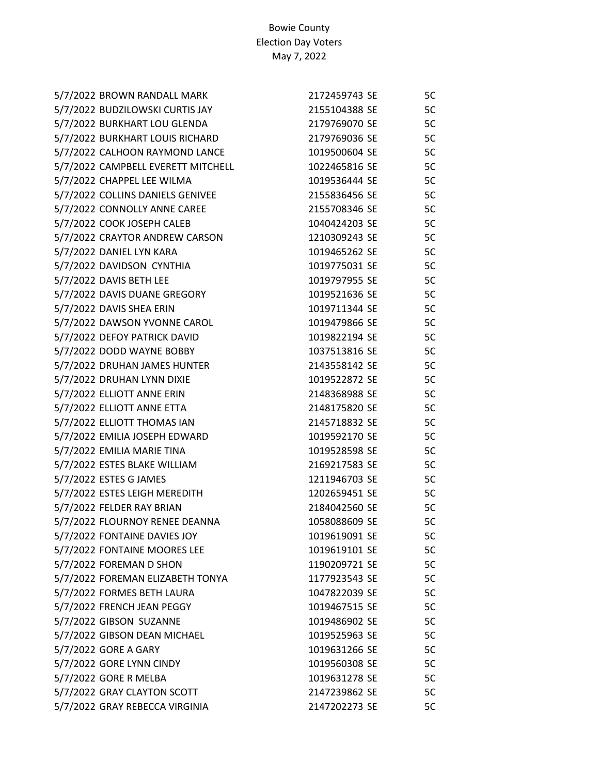| 5/7/2022 BROWN RANDALL MARK        | 2172459743 SE | 5C |
|------------------------------------|---------------|----|
| 5/7/2022 BUDZILOWSKI CURTIS JAY    | 2155104388 SE | 5C |
| 5/7/2022 BURKHART LOU GLENDA       | 2179769070 SE | 5C |
| 5/7/2022 BURKHART LOUIS RICHARD    | 2179769036 SE | 5C |
| 5/7/2022 CALHOON RAYMOND LANCE     | 1019500604 SE | 5C |
| 5/7/2022 CAMPBELL EVERETT MITCHELL | 1022465816 SE | 5C |
| 5/7/2022 CHAPPEL LEE WILMA         | 1019536444 SE | 5C |
| 5/7/2022 COLLINS DANIELS GENIVEE   | 2155836456 SE | 5C |
| 5/7/2022 CONNOLLY ANNE CAREE       | 2155708346 SE | 5C |
| 5/7/2022 COOK JOSEPH CALEB         | 1040424203 SE | 5C |
| 5/7/2022 CRAYTOR ANDREW CARSON     | 1210309243 SE | 5C |
| 5/7/2022 DANIEL LYN KARA           | 1019465262 SE | 5C |
| 5/7/2022 DAVIDSON CYNTHIA          | 1019775031 SE | 5C |
| 5/7/2022 DAVIS BETH LEE            | 1019797955 SE | 5C |
| 5/7/2022 DAVIS DUANE GREGORY       | 1019521636 SE | 5C |
| 5/7/2022 DAVIS SHEA ERIN           | 1019711344 SE | 5C |
| 5/7/2022 DAWSON YVONNE CAROL       | 1019479866 SE | 5C |
| 5/7/2022 DEFOY PATRICK DAVID       | 1019822194 SE | 5C |
| 5/7/2022 DODD WAYNE BOBBY          | 1037513816 SE | 5C |
| 5/7/2022 DRUHAN JAMES HUNTER       | 2143558142 SE | 5C |
| 5/7/2022 DRUHAN LYNN DIXIE         | 1019522872 SE | 5C |
| 5/7/2022 ELLIOTT ANNE ERIN         | 2148368988 SE | 5C |
| 5/7/2022 ELLIOTT ANNE ETTA         | 2148175820 SE | 5C |
| 5/7/2022 ELLIOTT THOMAS IAN        | 2145718832 SE | 5C |
| 5/7/2022 EMILIA JOSEPH EDWARD      | 1019592170 SE | 5C |
| 5/7/2022 EMILIA MARIE TINA         | 1019528598 SE | 5C |
| 5/7/2022 ESTES BLAKE WILLIAM       | 2169217583 SE | 5C |
| 5/7/2022 ESTES G JAMES             | 1211946703 SE | 5C |
| 5/7/2022 ESTES LEIGH MEREDITH      | 1202659451 SE | 5C |
| 5/7/2022 FELDER RAY BRIAN          | 2184042560 SE | 5C |
| 5/7/2022 FLOURNOY RENEE DEANNA     | 1058088609 SE | 5C |
| 5/7/2022 FONTAINE DAVIES JOY       | 1019619091 SE | 5C |
| 5/7/2022 FONTAINE MOORES LEE       | 1019619101 SE | 5C |
| 5/7/2022 FOREMAN D SHON            | 1190209721 SE | 5C |
| 5/7/2022 FOREMAN ELIZABETH TONYA   | 1177923543 SE | 5C |
| 5/7/2022 FORMES BETH LAURA         | 1047822039 SE | 5C |
| 5/7/2022 FRENCH JEAN PEGGY         | 1019467515 SE | 5C |
| 5/7/2022 GIBSON SUZANNE            | 1019486902 SE | 5C |
| 5/7/2022 GIBSON DEAN MICHAEL       | 1019525963 SE | 5C |
| 5/7/2022 GORE A GARY               | 1019631266 SE | 5C |
| 5/7/2022 GORE LYNN CINDY           | 1019560308 SE | 5C |
| 5/7/2022 GORE R MELBA              | 1019631278 SE | 5C |
| 5/7/2022 GRAY CLAYTON SCOTT        | 2147239862 SE | 5C |
| 5/7/2022 GRAY REBECCA VIRGINIA     | 2147202273 SE | 5C |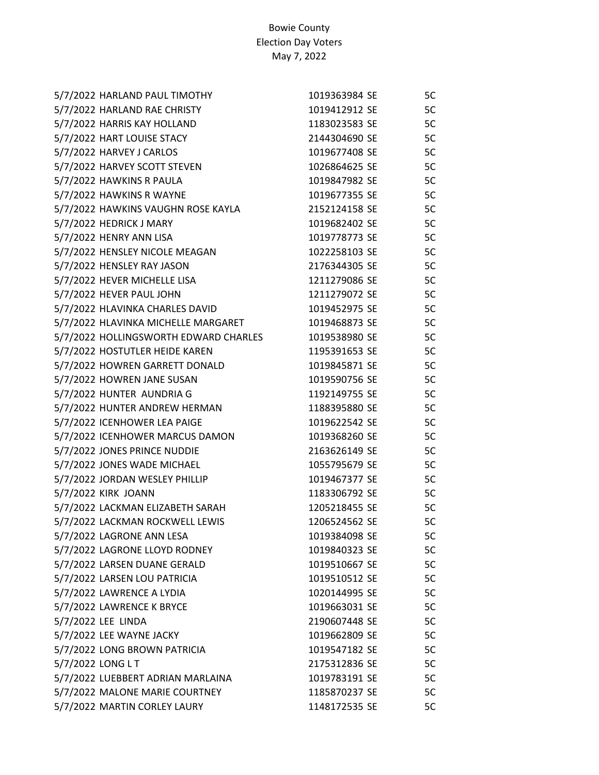| 5/7/2022 HARLAND PAUL TIMOTHY         | 1019363984 SE | 5C |
|---------------------------------------|---------------|----|
| 5/7/2022 HARLAND RAE CHRISTY          | 1019412912 SE | 5C |
| 5/7/2022 HARRIS KAY HOLLAND           | 1183023583 SE | 5C |
| 5/7/2022 HART LOUISE STACY            | 2144304690 SE | 5C |
| 5/7/2022 HARVEY J CARLOS              | 1019677408 SE | 5C |
| 5/7/2022 HARVEY SCOTT STEVEN          | 1026864625 SE | 5C |
| 5/7/2022 HAWKINS R PAULA              | 1019847982 SE | 5C |
| 5/7/2022 HAWKINS R WAYNE              | 1019677355 SE | 5C |
| 5/7/2022 HAWKINS VAUGHN ROSE KAYLA    | 2152124158 SE | 5C |
| 5/7/2022 HEDRICK J MARY               | 1019682402 SE | 5C |
| 5/7/2022 HENRY ANN LISA               | 1019778773 SE | 5C |
| 5/7/2022 HENSLEY NICOLE MEAGAN        | 1022258103 SE | 5C |
| 5/7/2022 HENSLEY RAY JASON            | 2176344305 SE | 5C |
| 5/7/2022 HEVER MICHELLE LISA          | 1211279086 SE | 5C |
| 5/7/2022 HEVER PAUL JOHN              | 1211279072 SE | 5C |
| 5/7/2022 HLAVINKA CHARLES DAVID       | 1019452975 SE | 5C |
| 5/7/2022 HLAVINKA MICHELLE MARGARET   | 1019468873 SE | 5C |
| 5/7/2022 HOLLINGSWORTH EDWARD CHARLES | 1019538980 SE | 5C |
| 5/7/2022 HOSTUTLER HEIDE KAREN        | 1195391653 SE | 5C |
| 5/7/2022 HOWREN GARRETT DONALD        | 1019845871 SE | 5C |
| 5/7/2022 HOWREN JANE SUSAN            | 1019590756 SE | 5C |
| 5/7/2022 HUNTER AUNDRIA G             | 1192149755 SE | 5C |
| 5/7/2022 HUNTER ANDREW HERMAN         | 1188395880 SE | 5C |
| 5/7/2022 ICENHOWER LEA PAIGE          | 1019622542 SE | 5C |
| 5/7/2022 ICENHOWER MARCUS DAMON       | 1019368260 SE | 5C |
| 5/7/2022 JONES PRINCE NUDDIE          | 2163626149 SE | 5C |
| 5/7/2022 JONES WADE MICHAEL           | 1055795679 SE | 5C |
| 5/7/2022 JORDAN WESLEY PHILLIP        | 1019467377 SE | 5C |
| 5/7/2022 KIRK JOANN                   | 1183306792 SE | 5C |
| 5/7/2022 LACKMAN ELIZABETH SARAH      | 1205218455 SE | 5C |
| 5/7/2022 LACKMAN ROCKWELL LEWIS       | 1206524562 SE | 5C |
| 5/7/2022 LAGRONE ANN LESA             | 1019384098 SE | 5C |
| 5/7/2022 LAGRONE LLOYD RODNEY         | 1019840323 SE | 5C |
| 5/7/2022 LARSEN DUANE GERALD          | 1019510667 SE | 5C |
| 5/7/2022 LARSEN LOU PATRICIA          | 1019510512 SE | 5C |
| 5/7/2022 LAWRENCE A LYDIA             | 1020144995 SE | 5C |
| 5/7/2022 LAWRENCE K BRYCE             | 1019663031 SE | 5C |
| 5/7/2022 LEE LINDA                    | 2190607448 SE | 5C |
| 5/7/2022 LEE WAYNE JACKY              | 1019662809 SE | 5C |
| 5/7/2022 LONG BROWN PATRICIA          | 1019547182 SE | 5C |
| 5/7/2022 LONG L T                     | 2175312836 SE | 5C |
| 5/7/2022 LUEBBERT ADRIAN MARLAINA     | 1019783191 SE | 5C |
| 5/7/2022 MALONE MARIE COURTNEY        | 1185870237 SE | 5C |
| 5/7/2022 MARTIN CORLEY LAURY          | 1148172535 SE | 5C |
|                                       |               |    |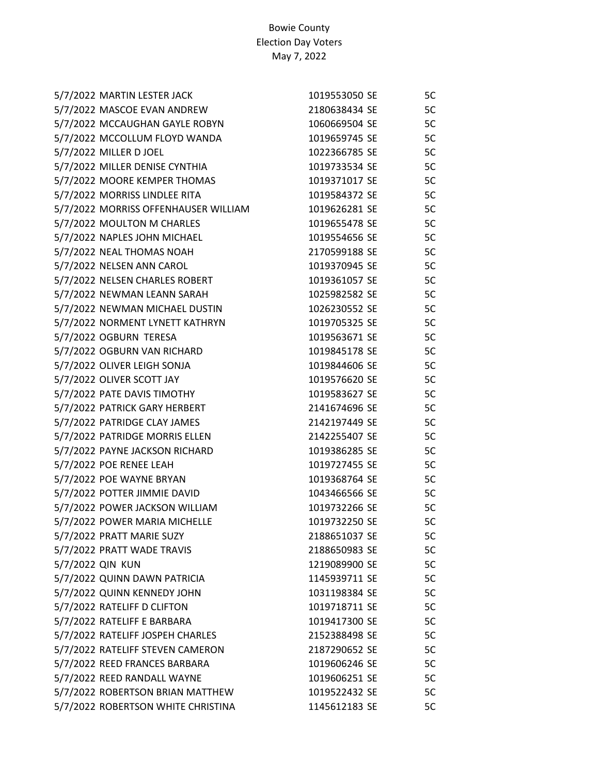|                  | 5/7/2022 MARTIN LESTER JACK          | 1019553050 SE | 5C |
|------------------|--------------------------------------|---------------|----|
|                  | 5/7/2022 MASCOE EVAN ANDREW          | 2180638434 SE | 5C |
|                  | 5/7/2022 MCCAUGHAN GAYLE ROBYN       | 1060669504 SE | 5C |
|                  | 5/7/2022 MCCOLLUM FLOYD WANDA        | 1019659745 SE | 5C |
|                  | 5/7/2022 MILLER D JOEL               | 1022366785 SE | 5C |
|                  | 5/7/2022 MILLER DENISE CYNTHIA       | 1019733534 SE | 5C |
|                  | 5/7/2022 MOORE KEMPER THOMAS         | 1019371017 SE | 5C |
|                  | 5/7/2022 MORRISS LINDLEE RITA        | 1019584372 SE | 5C |
|                  | 5/7/2022 MORRISS OFFENHAUSER WILLIAM | 1019626281 SE | 5C |
|                  | 5/7/2022 MOULTON M CHARLES           | 1019655478 SE | 5C |
|                  | 5/7/2022 NAPLES JOHN MICHAEL         | 1019554656 SE | 5C |
|                  | 5/7/2022 NEAL THOMAS NOAH            | 2170599188 SE | 5C |
|                  | 5/7/2022 NELSEN ANN CAROL            | 1019370945 SE | 5C |
|                  | 5/7/2022 NELSEN CHARLES ROBERT       | 1019361057 SE | 5C |
|                  | 5/7/2022 NEWMAN LEANN SARAH          | 1025982582 SE | 5C |
|                  | 5/7/2022 NEWMAN MICHAEL DUSTIN       | 1026230552 SE | 5C |
|                  | 5/7/2022 NORMENT LYNETT KATHRYN      | 1019705325 SE | 5C |
|                  | 5/7/2022 OGBURN TERESA               | 1019563671 SE | 5C |
|                  | 5/7/2022 OGBURN VAN RICHARD          | 1019845178 SE | 5C |
|                  | 5/7/2022 OLIVER LEIGH SONJA          | 1019844606 SE | 5C |
|                  | 5/7/2022 OLIVER SCOTT JAY            | 1019576620 SE | 5C |
|                  | 5/7/2022 PATE DAVIS TIMOTHY          | 1019583627 SE | 5C |
|                  | 5/7/2022 PATRICK GARY HERBERT        | 2141674696 SE | 5C |
|                  | 5/7/2022 PATRIDGE CLAY JAMES         | 2142197449 SE | 5C |
|                  | 5/7/2022 PATRIDGE MORRIS ELLEN       | 2142255407 SE | 5C |
|                  | 5/7/2022 PAYNE JACKSON RICHARD       | 1019386285 SE | 5C |
|                  | 5/7/2022 POE RENEE LEAH              | 1019727455 SE | 5C |
|                  | 5/7/2022 POE WAYNE BRYAN             | 1019368764 SE | 5C |
|                  | 5/7/2022 POTTER JIMMIE DAVID         | 1043466566 SE | 5C |
|                  | 5/7/2022 POWER JACKSON WILLIAM       | 1019732266 SE | 5C |
|                  | 5/7/2022 POWER MARIA MICHELLE        | 1019732250 SE | 5C |
|                  | 5/7/2022 PRATT MARIE SUZY            | 2188651037 SE | 5C |
|                  | 5/7/2022 PRATT WADE TRAVIS           | 2188650983 SE | 5C |
| 5/7/2022 QIN KUN |                                      | 1219089900 SE | 5C |
|                  | 5/7/2022 QUINN DAWN PATRICIA         | 1145939711 SE | 5C |
|                  | 5/7/2022 QUINN KENNEDY JOHN          | 1031198384 SE | 5C |
|                  | 5/7/2022 RATELIFF D CLIFTON          | 1019718711 SE | 5C |
|                  | 5/7/2022 RATELIFF E BARBARA          | 1019417300 SE | 5C |
|                  | 5/7/2022 RATELIFF JOSPEH CHARLES     | 2152388498 SE | 5C |
|                  | 5/7/2022 RATELIFF STEVEN CAMERON     | 2187290652 SE | 5C |
|                  | 5/7/2022 REED FRANCES BARBARA        | 1019606246 SE | 5C |
|                  | 5/7/2022 REED RANDALL WAYNE          | 1019606251 SE | 5C |
|                  | 5/7/2022 ROBERTSON BRIAN MATTHEW     | 1019522432 SE | 5C |
|                  | 5/7/2022 ROBERTSON WHITE CHRISTINA   | 1145612183 SE | 5C |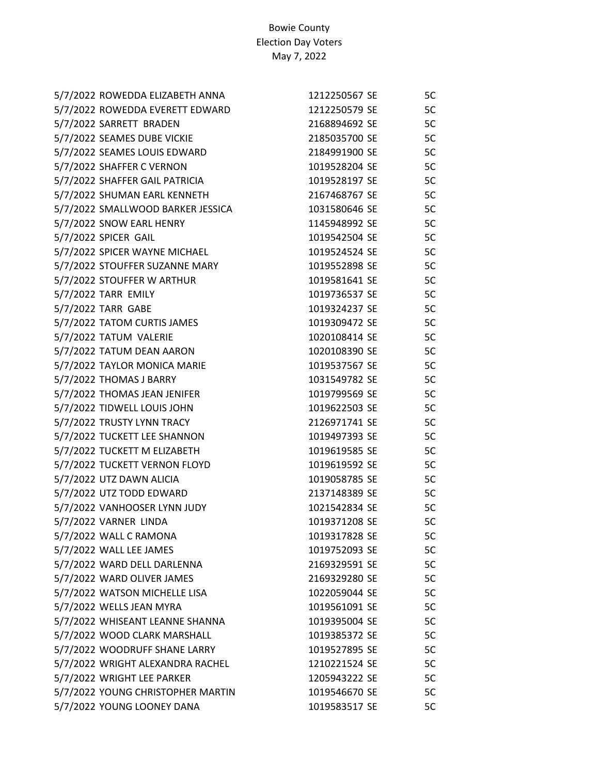| 5/7/2022 ROWEDDA ELIZABETH ANNA   | 1212250567 SE | 5C |
|-----------------------------------|---------------|----|
| 5/7/2022 ROWEDDA EVERETT EDWARD   | 1212250579 SE | 5C |
| 5/7/2022 SARRETT BRADEN           | 2168894692 SE | 5C |
| 5/7/2022 SEAMES DUBE VICKIE       | 2185035700 SE | 5C |
| 5/7/2022 SEAMES LOUIS EDWARD      | 2184991900 SE | 5C |
| 5/7/2022 SHAFFER C VERNON         | 1019528204 SE | 5C |
| 5/7/2022 SHAFFER GAIL PATRICIA    | 1019528197 SE | 5C |
| 5/7/2022 SHUMAN EARL KENNETH      | 2167468767 SE | 5C |
| 5/7/2022 SMALLWOOD BARKER JESSICA | 1031580646 SE | 5C |
| 5/7/2022 SNOW EARL HENRY          | 1145948992 SE | 5C |
| 5/7/2022 SPICER GAIL              | 1019542504 SE | 5C |
| 5/7/2022 SPICER WAYNE MICHAEL     | 1019524524 SE | 5C |
| 5/7/2022 STOUFFER SUZANNE MARY    | 1019552898 SE | 5C |
| 5/7/2022 STOUFFER W ARTHUR        | 1019581641 SE | 5C |
| 5/7/2022 TARR EMILY               | 1019736537 SE | 5C |
| 5/7/2022 TARR GABE                | 1019324237 SE | 5C |
| 5/7/2022 TATOM CURTIS JAMES       | 1019309472 SE | 5C |
| 5/7/2022 TATUM VALERIE            | 1020108414 SE | 5C |
| 5/7/2022 TATUM DEAN AARON         | 1020108390 SE | 5C |
| 5/7/2022 TAYLOR MONICA MARIE      | 1019537567 SE | 5C |
| 5/7/2022 THOMAS J BARRY           | 1031549782 SE | 5C |
| 5/7/2022 THOMAS JEAN JENIFER      | 1019799569 SE | 5C |
| 5/7/2022 TIDWELL LOUIS JOHN       | 1019622503 SE | 5C |
| 5/7/2022 TRUSTY LYNN TRACY        | 2126971741 SE | 5C |
| 5/7/2022 TUCKETT LEE SHANNON      | 1019497393 SE | 5C |
| 5/7/2022 TUCKETT M ELIZABETH      | 1019619585 SE | 5C |
| 5/7/2022 TUCKETT VERNON FLOYD     | 1019619592 SE | 5C |
| 5/7/2022 UTZ DAWN ALICIA          | 1019058785 SE | 5C |
| 5/7/2022 UTZ TODD EDWARD          | 2137148389 SE | 5C |
| 5/7/2022 VANHOOSER LYNN JUDY      | 1021542834 SE | 5C |
| 5/7/2022 VARNER LINDA             | 1019371208 SE | 5C |
| 5/7/2022 WALL C RAMONA            | 1019317828 SE | 5C |
| 5/7/2022 WALL LEE JAMES           | 1019752093 SE | 5C |
| 5/7/2022 WARD DELL DARLENNA       | 2169329591 SE | 5C |
| 5/7/2022 WARD OLIVER JAMES        | 2169329280 SE | 5C |
| 5/7/2022 WATSON MICHELLE LISA     | 1022059044 SE | 5C |
| 5/7/2022 WELLS JEAN MYRA          | 1019561091 SE | 5C |
| 5/7/2022 WHISEANT LEANNE SHANNA   | 1019395004 SE | 5C |
| 5/7/2022 WOOD CLARK MARSHALL      | 1019385372 SE | 5C |
| 5/7/2022 WOODRUFF SHANE LARRY     | 1019527895 SE | 5C |
| 5/7/2022 WRIGHT ALEXANDRA RACHEL  | 1210221524 SE | 5C |
| 5/7/2022 WRIGHT LEE PARKER        | 1205943222 SE | 5C |
| 5/7/2022 YOUNG CHRISTOPHER MARTIN | 1019546670 SE | 5C |
| 5/7/2022 YOUNG LOONEY DANA        | 1019583517 SE | 5C |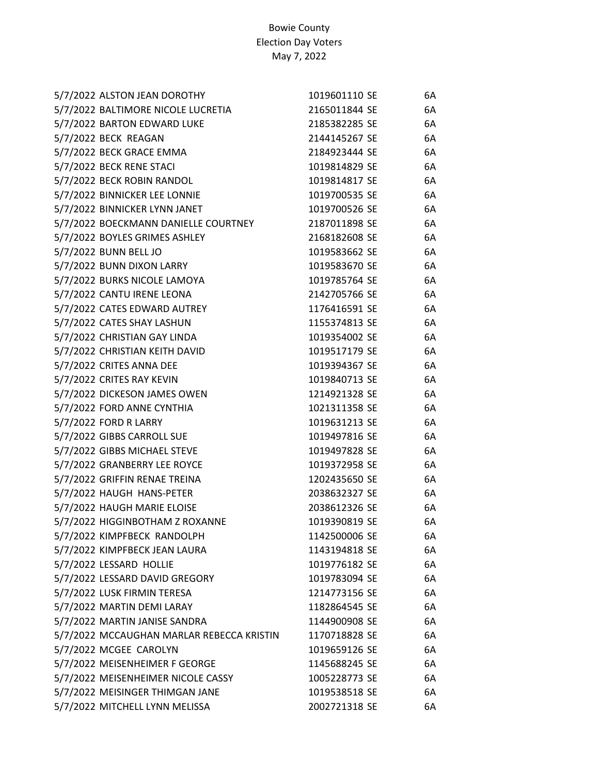| 5/7/2022 ALSTON JEAN DOROTHY              | 1019601110 SE | 6A |
|-------------------------------------------|---------------|----|
| 5/7/2022 BALTIMORE NICOLE LUCRETIA        | 2165011844 SE | 6A |
| 5/7/2022 BARTON EDWARD LUKE               | 2185382285 SE | 6A |
| 5/7/2022 BECK REAGAN                      | 2144145267 SE | 6A |
| 5/7/2022 BECK GRACE EMMA                  | 2184923444 SE | 6A |
| 5/7/2022 BECK RENE STACI                  | 1019814829 SE | 6A |
| 5/7/2022 BECK ROBIN RANDOL                | 1019814817 SE | 6A |
| 5/7/2022 BINNICKER LEE LONNIE             | 1019700535 SE | 6A |
| 5/7/2022 BINNICKER LYNN JANET             | 1019700526 SE | 6A |
| 5/7/2022 BOECKMANN DANIELLE COURTNEY      | 2187011898 SE | 6A |
| 5/7/2022 BOYLES GRIMES ASHLEY             | 2168182608 SE | 6A |
| 5/7/2022 BUNN BELL JO                     | 1019583662 SE | 6A |
| 5/7/2022 BUNN DIXON LARRY                 | 1019583670 SE | 6A |
| 5/7/2022 BURKS NICOLE LAMOYA              | 1019785764 SE | 6A |
| 5/7/2022 CANTU IRENE LEONA                | 2142705766 SE | 6A |
| 5/7/2022 CATES EDWARD AUTREY              | 1176416591 SE | 6A |
| 5/7/2022 CATES SHAY LASHUN                | 1155374813 SE | 6A |
| 5/7/2022 CHRISTIAN GAY LINDA              | 1019354002 SE | 6A |
| 5/7/2022 CHRISTIAN KEITH DAVID            | 1019517179 SE | 6A |
| 5/7/2022 CRITES ANNA DEE                  | 1019394367 SE | 6A |
| 5/7/2022 CRITES RAY KEVIN                 | 1019840713 SE | 6A |
| 5/7/2022 DICKESON JAMES OWEN              | 1214921328 SE | 6A |
| 5/7/2022 FORD ANNE CYNTHIA                | 1021311358 SE | 6A |
| 5/7/2022 FORD R LARRY                     | 1019631213 SE | 6A |
| 5/7/2022 GIBBS CARROLL SUE                | 1019497816 SE | 6A |
| 5/7/2022 GIBBS MICHAEL STEVE              | 1019497828 SE | 6A |
| 5/7/2022 GRANBERRY LEE ROYCE              | 1019372958 SE | 6A |
| 5/7/2022 GRIFFIN RENAE TREINA             | 1202435650 SE | 6A |
| 5/7/2022 HAUGH HANS-PETER                 | 2038632327 SE | 6A |
| 5/7/2022 HAUGH MARIE ELOISE               | 2038612326 SE | 6A |
| 5/7/2022 HIGGINBOTHAM Z ROXANNE           | 1019390819 SE | 6A |
| 5/7/2022 KIMPFBECK RANDOLPH               | 1142500006 SE | 6A |
| 5/7/2022 KIMPFBECK JEAN LAURA             | 1143194818 SE | 6A |
| 5/7/2022 LESSARD HOLLIE                   | 1019776182 SE | 6A |
| 5/7/2022 LESSARD DAVID GREGORY            | 1019783094 SE | 6A |
| 5/7/2022 LUSK FIRMIN TERESA               | 1214773156 SE | 6A |
| 5/7/2022 MARTIN DEMI LARAY                | 1182864545 SE | 6A |
| 5/7/2022 MARTIN JANISE SANDRA             | 1144900908 SE | 6A |
| 5/7/2022 MCCAUGHAN MARLAR REBECCA KRISTIN | 1170718828 SE | 6A |
| 5/7/2022 MCGEE CAROLYN                    | 1019659126 SE | 6A |
| 5/7/2022 MEISENHEIMER F GEORGE            | 1145688245 SE | 6A |
| 5/7/2022 MEISENHEIMER NICOLE CASSY        | 1005228773 SE | 6A |
| 5/7/2022 MEISINGER THIMGAN JANE           | 1019538518 SE | 6A |
| 5/7/2022 MITCHELL LYNN MELISSA            | 2002721318 SE | 6A |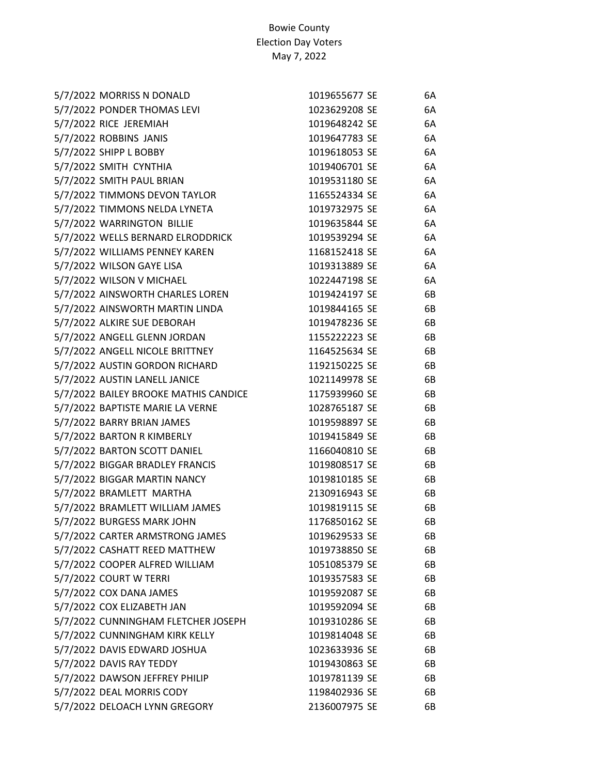| 5/7/2022 MORRISS N DONALD             | 1019655677 SE | 6A |
|---------------------------------------|---------------|----|
| 5/7/2022 PONDER THOMAS LEVI           | 1023629208 SE | 6A |
| 5/7/2022 RICE JEREMIAH                | 1019648242 SE | 6A |
| 5/7/2022 ROBBINS JANIS                | 1019647783 SE | 6A |
| 5/7/2022 SHIPP L BOBBY                | 1019618053 SE | 6A |
| 5/7/2022 SMITH CYNTHIA                | 1019406701 SE | 6A |
| 5/7/2022 SMITH PAUL BRIAN             | 1019531180 SE | 6A |
| 5/7/2022 TIMMONS DEVON TAYLOR         | 1165524334 SE | 6A |
| 5/7/2022 TIMMONS NELDA LYNETA         | 1019732975 SE | 6A |
| 5/7/2022 WARRINGTON BILLIE            | 1019635844 SE | 6A |
| 5/7/2022 WELLS BERNARD ELRODDRICK     | 1019539294 SE | 6A |
| 5/7/2022 WILLIAMS PENNEY KAREN        | 1168152418 SE | 6A |
| 5/7/2022 WILSON GAYE LISA             | 1019313889 SE | 6A |
| 5/7/2022 WILSON V MICHAEL             | 1022447198 SE | 6A |
| 5/7/2022 AINSWORTH CHARLES LOREN      | 1019424197 SE | 6B |
| 5/7/2022 AINSWORTH MARTIN LINDA       | 1019844165 SE | 6B |
| 5/7/2022 ALKIRE SUE DEBORAH           | 1019478236 SE | 6B |
| 5/7/2022 ANGELL GLENN JORDAN          | 1155222223 SE | 6B |
| 5/7/2022 ANGELL NICOLE BRITTNEY       | 1164525634 SE | 6B |
| 5/7/2022 AUSTIN GORDON RICHARD        | 1192150225 SE | 6B |
| 5/7/2022 AUSTIN LANELL JANICE         | 1021149978 SE | 6B |
| 5/7/2022 BAILEY BROOKE MATHIS CANDICE | 1175939960 SE | 6B |
| 5/7/2022 BAPTISTE MARIE LA VERNE      | 1028765187 SE | 6B |
| 5/7/2022 BARRY BRIAN JAMES            | 1019598897 SE | 6B |
| 5/7/2022 BARTON R KIMBERLY            | 1019415849 SE | 6B |
| 5/7/2022 BARTON SCOTT DANIEL          | 1166040810 SE | 6B |
| 5/7/2022 BIGGAR BRADLEY FRANCIS       | 1019808517 SE | 6B |
| 5/7/2022 BIGGAR MARTIN NANCY          | 1019810185 SE | 6B |
| 5/7/2022 BRAMLETT MARTHA              | 2130916943 SE | 6B |
| 5/7/2022 BRAMLETT WILLIAM JAMES       | 1019819115 SE | 6B |
| 5/7/2022 BURGESS MARK JOHN            | 1176850162 SE | 6B |
| 5/7/2022 CARTER ARMSTRONG JAMES       | 1019629533 SE | 6B |
| 5/7/2022 CASHATT REED MATTHEW         | 1019738850 SE | 6B |
| 5/7/2022 COOPER ALFRED WILLIAM        | 1051085379 SE | 6B |
| 5/7/2022 COURT W TERRI                | 1019357583 SE | 6B |
| 5/7/2022 COX DANA JAMES               | 1019592087 SE | 6B |
| 5/7/2022 COX ELIZABETH JAN            | 1019592094 SE | 6B |
| 5/7/2022 CUNNINGHAM FLETCHER JOSEPH   | 1019310286 SE | 6B |
| 5/7/2022 CUNNINGHAM KIRK KELLY        | 1019814048 SE | 6B |
| 5/7/2022 DAVIS EDWARD JOSHUA          | 1023633936 SE | 6B |
| 5/7/2022 DAVIS RAY TEDDY              | 1019430863 SE | 6B |
| 5/7/2022 DAWSON JEFFREY PHILIP        | 1019781139 SE | 6B |
| 5/7/2022 DEAL MORRIS CODY             | 1198402936 SE | 6B |
| 5/7/2022 DELOACH LYNN GREGORY         | 2136007975 SE | 6B |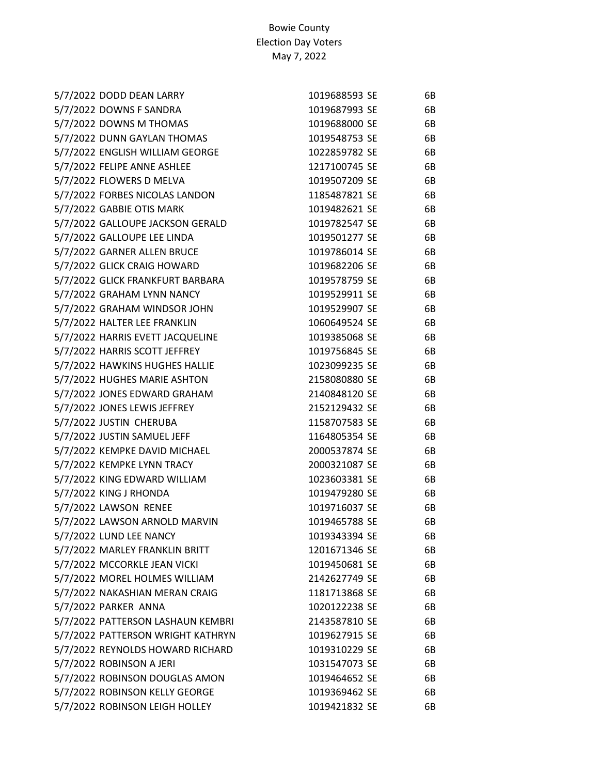| 5/7/2022 DODD DEAN LARRY          | 1019688593 SE | 6B |
|-----------------------------------|---------------|----|
| 5/7/2022 DOWNS F SANDRA           | 1019687993 SE | 6B |
| 5/7/2022 DOWNS M THOMAS           | 1019688000 SE | 6B |
| 5/7/2022 DUNN GAYLAN THOMAS       | 1019548753 SE | 6B |
| 5/7/2022 ENGLISH WILLIAM GEORGE   | 1022859782 SE | 6B |
| 5/7/2022 FELIPE ANNE ASHLEE       | 1217100745 SE | 6B |
| 5/7/2022 FLOWERS D MELVA          | 1019507209 SE | 6B |
| 5/7/2022 FORBES NICOLAS LANDON    | 1185487821 SE | 6B |
| 5/7/2022 GABBIE OTIS MARK         | 1019482621 SE | 6B |
| 5/7/2022 GALLOUPE JACKSON GERALD  | 1019782547 SE | 6B |
| 5/7/2022 GALLOUPE LEE LINDA       | 1019501277 SE | 6B |
| 5/7/2022 GARNER ALLEN BRUCE       | 1019786014 SE | 6B |
| 5/7/2022 GLICK CRAIG HOWARD       | 1019682206 SE | 6B |
| 5/7/2022 GLICK FRANKFURT BARBARA  | 1019578759 SE | 6B |
| 5/7/2022 GRAHAM LYNN NANCY        | 1019529911 SE | 6B |
| 5/7/2022 GRAHAM WINDSOR JOHN      | 1019529907 SE | 6B |
| 5/7/2022 HALTER LEE FRANKLIN      | 1060649524 SE | 6B |
| 5/7/2022 HARRIS EVETT JACQUELINE  | 1019385068 SE | 6B |
| 5/7/2022 HARRIS SCOTT JEFFREY     | 1019756845 SE | 6B |
| 5/7/2022 HAWKINS HUGHES HALLIE    | 1023099235 SE | 6B |
| 5/7/2022 HUGHES MARIE ASHTON      | 2158080880 SE | 6B |
| 5/7/2022 JONES EDWARD GRAHAM      | 2140848120 SE | 6B |
| 5/7/2022 JONES LEWIS JEFFREY      | 2152129432 SE | 6B |
| 5/7/2022 JUSTIN CHERUBA           | 1158707583 SE | 6B |
| 5/7/2022 JUSTIN SAMUEL JEFF       | 1164805354 SE | 6B |
| 5/7/2022 KEMPKE DAVID MICHAEL     | 2000537874 SE | 6B |
| 5/7/2022 KEMPKE LYNN TRACY        | 2000321087 SE | 6B |
| 5/7/2022 KING EDWARD WILLIAM      | 1023603381 SE | 6B |
| 5/7/2022 KING J RHONDA            | 1019479280 SE | 6B |
| 5/7/2022 LAWSON RENEE             | 1019716037 SE | 6B |
| 5/7/2022 LAWSON ARNOLD MARVIN     | 1019465788 SE | 6B |
| 5/7/2022 LUND LEE NANCY           | 1019343394 SE | 6B |
| 5/7/2022 MARLEY FRANKLIN BRITT    | 1201671346 SE | 6B |
| 5/7/2022 MCCORKLE JEAN VICKI      | 1019450681 SE | 6B |
| 5/7/2022 MOREL HOLMES WILLIAM     | 2142627749 SE | 6B |
| 5/7/2022 NAKASHIAN MERAN CRAIG    | 1181713868 SE | 6B |
| 5/7/2022 PARKER ANNA              | 1020122238 SE | 6B |
| 5/7/2022 PATTERSON LASHAUN KEMBRI | 2143587810 SE | 6B |
| 5/7/2022 PATTERSON WRIGHT KATHRYN | 1019627915 SE | 6B |
| 5/7/2022 REYNOLDS HOWARD RICHARD  | 1019310229 SE | 6B |
| 5/7/2022 ROBINSON A JERI          | 1031547073 SE | 6B |
| 5/7/2022 ROBINSON DOUGLAS AMON    | 1019464652 SE | 6B |
| 5/7/2022 ROBINSON KELLY GEORGE    | 1019369462 SE | 6B |
| 5/7/2022 ROBINSON LEIGH HOLLEY    | 1019421832 SE | 6B |
|                                   |               |    |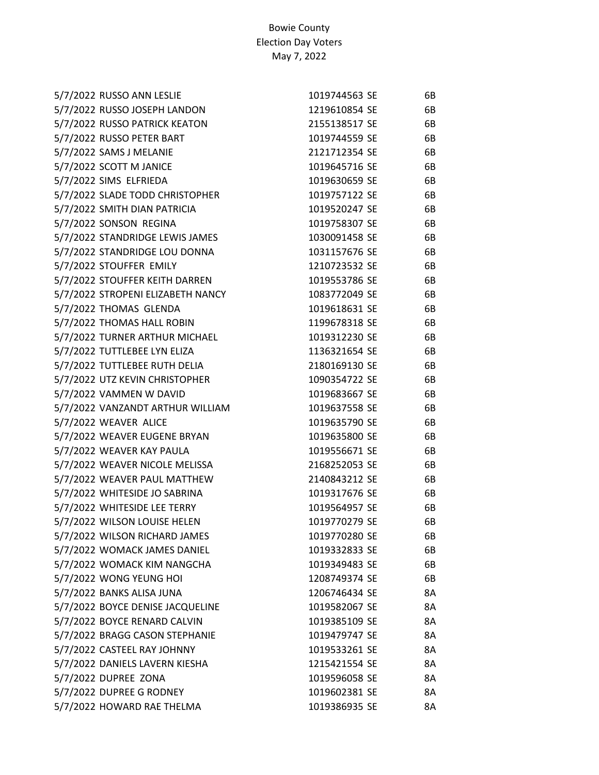| 5/7/2022 RUSSO ANN LESLIE         | 1019744563 SE | 6B |
|-----------------------------------|---------------|----|
| 5/7/2022 RUSSO JOSEPH LANDON      | 1219610854 SE | 6B |
| 5/7/2022 RUSSO PATRICK KEATON     | 2155138517 SE | 6B |
| 5/7/2022 RUSSO PETER BART         | 1019744559 SE | 6B |
| 5/7/2022 SAMS J MELANIE           | 2121712354 SE | 6B |
| 5/7/2022 SCOTT M JANICE           | 1019645716 SE | 6B |
| 5/7/2022 SIMS ELFRIEDA            | 1019630659 SE | 6B |
| 5/7/2022 SLADE TODD CHRISTOPHER   | 1019757122 SE | 6B |
| 5/7/2022 SMITH DIAN PATRICIA      | 1019520247 SE | 6B |
| 5/7/2022 SONSON REGINA            | 1019758307 SE | 6B |
| 5/7/2022 STANDRIDGE LEWIS JAMES   | 1030091458 SE | 6B |
| 5/7/2022 STANDRIDGE LOU DONNA     | 1031157676 SE | 6B |
| 5/7/2022 STOUFFER EMILY           | 1210723532 SE | 6B |
| 5/7/2022 STOUFFER KEITH DARREN    | 1019553786 SE | 6B |
| 5/7/2022 STROPENI ELIZABETH NANCY | 1083772049 SE | 6B |
| 5/7/2022 THOMAS GLENDA            | 1019618631 SE | 6B |
| 5/7/2022 THOMAS HALL ROBIN        | 1199678318 SE | 6B |
| 5/7/2022 TURNER ARTHUR MICHAEL    | 1019312230 SE | 6B |
| 5/7/2022 TUTTLEBEE LYN ELIZA      | 1136321654 SE | 6B |
| 5/7/2022 TUTTLEBEE RUTH DELIA     | 2180169130 SE | 6B |
| 5/7/2022 UTZ KEVIN CHRISTOPHER    | 1090354722 SE | 6B |
| 5/7/2022 VAMMEN W DAVID           | 1019683667 SE | 6B |
| 5/7/2022 VANZANDT ARTHUR WILLIAM  | 1019637558 SE | 6B |
| 5/7/2022 WEAVER ALICE             | 1019635790 SE | 6B |
| 5/7/2022 WEAVER EUGENE BRYAN      | 1019635800 SE | 6B |
| 5/7/2022 WEAVER KAY PAULA         | 1019556671 SE | 6B |
| 5/7/2022 WEAVER NICOLE MELISSA    | 2168252053 SE | 6B |
| 5/7/2022 WEAVER PAUL MATTHEW      | 2140843212 SE | 6B |
| 5/7/2022 WHITESIDE JO SABRINA     | 1019317676 SE | 6B |
| 5/7/2022 WHITESIDE LEE TERRY      | 1019564957 SE | 6B |
| 5/7/2022 WILSON LOUISE HELEN      | 1019770279 SE | 6B |
| 5/7/2022 WILSON RICHARD JAMES     | 1019770280 SE | 6B |
| 5/7/2022 WOMACK JAMES DANIEL      | 1019332833 SE | 6B |
| 5/7/2022 WOMACK KIM NANGCHA       | 1019349483 SE | 6B |
| 5/7/2022 WONG YEUNG HOI           | 1208749374 SE | 6B |
| 5/7/2022 BANKS ALISA JUNA         | 1206746434 SE | 8A |
| 5/7/2022 BOYCE DENISE JACQUELINE  | 1019582067 SE | 8A |
| 5/7/2022 BOYCE RENARD CALVIN      | 1019385109 SE | 8A |
| 5/7/2022 BRAGG CASON STEPHANIE    | 1019479747 SE | 8A |
| 5/7/2022 CASTEEL RAY JOHNNY       | 1019533261 SE | 8A |
| 5/7/2022 DANIELS LAVERN KIESHA    | 1215421554 SE | 8A |
| 5/7/2022 DUPREE ZONA              | 1019596058 SE | 8A |
| 5/7/2022 DUPREE G RODNEY          | 1019602381 SE | 8A |
| 5/7/2022 HOWARD RAE THELMA        | 1019386935 SE | 8A |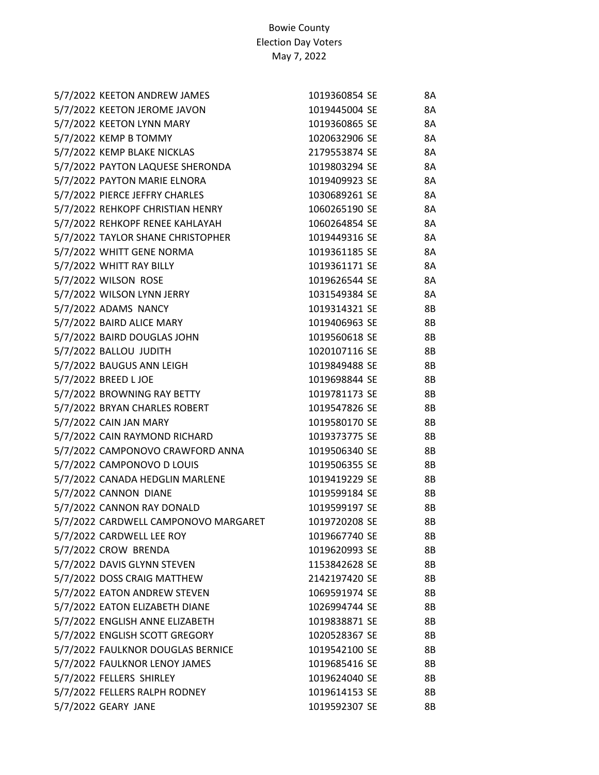| 5/7/2022 KEETON ANDREW JAMES         | 1019360854 SE | 8Α        |
|--------------------------------------|---------------|-----------|
| 5/7/2022 KEETON JEROME JAVON         | 1019445004 SE | 8A        |
| 5/7/2022 KEETON LYNN MARY            | 1019360865 SE | 8A        |
| 5/7/2022 KEMP B TOMMY                | 1020632906 SE | 8A        |
| 5/7/2022 KEMP BLAKE NICKLAS          | 2179553874 SE | 8A        |
| 5/7/2022 PAYTON LAQUESE SHERONDA     | 1019803294 SE | 8A        |
| 5/7/2022 PAYTON MARIE ELNORA         | 1019409923 SE | 8A        |
| 5/7/2022 PIERCE JEFFRY CHARLES       | 1030689261 SE | 8A        |
| 5/7/2022 REHKOPF CHRISTIAN HENRY     | 1060265190 SE | <b>8A</b> |
| 5/7/2022 REHKOPF RENEE KAHLAYAH      | 1060264854 SE | 8A        |
| 5/7/2022 TAYLOR SHANE CHRISTOPHER    | 1019449316 SE | 8A        |
| 5/7/2022 WHITT GENE NORMA            | 1019361185 SE | 8A        |
| 5/7/2022 WHITT RAY BILLY             | 1019361171 SE | 8A        |
| 5/7/2022 WILSON ROSE                 | 1019626544 SE | 8A        |
| 5/7/2022 WILSON LYNN JERRY           | 1031549384 SE | 8A        |
| 5/7/2022 ADAMS NANCY                 | 1019314321 SE | 8B        |
| 5/7/2022 BAIRD ALICE MARY            | 1019406963 SE | <b>8B</b> |
| 5/7/2022 BAIRD DOUGLAS JOHN          | 1019560618 SE | 8B        |
| 5/7/2022 BALLOU JUDITH               | 1020107116 SE | <b>8B</b> |
| 5/7/2022 BAUGUS ANN LEIGH            | 1019849488 SE | 8B        |
| 5/7/2022 BREED L JOE                 | 1019698844 SE | <b>8B</b> |
| 5/7/2022 BROWNING RAY BETTY          | 1019781173 SE | <b>8B</b> |
| 5/7/2022 BRYAN CHARLES ROBERT        | 1019547826 SE | 8B        |
| 5/7/2022 CAIN JAN MARY               | 1019580170 SE | 8B        |
| 5/7/2022 CAIN RAYMOND RICHARD        | 1019373775 SE | 8B        |
| 5/7/2022 CAMPONOVO CRAWFORD ANNA     | 1019506340 SE | 8B        |
| 5/7/2022 CAMPONOVO D LOUIS           | 1019506355 SE | 8B        |
| 5/7/2022 CANADA HEDGLIN MARLENE      | 1019419229 SE | 8B        |
| 5/7/2022 CANNON DIANE                | 1019599184 SE | 8B        |
| 5/7/2022 CANNON RAY DONALD           | 1019599197 SE | 8B        |
| 5/7/2022 CARDWELL CAMPONOVO MARGARET | 1019720208 SE | <b>8B</b> |
| 5/7/2022 CARDWELL LEE ROY            | 1019667740 SE | 8Β        |
| 5/7/2022 CROW BRENDA                 | 1019620993 SE | 8B        |
| 5/7/2022 DAVIS GLYNN STEVEN          | 1153842628 SE | 8Β        |
| 5/7/2022 DOSS CRAIG MATTHEW          | 2142197420 SE | 8B        |
| 5/7/2022 EATON ANDREW STEVEN         | 1069591974 SE | 8Β        |
| 5/7/2022 EATON ELIZABETH DIANE       | 1026994744 SE | 8B        |
| 5/7/2022 ENGLISH ANNE ELIZABETH      | 1019838871 SE | 8B        |
| 5/7/2022 ENGLISH SCOTT GREGORY       | 1020528367 SE | 8B        |
| 5/7/2022 FAULKNOR DOUGLAS BERNICE    | 1019542100 SE | 8B        |
| 5/7/2022 FAULKNOR LENOY JAMES        | 1019685416 SE | 8B        |
| 5/7/2022 FELLERS SHIRLEY             | 1019624040 SE | 8B        |
| 5/7/2022 FELLERS RALPH RODNEY        | 1019614153 SE | 8B        |
| 5/7/2022 GEARY JANE                  | 1019592307 SE | 8B        |
|                                      |               |           |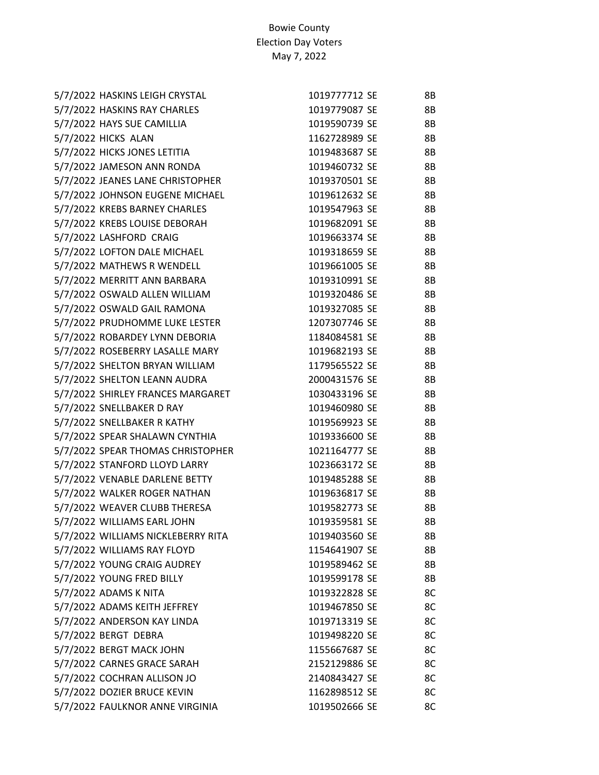| 5/7/2022 HASKINS LEIGH CRYSTAL     | 1019777712 SE | 8Β |
|------------------------------------|---------------|----|
| 5/7/2022 HASKINS RAY CHARLES       | 1019779087 SE | 8B |
| 5/7/2022 HAYS SUE CAMILLIA         | 1019590739 SE | 8B |
| 5/7/2022 HICKS ALAN                | 1162728989 SE | 8B |
| 5/7/2022 HICKS JONES LETITIA       | 1019483687 SE | 8B |
| 5/7/2022 JAMESON ANN RONDA         | 1019460732 SE | 8B |
| 5/7/2022 JEANES LANE CHRISTOPHER   | 1019370501 SE | 8B |
| 5/7/2022 JOHNSON EUGENE MICHAEL    | 1019612632 SE | 8B |
| 5/7/2022 KREBS BARNEY CHARLES      | 1019547963 SE | 8B |
| 5/7/2022 KREBS LOUISE DEBORAH      | 1019682091 SE | 8B |
| 5/7/2022 LASHFORD CRAIG            | 1019663374 SE | 8B |
| 5/7/2022 LOFTON DALE MICHAEL       | 1019318659 SE | 8B |
| 5/7/2022 MATHEWS R WENDELL         | 1019661005 SE | 8B |
| 5/7/2022 MERRITT ANN BARBARA       | 1019310991 SE | 8B |
| 5/7/2022 OSWALD ALLEN WILLIAM      | 1019320486 SE | 8B |
| 5/7/2022 OSWALD GAIL RAMONA        | 1019327085 SE | 8B |
| 5/7/2022 PRUDHOMME LUKE LESTER     | 1207307746 SE | 8B |
| 5/7/2022 ROBARDEY LYNN DEBORIA     | 1184084581 SE | 8B |
| 5/7/2022 ROSEBERRY LASALLE MARY    | 1019682193 SE | 8B |
| 5/7/2022 SHELTON BRYAN WILLIAM     | 1179565522 SE | 8B |
| 5/7/2022 SHELTON LEANN AUDRA       | 2000431576 SE | 8B |
| 5/7/2022 SHIRLEY FRANCES MARGARET  | 1030433196 SE | 8B |
| 5/7/2022 SNELLBAKER D RAY          | 1019460980 SE | 8B |
| 5/7/2022 SNELLBAKER R KATHY        | 1019569923 SE | 8B |
| 5/7/2022 SPEAR SHALAWN CYNTHIA     | 1019336600 SE | 8B |
| 5/7/2022 SPEAR THOMAS CHRISTOPHER  | 1021164777 SE | 8B |
| 5/7/2022 STANFORD LLOYD LARRY      | 1023663172 SE | 8B |
| 5/7/2022 VENABLE DARLENE BETTY     | 1019485288 SE | 8B |
| 5/7/2022 WALKER ROGER NATHAN       | 1019636817 SE | 8B |
| 5/7/2022 WEAVER CLUBB THERESA      | 1019582773 SE | 8B |
| 5/7/2022 WILLIAMS EARL JOHN        | 1019359581 SE | 8B |
| 5/7/2022 WILLIAMS NICKLEBERRY RITA | 1019403560 SE | 8Β |
| 5/7/2022 WILLIAMS RAY FLOYD        | 1154641907 SE | 8B |
| 5/7/2022 YOUNG CRAIG AUDREY        | 1019589462 SE | 8B |
| 5/7/2022 YOUNG FRED BILLY          | 1019599178 SE | 8B |
| 5/7/2022 ADAMS K NITA              | 1019322828 SE | 8C |
| 5/7/2022 ADAMS KEITH JEFFREY       | 1019467850 SE | 8C |
| 5/7/2022 ANDERSON KAY LINDA        | 1019713319 SE | 8C |
| 5/7/2022 BERGT DEBRA               | 1019498220 SE | 8C |
| 5/7/2022 BERGT MACK JOHN           | 1155667687 SE | 8C |
| 5/7/2022 CARNES GRACE SARAH        | 2152129886 SE | 8C |
| 5/7/2022 COCHRAN ALLISON JO        | 2140843427 SE | 8C |
| 5/7/2022 DOZIER BRUCE KEVIN        | 1162898512 SE | 8C |
| 5/7/2022 FAULKNOR ANNE VIRGINIA    | 1019502666 SE | 8C |